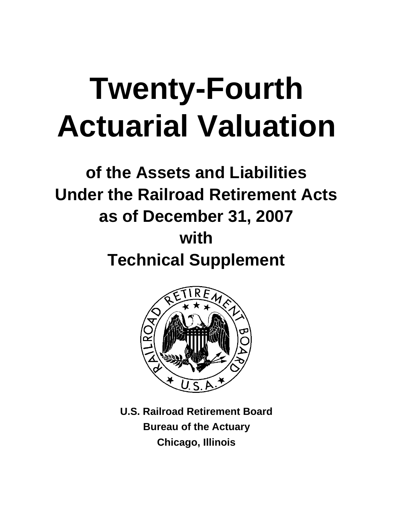# **Twenty-Fourth Actuarial Valuation**

# **of the Assets and Liabilities Under the Railroad Retirement Acts as of December 31, 2007 with Technical Supplement**



**U.S. Railroad Retirement Board Bureau of the Actuary Chicago, Illinois**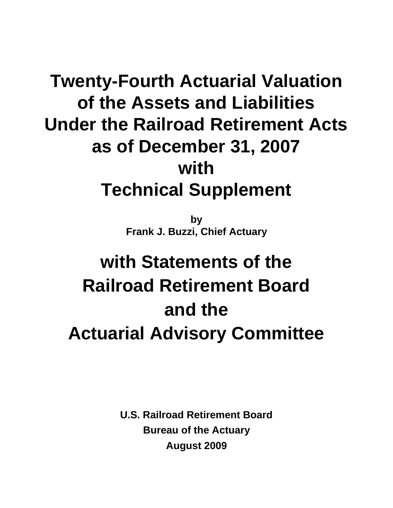# **Twenty-Fourth Actuarial Valuation of the Assets and Liabilities Under the Railroad Retirement Acts as of December 31, 2007 with Technical Supplement**

**by Frank J. Buzzi, Chief Actuary**

# **with Statements of the Railroad Retirement Board and the Actuarial Advisory Committee**

**U.S. Railroad Retirement Board Bureau of the Actuary August 2009**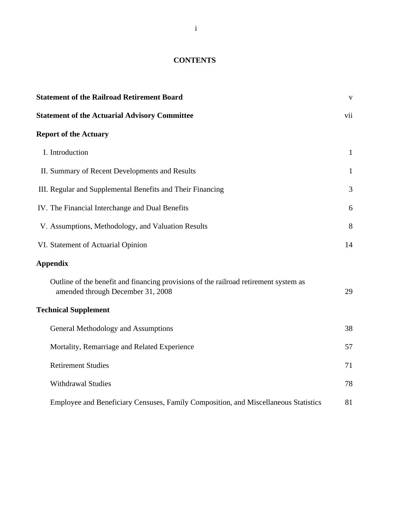#### **CONTENTS**

| <b>Statement of the Railroad Retirement Board</b>                                                                         | $\overline{\mathbf{V}}$ |
|---------------------------------------------------------------------------------------------------------------------------|-------------------------|
| <b>Statement of the Actuarial Advisory Committee</b>                                                                      | vii                     |
| <b>Report of the Actuary</b>                                                                                              |                         |
| I. Introduction                                                                                                           | $\mathbf{1}$            |
| II. Summary of Recent Developments and Results                                                                            | $\mathbf{1}$            |
| III. Regular and Supplemental Benefits and Their Financing                                                                | 3                       |
| IV. The Financial Interchange and Dual Benefits                                                                           | 6                       |
| V. Assumptions, Methodology, and Valuation Results                                                                        | 8                       |
| VI. Statement of Actuarial Opinion                                                                                        | 14                      |
| <b>Appendix</b>                                                                                                           |                         |
| Outline of the benefit and financing provisions of the railroad retirement system as<br>amended through December 31, 2008 | 29                      |
| <b>Technical Supplement</b>                                                                                               |                         |
| <b>General Methodology and Assumptions</b>                                                                                | 38                      |
| Mortality, Remarriage and Related Experience                                                                              | 57                      |
| <b>Retirement Studies</b>                                                                                                 | 71                      |
| <b>Withdrawal Studies</b>                                                                                                 | 78                      |
| Employee and Beneficiary Censuses, Family Composition, and Miscellaneous Statistics                                       | 81                      |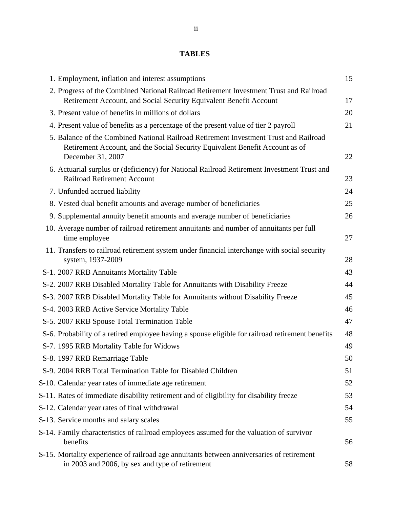### **TABLES**

| 1. Employment, inflation and interest assumptions                                                                                                                                          | 15 |
|--------------------------------------------------------------------------------------------------------------------------------------------------------------------------------------------|----|
| 2. Progress of the Combined National Railroad Retirement Investment Trust and Railroad<br>Retirement Account, and Social Security Equivalent Benefit Account                               | 17 |
| 3. Present value of benefits in millions of dollars                                                                                                                                        | 20 |
| 4. Present value of benefits as a percentage of the present value of tier 2 payroll                                                                                                        | 21 |
| 5. Balance of the Combined National Railroad Retirement Investment Trust and Railroad<br>Retirement Account, and the Social Security Equivalent Benefit Account as of<br>December 31, 2007 | 22 |
| 6. Actuarial surplus or (deficiency) for National Railroad Retirement Investment Trust and<br><b>Railroad Retirement Account</b>                                                           | 23 |
| 7. Unfunded accrued liability                                                                                                                                                              | 24 |
| 8. Vested dual benefit amounts and average number of beneficiaries                                                                                                                         | 25 |
| 9. Supplemental annuity benefit amounts and average number of beneficiaries                                                                                                                | 26 |
| 10. Average number of railroad retirement annuitants and number of annuitants per full<br>time employee                                                                                    | 27 |
| 11. Transfers to railroad retirement system under financial interchange with social security<br>system, 1937-2009                                                                          | 28 |
| S-1. 2007 RRB Annuitants Mortality Table                                                                                                                                                   | 43 |
| S-2. 2007 RRB Disabled Mortality Table for Annuitants with Disability Freeze                                                                                                               | 44 |
| S-3. 2007 RRB Disabled Mortality Table for Annuitants without Disability Freeze                                                                                                            | 45 |
| S-4. 2003 RRB Active Service Mortality Table                                                                                                                                               | 46 |
| S-5. 2007 RRB Spouse Total Termination Table                                                                                                                                               | 47 |
| S-6. Probability of a retired employee having a spouse eligible for railroad retirement benefits                                                                                           | 48 |
| S-7. 1995 RRB Mortality Table for Widows                                                                                                                                                   | 49 |
| S-8. 1997 RRB Remarriage Table                                                                                                                                                             | 50 |
| S-9. 2004 RRB Total Termination Table for Disabled Children                                                                                                                                | 51 |
| S-10. Calendar year rates of immediate age retirement                                                                                                                                      | 52 |
| S-11. Rates of immediate disability retirement and of eligibility for disability freeze                                                                                                    | 53 |
| S-12. Calendar year rates of final withdrawal                                                                                                                                              | 54 |
| S-13. Service months and salary scales                                                                                                                                                     | 55 |
| S-14. Family characteristics of railroad employees assumed for the valuation of survivor<br>benefits                                                                                       | 56 |
| S-15. Mortality experience of railroad age annuitants between anniversaries of retirement<br>in 2003 and 2006, by sex and type of retirement                                               | 58 |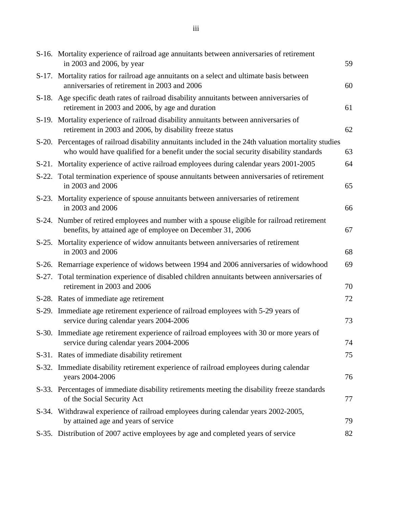| S-16. Mortality experience of railroad age annuitants between anniversaries of retirement<br>in 2003 and 2006, by year                                                                        | 59 |
|-----------------------------------------------------------------------------------------------------------------------------------------------------------------------------------------------|----|
| S-17. Mortality ratios for railroad age annuitants on a select and ultimate basis between<br>anniversaries of retirement in 2003 and 2006                                                     | 60 |
| S-18. Age specific death rates of railroad disability annuitants between anniversaries of<br>retirement in 2003 and 2006, by age and duration                                                 | 61 |
| S-19. Mortality experience of railroad disability annuitants between anniversaries of<br>retirement in 2003 and 2006, by disability freeze status                                             | 62 |
| S-20. Percentages of railroad disability annuitants included in the 24th valuation mortality studies<br>who would have qualified for a benefit under the social security disability standards | 63 |
| S-21. Mortality experience of active railroad employees during calendar years 2001-2005                                                                                                       | 64 |
| S-22. Total termination experience of spouse annuitants between anniversaries of retirement<br>in 2003 and 2006                                                                               | 65 |
| S-23. Mortality experience of spouse annuitants between anniversaries of retirement<br>in 2003 and 2006                                                                                       | 66 |
| S-24. Number of retired employees and number with a spouse eligible for railroad retirement<br>benefits, by attained age of employee on December 31, 2006                                     | 67 |
| S-25. Mortality experience of widow annuitants between anniversaries of retirement<br>in 2003 and 2006                                                                                        | 68 |
| S-26. Remarriage experience of widows between 1994 and 2006 anniversaries of widowhood                                                                                                        | 69 |
| S-27. Total termination experience of disabled children annuitants between anniversaries of<br>retirement in 2003 and 2006                                                                    | 70 |
| S-28. Rates of immediate age retirement                                                                                                                                                       | 72 |
| S-29. Immediate age retirement experience of railroad employees with 5-29 years of<br>service during calendar years 2004-2006                                                                 | 73 |
| S-30. Immediate age retirement experience of railroad employees with 30 or more years of<br>service during calendar years 2004-2006                                                           | 74 |
| S-31. Rates of immediate disability retirement                                                                                                                                                | 75 |
| S-32. Immediate disability retirement experience of railroad employees during calendar<br>years 2004-2006                                                                                     | 76 |
| S-33. Percentages of immediate disability retirements meeting the disability freeze standards<br>of the Social Security Act                                                                   | 77 |
| S-34. Withdrawal experience of railroad employees during calendar years 2002-2005,<br>by attained age and years of service                                                                    | 79 |
| S-35. Distribution of 2007 active employees by age and completed years of service                                                                                                             | 82 |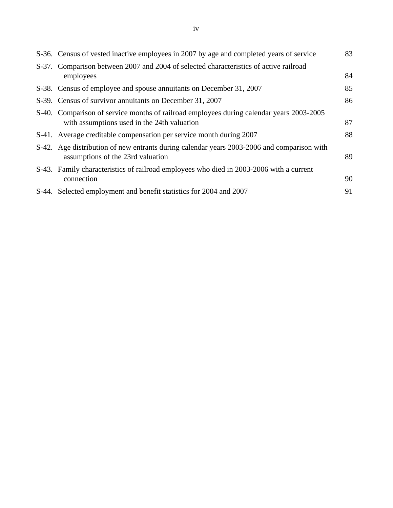| S-36. Census of vested inactive employees in 2007 by age and completed years of service                                                 | 83 |
|-----------------------------------------------------------------------------------------------------------------------------------------|----|
| S-37. Comparison between 2007 and 2004 of selected characteristics of active railroad<br>employees                                      | 84 |
| S-38. Census of employee and spouse annuitants on December 31, 2007                                                                     | 85 |
| S-39. Census of survivor annuitants on December 31, 2007                                                                                | 86 |
| S-40. Comparison of service months of railroad employees during calendar years 2003-2005<br>with assumptions used in the 24th valuation | 87 |
| S-41. Average creditable compensation per service month during 2007                                                                     | 88 |
| S-42. Age distribution of new entrants during calendar years 2003-2006 and comparison with<br>assumptions of the 23rd valuation         | 89 |
| S-43. Family characteristics of railroad employees who died in 2003-2006 with a current<br>connection                                   | 90 |
| S-44. Selected employment and benefit statistics for 2004 and 2007                                                                      | 91 |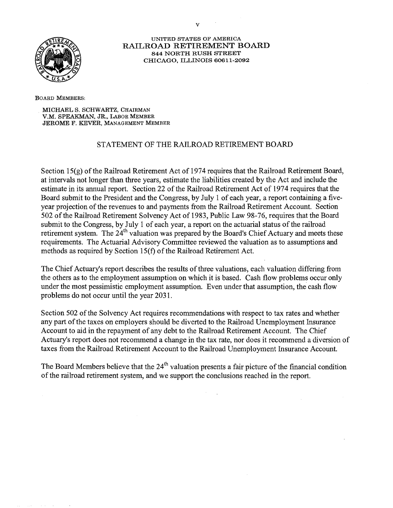

**UNITED STATES OF AMERICA RAILROAD RETIREMENT BOARD 844 NORTH RUSH STREET CHICAGO, ILLINOIS** 60611-2092

**BOARD MEMBERS:** 

**MICHAEL S. SCHWARTZ, CHAIRMAN V.M. SPEAKMAN, JR., LABOR MEMBER JEROME F. KEVER, MANAGEMENT MEMBER** 

#### STATEMENT OF THE RAILROAD RETIREMENT BOARD

Section 15(g) of the Railroad Retirement Act of 1974 requires that the Railroad Retirement Board, at intervals not longer than three years, estimate the liabilities created by the Act and include the estimate in its annual report. Section 22 of the Railroad Retirement Act of 1974 requires that the Board submit to the President and the Congress, by July 1 of each year, a report containing a fiveyear projection of the revenues to and payments from the Railroad Retirement Account. Section 502 of the Railroad Retirement Solvency Act of 1983, Public Law 98-76, requires that the Board submit to the Congress, by July 1 of each year, a report on the actuarial status of the railroad retirement system. The 24<sup>th</sup> valuation was prepared by the Board's Chief Actuary and meets these requirements. The Actuarial Advisory Committee reviewed the valuation as to assumptions and methods as required by Section 15(f) of the Railroad Retirement Act.

The Chief Actuary's report describes the results of three valuations, each valuation differing from the others as to the employment assumption on which it is based. Cash flow problems occur only under the most pessimistic employment assumption. Even under that assumption, the cash flow problems do not occur until the year 203 1.

Section 502 of the Solvency Act requires recommendations with respect to tax rates and whether any part of the taxes on employers should be diverted to the Railroad Unemployment Insurance Account to aid in the repayment of any debt to the Railroad Retirement Account. The Chief Actuary's report does not recommend a change in the tax rate, nor does it recommend a diversion of taxes from the Railroad Retirement Account to the Railroad Unemployment hsurance Account.

The Board Members believe that the  $24<sup>th</sup>$  valuation presents a fair picture of the financial condition of the railroad retirement system, and we support the conclusions reached in the report.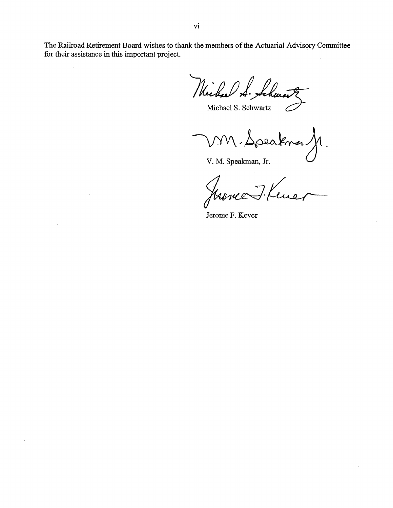The Railroad Retirement Board wishes to thank the members of the Actuarial Advisory Committee for their assistance in this important project.

Wichael S. Sch

MM-Speaknar  $\Lambda$ .

V. M. Speakman, Jr.

7. Kene

Jerome F. Kever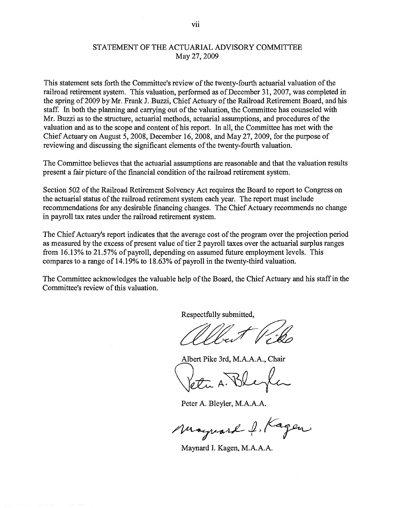#### STATEMENT OF THE ACTUARIAL ADVISORY COMMITTEE May 27,2009

This statement sets forth the Committee's review of the twenty-fourth actuarial valuation of the railroad retirement system. This valuation, performed as of December 31, 2007, was completed in the spring of 2009 by Mr. Frank J. Buzzi, Chief Actuary of the Railroad Retirement Board, and his staff. In both the planning and carrying out of the valuation, the Committee has counseled with Mr. Buzzi as to the structure, actuarial methods, actuarial assumptions, and procedures of the valuation and as to the scope and content of his report. In all, the Committee has met with the Chief Actuary on August 5,2008, December 16,2008, and May 27,2009, for the purpose of reviewing and discussing the significant elements of the twenty-fourth valuation.

The Committee believes that the actuarial assumptions are reasonable and that the valuation results present a fair picture of the financial condition of the railroad retirement system.

Section 502 of the Railroad Retirement Solvency Act requires the Board to report to Congress on the actuarial status of the railroad retirement system each year. The report must include recommendations for any desirable financing changes. The Chief Actuary recommends no change in payroll tax rates under the railroad retirement system.

The Chief Actuary's report indicates that the average cost of the program over the projection period as measured by the excess of present value of tier 2 payroll taxes over the actuarial surplus ranges from 16.13% to 21.57% of payroll, depending on assumed future employment levels. This compares to a range of 14.19% to 18.63% of payroll in the twenty-third valuation.

The Committee acknowledges the valuable help of the Board, the Chief Actuary and his staff in the Committee's review of this valuation.

Respectfully submitted,

LLE<br>Albert P

Albert Pike 3rd, M.A.A.A., Chair

Yetti A. Bl

Peter A. Bleyler, M.A.A.A.

Mayward J. Kagen

Maynard I. Kagen, M.A.A.A.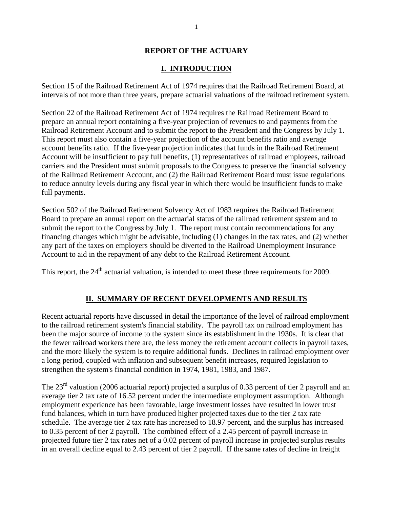#### **REPORT OF THE ACTUARY**

#### **I. INTRODUCTION**

Section 15 of the Railroad Retirement Act of 1974 requires that the Railroad Retirement Board, at intervals of not more than three years, prepare actuarial valuations of the railroad retirement system.

Section 22 of the Railroad Retirement Act of 1974 requires the Railroad Retirement Board to prepare an annual report containing a five-year projection of revenues to and payments from the Railroad Retirement Account and to submit the report to the President and the Congress by July 1. This report must also contain a five-year projection of the account benefits ratio and average account benefits ratio. If the five-year projection indicates that funds in the Railroad Retirement Account will be insufficient to pay full benefits, (1) representatives of railroad employees, railroad carriers and the President must submit proposals to the Congress to preserve the financial solvency of the Railroad Retirement Account, and (2) the Railroad Retirement Board must issue regulations to reduce annuity levels during any fiscal year in which there would be insufficient funds to make full payments.

Section 502 of the Railroad Retirement Solvency Act of 1983 requires the Railroad Retirement Board to prepare an annual report on the actuarial status of the railroad retirement system and to submit the report to the Congress by July 1. The report must contain recommendations for any financing changes which might be advisable, including (1) changes in the tax rates, and (2) whether any part of the taxes on employers should be diverted to the Railroad Unemployment Insurance Account to aid in the repayment of any debt to the Railroad Retirement Account.

This report, the  $24<sup>th</sup>$  actuarial valuation, is intended to meet these three requirements for 2009.

#### **II. SUMMARY OF RECENT DEVELOPMENTS AND RESULTS**

Recent actuarial reports have discussed in detail the importance of the level of railroad employment to the railroad retirement system's financial stability. The payroll tax on railroad employment has been the major source of income to the system since its establishment in the 1930s. It is clear that the fewer railroad workers there are, the less money the retirement account collects in payroll taxes, and the more likely the system is to require additional funds. Declines in railroad employment over a long period, coupled with inflation and subsequent benefit increases, required legislation to strengthen the system's financial condition in 1974, 1981, 1983, and 1987.

The  $23<sup>rd</sup>$  valuation (2006 actuarial report) projected a surplus of 0.33 percent of tier 2 payroll and an average tier 2 tax rate of 16.52 percent under the intermediate employment assumption. Although employment experience has been favorable, large investment losses have resulted in lower trust fund balances, which in turn have produced higher projected taxes due to the tier 2 tax rate schedule. The average tier 2 tax rate has increased to 18.97 percent, and the surplus has increased to 0.35 percent of tier 2 payroll. The combined effect of a 2.45 percent of payroll increase in projected future tier 2 tax rates net of a 0.02 percent of payroll increase in projected surplus results in an overall decline equal to 2.43 percent of tier 2 payroll. If the same rates of decline in freight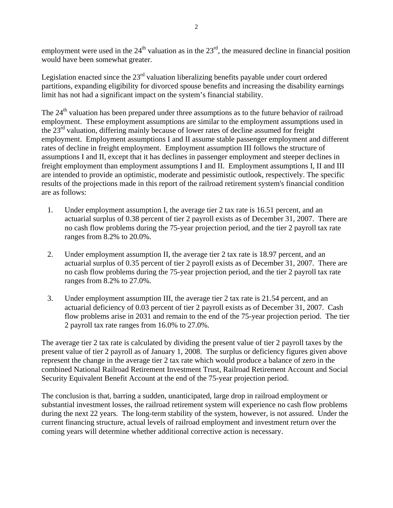employment were used in the  $24<sup>th</sup>$  valuation as in the  $23<sup>rd</sup>$ , the measured decline in financial position would have been somewhat greater.

Legislation enacted since the  $23<sup>rd</sup>$  valuation liberalizing benefits payable under court ordered partitions, expanding eligibility for divorced spouse benefits and increasing the disability earnings limit has not had a significant impact on the system's financial stability.

The 24<sup>th</sup> valuation has been prepared under three assumptions as to the future behavior of railroad employment. These employment assumptions are similar to the employment assumptions used in the  $23<sup>rd</sup>$  valuation, differing mainly because of lower rates of decline assumed for freight employment. Employment assumptions I and II assume stable passenger employment and different rates of decline in freight employment. Employment assumption III follows the structure of assumptions I and II, except that it has declines in passenger employment and steeper declines in freight employment than employment assumptions I and II. Employment assumptions I, II and III are intended to provide an optimistic, moderate and pessimistic outlook, respectively. The specific results of the projections made in this report of the railroad retirement system's financial condition are as follows:

- 1. Under employment assumption I, the average tier 2 tax rate is 16.51 percent, and an actuarial surplus of 0.38 percent of tier 2 payroll exists as of December 31, 2007. There are no cash flow problems during the 75-year projection period, and the tier 2 payroll tax rate ranges from 8.2% to 20.0%.
- 2. Under employment assumption II, the average tier 2 tax rate is 18.97 percent, and an actuarial surplus of 0.35 percent of tier 2 payroll exists as of December 31, 2007. There are no cash flow problems during the 75-year projection period, and the tier 2 payroll tax rate ranges from 8.2% to 27.0%.
- 3. Under employment assumption III, the average tier 2 tax rate is 21.54 percent, and an actuarial deficiency of 0.03 percent of tier 2 payroll exists as of December 31, 2007. Cash flow problems arise in 2031 and remain to the end of the 75-year projection period. The tier 2 payroll tax rate ranges from 16.0% to 27.0%.

The average tier 2 tax rate is calculated by dividing the present value of tier 2 payroll taxes by the present value of tier 2 payroll as of January 1, 2008. The surplus or deficiency figures given above represent the change in the average tier 2 tax rate which would produce a balance of zero in the combined National Railroad Retirement Investment Trust, Railroad Retirement Account and Social Security Equivalent Benefit Account at the end of the 75-year projection period.

The conclusion is that, barring a sudden, unanticipated, large drop in railroad employment or substantial investment losses, the railroad retirement system will experience no cash flow problems during the next 22 years. The long-term stability of the system, however, is not assured. Under the current financing structure, actual levels of railroad employment and investment return over the coming years will determine whether additional corrective action is necessary.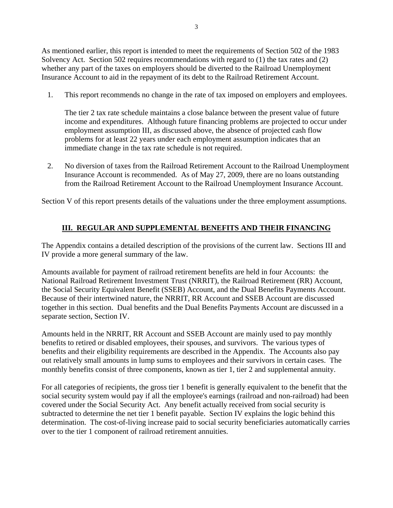As mentioned earlier, this report is intended to meet the requirements of Section 502 of the 1983 Solvency Act. Section 502 requires recommendations with regard to (1) the tax rates and (2) whether any part of the taxes on employers should be diverted to the Railroad Unemployment Insurance Account to aid in the repayment of its debt to the Railroad Retirement Account.

1. This report recommends no change in the rate of tax imposed on employers and employees.

The tier 2 tax rate schedule maintains a close balance between the present value of future income and expenditures. Although future financing problems are projected to occur under employment assumption III, as discussed above, the absence of projected cash flow problems for at least 22 years under each employment assumption indicates that an immediate change in the tax rate schedule is not required.

2. No diversion of taxes from the Railroad Retirement Account to the Railroad Unemployment Insurance Account is recommended. As of May 27, 2009, there are no loans outstanding from the Railroad Retirement Account to the Railroad Unemployment Insurance Account.

Section V of this report presents details of the valuations under the three employment assumptions.

#### **III. REGULAR AND SUPPLEMENTAL BENEFITS AND THEIR FINANCING**

The Appendix contains a detailed description of the provisions of the current law. Sections III and IV provide a more general summary of the law.

Amounts available for payment of railroad retirement benefits are held in four Accounts: the National Railroad Retirement Investment Trust (NRRIT), the Railroad Retirement (RR) Account, the Social Security Equivalent Benefit (SSEB) Account, and the Dual Benefits Payments Account. Because of their intertwined nature, the NRRIT, RR Account and SSEB Account are discussed together in this section. Dual benefits and the Dual Benefits Payments Account are discussed in a separate section, Section IV.

Amounts held in the NRRIT, RR Account and SSEB Account are mainly used to pay monthly benefits to retired or disabled employees, their spouses, and survivors. The various types of benefits and their eligibility requirements are described in the Appendix. The Accounts also pay out relatively small amounts in lump sums to employees and their survivors in certain cases. The monthly benefits consist of three components, known as tier 1, tier 2 and supplemental annuity.

For all categories of recipients, the gross tier 1 benefit is generally equivalent to the benefit that the social security system would pay if all the employee's earnings (railroad and non-railroad) had been covered under the Social Security Act. Any benefit actually received from social security is subtracted to determine the net tier 1 benefit payable. Section IV explains the logic behind this determination. The cost-of-living increase paid to social security beneficiaries automatically carries over to the tier 1 component of railroad retirement annuities.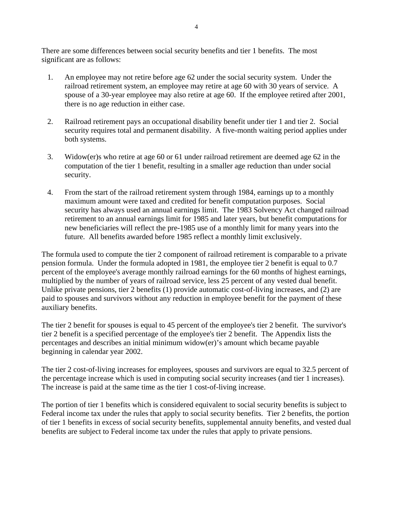There are some differences between social security benefits and tier 1 benefits. The most significant are as follows:

- 1. An employee may not retire before age 62 under the social security system. Under the railroad retirement system, an employee may retire at age 60 with 30 years of service. A spouse of a 30-year employee may also retire at age 60. If the employee retired after 2001, there is no age reduction in either case.
- 2. Railroad retirement pays an occupational disability benefit under tier 1 and tier 2. Social security requires total and permanent disability. A five-month waiting period applies under both systems.
- 3. Widow(er)s who retire at age 60 or 61 under railroad retirement are deemed age 62 in the computation of the tier 1 benefit, resulting in a smaller age reduction than under social security.
- 4. From the start of the railroad retirement system through 1984, earnings up to a monthly maximum amount were taxed and credited for benefit computation purposes. Social security has always used an annual earnings limit. The 1983 Solvency Act changed railroad retirement to an annual earnings limit for 1985 and later years, but benefit computations for new beneficiaries will reflect the pre-1985 use of a monthly limit for many years into the future. All benefits awarded before 1985 reflect a monthly limit exclusively.

The formula used to compute the tier 2 component of railroad retirement is comparable to a private pension formula. Under the formula adopted in 1981, the employee tier 2 benefit is equal to 0.7 percent of the employee's average monthly railroad earnings for the 60 months of highest earnings, multiplied by the number of years of railroad service, less 25 percent of any vested dual benefit. Unlike private pensions, tier 2 benefits (1) provide automatic cost-of-living increases, and (2) are paid to spouses and survivors without any reduction in employee benefit for the payment of these auxiliary benefits.

The tier 2 benefit for spouses is equal to 45 percent of the employee's tier 2 benefit. The survivor's tier 2 benefit is a specified percentage of the employee's tier 2 benefit. The Appendix lists the percentages and describes an initial minimum widow(er)'s amount which became payable beginning in calendar year 2002.

The tier 2 cost-of-living increases for employees, spouses and survivors are equal to 32.5 percent of the percentage increase which is used in computing social security increases (and tier 1 increases). The increase is paid at the same time as the tier 1 cost-of-living increase.

The portion of tier 1 benefits which is considered equivalent to social security benefits is subject to Federal income tax under the rules that apply to social security benefits. Tier 2 benefits, the portion of tier 1 benefits in excess of social security benefits, supplemental annuity benefits, and vested dual benefits are subject to Federal income tax under the rules that apply to private pensions.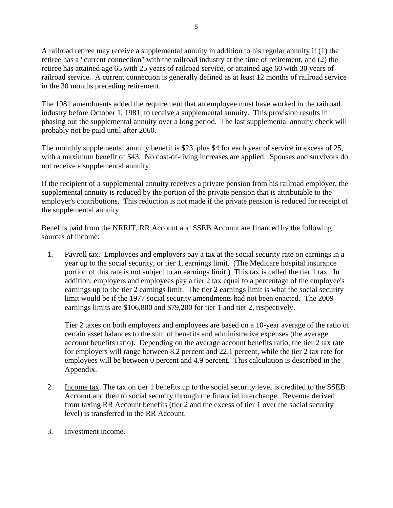A railroad retiree may receive a supplemental annuity in addition to his regular annuity if (1) the retiree has a "current connection" with the railroad industry at the time of retirement, and (2) the retiree has attained age 65 with 25 years of railroad service, or attained age 60 with 30 years of railroad service. A current connection is generally defined as at least 12 months of railroad service in the 30 months preceding retirement.

The 1981 amendments added the requirement that an employee must have worked in the railroad industry before October 1, 1981, to receive a supplemental annuity. This provision results in phasing out the supplemental annuity over a long period. The last supplemental annuity check will probably not be paid until after 2060.

The monthly supplemental annuity benefit is \$23, plus \$4 for each year of service in excess of 25, with a maximum benefit of \$43. No cost-of-living increases are applied. Spouses and survivors do not receive a supplemental annuity.

If the recipient of a supplemental annuity receives a private pension from his railroad employer, the supplemental annuity is reduced by the portion of the private pension that is attributable to the employer's contributions. This reduction is not made if the private pension is reduced for receipt of the supplemental annuity.

Benefits paid from the NRRIT, RR Account and SSEB Account are financed by the following sources of income:

1. Payroll tax. Employees and employers pay a tax at the social security rate on earnings in a year up to the social security, or tier 1, earnings limit. (The Medicare hospital insurance portion of this rate is not subject to an earnings limit.) This tax is called the tier 1 tax. In addition, employers and employees pay a tier 2 tax equal to a percentage of the employee's earnings up to the tier 2 earnings limit. The tier 2 earnings limit is what the social security limit would be if the 1977 social security amendments had not been enacted. The 2009 earnings limits are \$106,800 and \$79,200 for tier 1 and tier 2, respectively.

Tier 2 taxes on both employers and employees are based on a 10-year average of the ratio of certain asset balances to the sum of benefits and administrative expenses (the average account benefits ratio). Depending on the average account benefits ratio, the tier 2 tax rate for employers will range between 8.2 percent and 22.1 percent, while the tier 2 tax rate for employees will be between 0 percent and 4.9 percent. This calculation is described in the Appendix.

- 2. Income tax. The tax on tier 1 benefits up to the social security level is credited to the SSEB Account and then to social security through the financial interchange. Revenue derived from taxing RR Account benefits (tier 2 and the excess of tier 1 over the social security level) is transferred to the RR Account.
- 3. Investment income.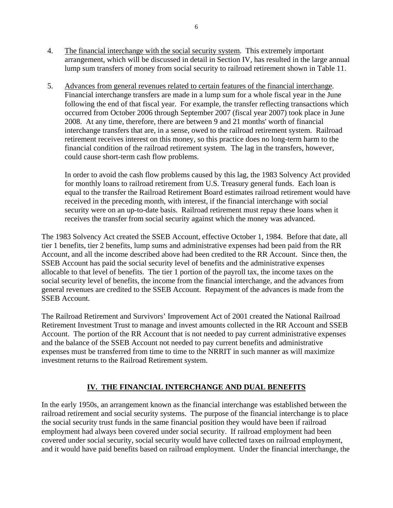- 4. The financial interchange with the social security system. This extremely important arrangement, which will be discussed in detail in Section IV, has resulted in the large annual lump sum transfers of money from social security to railroad retirement shown in Table 11.
- 5. Advances from general revenues related to certain features of the financial interchange. Financial interchange transfers are made in a lump sum for a whole fiscal year in the June following the end of that fiscal year. For example, the transfer reflecting transactions which occurred from October 2006 through September 2007 (fiscal year 2007) took place in June 2008. At any time, therefore, there are between 9 and 21 months' worth of financial interchange transfers that are, in a sense, owed to the railroad retirement system. Railroad retirement receives interest on this money, so this practice does no long-term harm to the financial condition of the railroad retirement system. The lag in the transfers, however, could cause short-term cash flow problems.

In order to avoid the cash flow problems caused by this lag, the 1983 Solvency Act provided for monthly loans to railroad retirement from U.S. Treasury general funds. Each loan is equal to the transfer the Railroad Retirement Board estimates railroad retirement would have received in the preceding month, with interest, if the financial interchange with social security were on an up-to-date basis. Railroad retirement must repay these loans when it receives the transfer from social security against which the money was advanced.

The 1983 Solvency Act created the SSEB Account, effective October 1, 1984. Before that date, all tier 1 benefits, tier 2 benefits, lump sums and administrative expenses had been paid from the RR Account, and all the income described above had been credited to the RR Account. Since then, the SSEB Account has paid the social security level of benefits and the administrative expenses allocable to that level of benefits. The tier 1 portion of the payroll tax, the income taxes on the social security level of benefits, the income from the financial interchange, and the advances from general revenues are credited to the SSEB Account. Repayment of the advances is made from the SSEB Account.

The Railroad Retirement and Survivors' Improvement Act of 2001 created the National Railroad Retirement Investment Trust to manage and invest amounts collected in the RR Account and SSEB Account. The portion of the RR Account that is not needed to pay current administrative expenses and the balance of the SSEB Account not needed to pay current benefits and administrative expenses must be transferred from time to time to the NRRIT in such manner as will maximize investment returns to the Railroad Retirement system.

#### **IV. THE FINANCIAL INTERCHANGE AND DUAL BENEFITS**

In the early 1950s, an arrangement known as the financial interchange was established between the railroad retirement and social security systems. The purpose of the financial interchange is to place the social security trust funds in the same financial position they would have been if railroad employment had always been covered under social security. If railroad employment had been covered under social security, social security would have collected taxes on railroad employment, and it would have paid benefits based on railroad employment. Under the financial interchange, the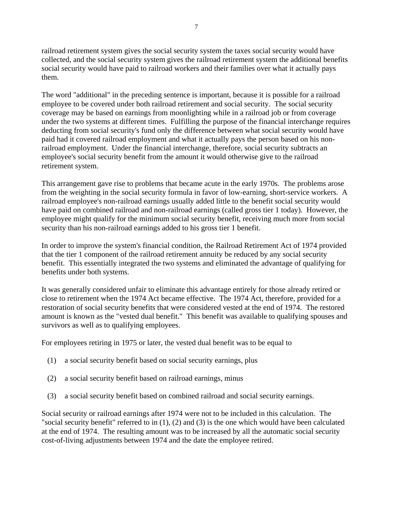railroad retirement system gives the social security system the taxes social security would have collected, and the social security system gives the railroad retirement system the additional benefits social security would have paid to railroad workers and their families over what it actually pays them.

The word "additional" in the preceding sentence is important, because it is possible for a railroad employee to be covered under both railroad retirement and social security. The social security coverage may be based on earnings from moonlighting while in a railroad job or from coverage under the two systems at different times. Fulfilling the purpose of the financial interchange requires deducting from social security's fund only the difference between what social security would have paid had it covered railroad employment and what it actually pays the person based on his nonrailroad employment. Under the financial interchange, therefore, social security subtracts an employee's social security benefit from the amount it would otherwise give to the railroad retirement system.

This arrangement gave rise to problems that became acute in the early 1970s. The problems arose from the weighting in the social security formula in favor of low-earning, short-service workers. A railroad employee's non-railroad earnings usually added little to the benefit social security would have paid on combined railroad and non-railroad earnings (called gross tier 1 today). However, the employee might qualify for the minimum social security benefit, receiving much more from social security than his non-railroad earnings added to his gross tier 1 benefit.

In order to improve the system's financial condition, the Railroad Retirement Act of 1974 provided that the tier 1 component of the railroad retirement annuity be reduced by any social security benefit. This essentially integrated the two systems and eliminated the advantage of qualifying for benefits under both systems.

It was generally considered unfair to eliminate this advantage entirely for those already retired or close to retirement when the 1974 Act became effective. The 1974 Act, therefore, provided for a restoration of social security benefits that were considered vested at the end of 1974. The restored amount is known as the "vested dual benefit." This benefit was available to qualifying spouses and survivors as well as to qualifying employees.

For employees retiring in 1975 or later, the vested dual benefit was to be equal to

- (1) a social security benefit based on social security earnings, plus
- (2) a social security benefit based on railroad earnings, minus
- (3) a social security benefit based on combined railroad and social security earnings.

Social security or railroad earnings after 1974 were not to be included in this calculation. The "social security benefit" referred to in (1), (2) and (3) is the one which would have been calculated at the end of 1974. The resulting amount was to be increased by all the automatic social security cost-of-living adjustments between 1974 and the date the employee retired.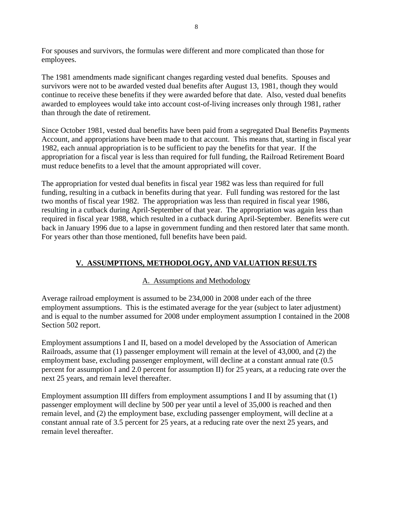For spouses and survivors, the formulas were different and more complicated than those for employees.

The 1981 amendments made significant changes regarding vested dual benefits. Spouses and survivors were not to be awarded vested dual benefits after August 13, 1981, though they would continue to receive these benefits if they were awarded before that date. Also, vested dual benefits awarded to employees would take into account cost-of-living increases only through 1981, rather than through the date of retirement.

Since October 1981, vested dual benefits have been paid from a segregated Dual Benefits Payments Account, and appropriations have been made to that account. This means that, starting in fiscal year 1982, each annual appropriation is to be sufficient to pay the benefits for that year. If the appropriation for a fiscal year is less than required for full funding, the Railroad Retirement Board must reduce benefits to a level that the amount appropriated will cover.

The appropriation for vested dual benefits in fiscal year 1982 was less than required for full funding, resulting in a cutback in benefits during that year. Full funding was restored for the last two months of fiscal year 1982. The appropriation was less than required in fiscal year 1986, resulting in a cutback during April-September of that year. The appropriation was again less than required in fiscal year 1988, which resulted in a cutback during April-September. Benefits were cut back in January 1996 due to a lapse in government funding and then restored later that same month. For years other than those mentioned, full benefits have been paid.

### **V. ASSUMPTIONS, METHODOLOGY, AND VALUATION RESULTS**

#### A. Assumptions and Methodology

Average railroad employment is assumed to be 234,000 in 2008 under each of the three employment assumptions. This is the estimated average for the year (subject to later adjustment) and is equal to the number assumed for 2008 under employment assumption I contained in the 2008 Section 502 report.

Employment assumptions I and II, based on a model developed by the Association of American Railroads, assume that (1) passenger employment will remain at the level of 43,000, and (2) the employment base, excluding passenger employment, will decline at a constant annual rate (0.5 percent for assumption I and 2.0 percent for assumption II) for 25 years, at a reducing rate over the next 25 years, and remain level thereafter.

Employment assumption III differs from employment assumptions I and II by assuming that (1) passenger employment will decline by 500 per year until a level of 35,000 is reached and then remain level, and (2) the employment base, excluding passenger employment, will decline at a constant annual rate of 3.5 percent for 25 years, at a reducing rate over the next 25 years, and remain level thereafter.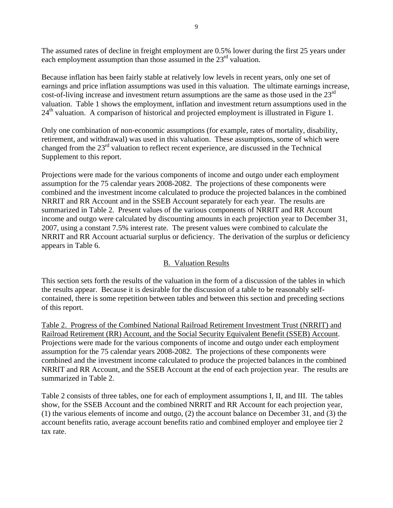The assumed rates of decline in freight employment are 0.5% lower during the first 25 years under each employment assumption than those assumed in the 23<sup>rd</sup> valuation.

Because inflation has been fairly stable at relatively low levels in recent years, only one set of earnings and price inflation assumptions was used in this valuation. The ultimate earnings increase, cost-of-living increase and investment return assumptions are the same as those used in the 23<sup>rd</sup> valuation. Table 1 shows the employment, inflation and investment return assumptions used in the  $24<sup>th</sup>$  valuation. A comparison of historical and projected employment is illustrated in Figure 1.

Only one combination of non-economic assumptions (for example, rates of mortality, disability, retirement, and withdrawal) was used in this valuation. These assumptions, some of which were changed from the 23rd valuation to reflect recent experience, are discussed in the Technical Supplement to this report.

Projections were made for the various components of income and outgo under each employment assumption for the 75 calendar years 2008-2082. The projections of these components were combined and the investment income calculated to produce the projected balances in the combined NRRIT and RR Account and in the SSEB Account separately for each year. The results are summarized in Table 2. Present values of the various components of NRRIT and RR Account income and outgo were calculated by discounting amounts in each projection year to December 31, 2007, using a constant 7.5% interest rate. The present values were combined to calculate the NRRIT and RR Account actuarial surplus or deficiency. The derivation of the surplus or deficiency appears in Table 6.

#### B. Valuation Results

This section sets forth the results of the valuation in the form of a discussion of the tables in which the results appear. Because it is desirable for the discussion of a table to be reasonably selfcontained, there is some repetition between tables and between this section and preceding sections of this report.

Table 2. Progress of the Combined National Railroad Retirement Investment Trust (NRRIT) and Railroad Retirement (RR) Account, and the Social Security Equivalent Benefit (SSEB) Account. Projections were made for the various components of income and outgo under each employment assumption for the 75 calendar years 2008-2082. The projections of these components were combined and the investment income calculated to produce the projected balances in the combined NRRIT and RR Account, and the SSEB Account at the end of each projection year. The results are summarized in Table 2.

Table 2 consists of three tables, one for each of employment assumptions I, II, and III. The tables show, for the SSEB Account and the combined NRRIT and RR Account for each projection year, (1) the various elements of income and outgo, (2) the account balance on December 31, and (3) the account benefits ratio, average account benefits ratio and combined employer and employee tier 2 tax rate.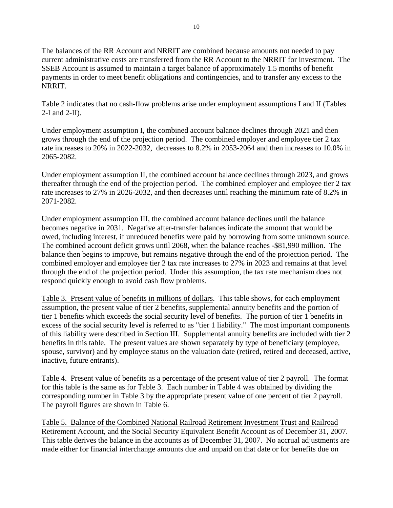The balances of the RR Account and NRRIT are combined because amounts not needed to pay current administrative costs are transferred from the RR Account to the NRRIT for investment. The SSEB Account is assumed to maintain a target balance of approximately 1.5 months of benefit payments in order to meet benefit obligations and contingencies, and to transfer any excess to the NRRIT.

Table 2 indicates that no cash-flow problems arise under employment assumptions I and II (Tables 2-I and 2-II).

Under employment assumption I, the combined account balance declines through 2021 and then grows through the end of the projection period. The combined employer and employee tier 2 tax rate increases to 20% in 2022-2032, decreases to 8.2% in 2053-2064 and then increases to 10.0% in 2065-2082.

Under employment assumption II, the combined account balance declines through 2023, and grows thereafter through the end of the projection period. The combined employer and employee tier 2 tax rate increases to 27% in 2026-2032, and then decreases until reaching the minimum rate of 8.2% in 2071-2082.

Under employment assumption III, the combined account balance declines until the balance becomes negative in 2031. Negative after-transfer balances indicate the amount that would be owed, including interest, if unreduced benefits were paid by borrowing from some unknown source. The combined account deficit grows until 2068, when the balance reaches -\$81,990 million. The balance then begins to improve, but remains negative through the end of the projection period. The combined employer and employee tier 2 tax rate increases to 27% in 2023 and remains at that level through the end of the projection period. Under this assumption, the tax rate mechanism does not respond quickly enough to avoid cash flow problems.

Table 3. Present value of benefits in millions of dollars. This table shows, for each employment assumption, the present value of tier 2 benefits, supplemental annuity benefits and the portion of tier 1 benefits which exceeds the social security level of benefits. The portion of tier 1 benefits in excess of the social security level is referred to as "tier 1 liability." The most important components of this liability were described in Section III. Supplemental annuity benefits are included with tier 2 benefits in this table. The present values are shown separately by type of beneficiary (employee, spouse, survivor) and by employee status on the valuation date (retired, retired and deceased, active, inactive, future entrants).

Table 4. Present value of benefits as a percentage of the present value of tier 2 payroll. The format for this table is the same as for Table 3. Each number in Table 4 was obtained by dividing the corresponding number in Table 3 by the appropriate present value of one percent of tier 2 payroll. The payroll figures are shown in Table 6.

Table 5. Balance of the Combined National Railroad Retirement Investment Trust and Railroad Retirement Account, and the Social Security Equivalent Benefit Account as of December 31, 2007. This table derives the balance in the accounts as of December 31, 2007. No accrual adjustments are made either for financial interchange amounts due and unpaid on that date or for benefits due on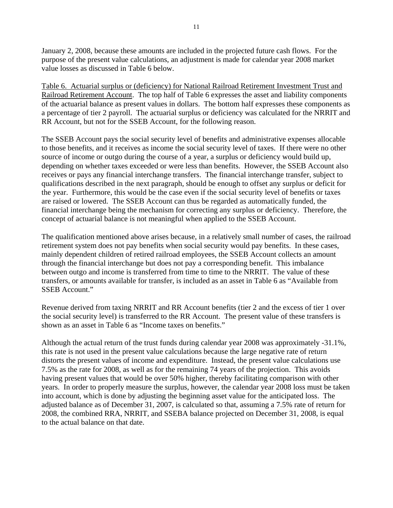January 2, 2008, because these amounts are included in the projected future cash flows. For the purpose of the present value calculations, an adjustment is made for calendar year 2008 market value losses as discussed in Table 6 below.

Table 6. Actuarial surplus or (deficiency) for National Railroad Retirement Investment Trust and Railroad Retirement Account. The top half of Table 6 expresses the asset and liability components of the actuarial balance as present values in dollars. The bottom half expresses these components as a percentage of tier 2 payroll. The actuarial surplus or deficiency was calculated for the NRRIT and RR Account, but not for the SSEB Account, for the following reason.

The SSEB Account pays the social security level of benefits and administrative expenses allocable to those benefits, and it receives as income the social security level of taxes. If there were no other source of income or outgo during the course of a year, a surplus or deficiency would build up, depending on whether taxes exceeded or were less than benefits. However, the SSEB Account also receives or pays any financial interchange transfers. The financial interchange transfer, subject to qualifications described in the next paragraph, should be enough to offset any surplus or deficit for the year. Furthermore, this would be the case even if the social security level of benefits or taxes are raised or lowered. The SSEB Account can thus be regarded as automatically funded, the financial interchange being the mechanism for correcting any surplus or deficiency. Therefore, the concept of actuarial balance is not meaningful when applied to the SSEB Account.

The qualification mentioned above arises because, in a relatively small number of cases, the railroad retirement system does not pay benefits when social security would pay benefits. In these cases, mainly dependent children of retired railroad employees, the SSEB Account collects an amount through the financial interchange but does not pay a corresponding benefit. This imbalance between outgo and income is transferred from time to time to the NRRIT. The value of these transfers, or amounts available for transfer, is included as an asset in Table 6 as "Available from SSEB Account."

Revenue derived from taxing NRRIT and RR Account benefits (tier 2 and the excess of tier 1 over the social security level) is transferred to the RR Account. The present value of these transfers is shown as an asset in Table 6 as "Income taxes on benefits."

Although the actual return of the trust funds during calendar year 2008 was approximately -31.1%, this rate is not used in the present value calculations because the large negative rate of return distorts the present values of income and expenditure. Instead, the present value calculations use 7.5% as the rate for 2008, as well as for the remaining 74 years of the projection. This avoids having present values that would be over 50% higher, thereby facilitating comparison with other years. In order to properly measure the surplus, however, the calendar year 2008 loss must be taken into account, which is done by adjusting the beginning asset value for the anticipated loss. The adjusted balance as of December 31, 2007, is calculated so that, assuming a 7.5% rate of return for 2008, the combined RRA, NRRIT, and SSEBA balance projected on December 31, 2008, is equal to the actual balance on that date.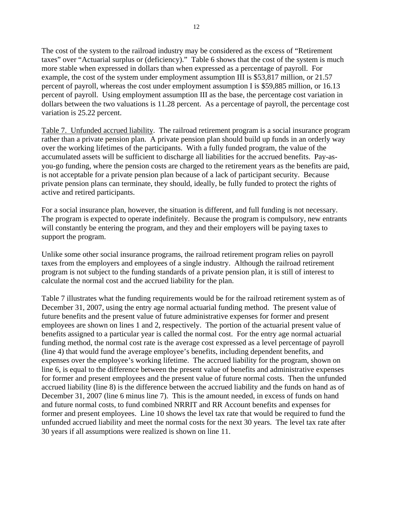The cost of the system to the railroad industry may be considered as the excess of "Retirement taxes" over "Actuarial surplus or (deficiency)." Table 6 shows that the cost of the system is much more stable when expressed in dollars than when expressed as a percentage of payroll. For example, the cost of the system under employment assumption III is \$53,817 million, or 21.57 percent of payroll, whereas the cost under employment assumption I is \$59,885 million, or 16.13 percent of payroll. Using employment assumption III as the base, the percentage cost variation in dollars between the two valuations is 11.28 percent. As a percentage of payroll, the percentage cost variation is 25.22 percent.

Table 7. Unfunded accrued liability. The railroad retirement program is a social insurance program rather than a private pension plan. A private pension plan should build up funds in an orderly way over the working lifetimes of the participants. With a fully funded program, the value of the accumulated assets will be sufficient to discharge all liabilities for the accrued benefits. Pay-asyou-go funding, where the pension costs are charged to the retirement years as the benefits are paid, is not acceptable for a private pension plan because of a lack of participant security. Because private pension plans can terminate, they should, ideally, be fully funded to protect the rights of active and retired participants.

For a social insurance plan, however, the situation is different, and full funding is not necessary. The program is expected to operate indefinitely. Because the program is compulsory, new entrants will constantly be entering the program, and they and their employers will be paying taxes to support the program.

Unlike some other social insurance programs, the railroad retirement program relies on payroll taxes from the employers and employees of a single industry. Although the railroad retirement program is not subject to the funding standards of a private pension plan, it is still of interest to calculate the normal cost and the accrued liability for the plan.

Table 7 illustrates what the funding requirements would be for the railroad retirement system as of December 31, 2007, using the entry age normal actuarial funding method. The present value of future benefits and the present value of future administrative expenses for former and present employees are shown on lines 1 and 2, respectively. The portion of the actuarial present value of benefits assigned to a particular year is called the normal cost. For the entry age normal actuarial funding method, the normal cost rate is the average cost expressed as a level percentage of payroll (line 4) that would fund the average employee's benefits, including dependent benefits, and expenses over the employee's working lifetime. The accrued liability for the program, shown on line 6, is equal to the difference between the present value of benefits and administrative expenses for former and present employees and the present value of future normal costs. Then the unfunded accrued liability (line 8) is the difference between the accrued liability and the funds on hand as of December 31, 2007 (line 6 minus line 7). This is the amount needed, in excess of funds on hand and future normal costs, to fund combined NRRIT and RR Account benefits and expenses for former and present employees. Line 10 shows the level tax rate that would be required to fund the unfunded accrued liability and meet the normal costs for the next 30 years. The level tax rate after 30 years if all assumptions were realized is shown on line 11.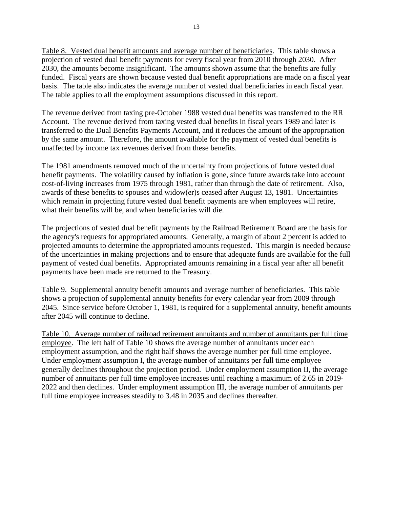Table 8. Vested dual benefit amounts and average number of beneficiaries. This table shows a projection of vested dual benefit payments for every fiscal year from 2010 through 2030. After 2030, the amounts become insignificant. The amounts shown assume that the benefits are fully funded. Fiscal years are shown because vested dual benefit appropriations are made on a fiscal year basis. The table also indicates the average number of vested dual beneficiaries in each fiscal year. The table applies to all the employment assumptions discussed in this report.

The revenue derived from taxing pre-October 1988 vested dual benefits was transferred to the RR Account. The revenue derived from taxing vested dual benefits in fiscal years 1989 and later is transferred to the Dual Benefits Payments Account, and it reduces the amount of the appropriation by the same amount. Therefore, the amount available for the payment of vested dual benefits is unaffected by income tax revenues derived from these benefits.

The 1981 amendments removed much of the uncertainty from projections of future vested dual benefit payments. The volatility caused by inflation is gone, since future awards take into account cost-of-living increases from 1975 through 1981, rather than through the date of retirement. Also, awards of these benefits to spouses and widow(er)s ceased after August 13, 1981. Uncertainties which remain in projecting future vested dual benefit payments are when employees will retire, what their benefits will be, and when beneficiaries will die.

The projections of vested dual benefit payments by the Railroad Retirement Board are the basis for the agency's requests for appropriated amounts. Generally, a margin of about 2 percent is added to projected amounts to determine the appropriated amounts requested. This margin is needed because of the uncertainties in making projections and to ensure that adequate funds are available for the full payment of vested dual benefits. Appropriated amounts remaining in a fiscal year after all benefit payments have been made are returned to the Treasury.

Table 9. Supplemental annuity benefit amounts and average number of beneficiaries. This table shows a projection of supplemental annuity benefits for every calendar year from 2009 through 2045. Since service before October 1, 1981, is required for a supplemental annuity, benefit amounts after 2045 will continue to decline.

Table 10. Average number of railroad retirement annuitants and number of annuitants per full time employee. The left half of Table 10 shows the average number of annuitants under each employment assumption, and the right half shows the average number per full time employee. Under employment assumption I, the average number of annuitants per full time employee generally declines throughout the projection period. Under employment assumption II, the average number of annuitants per full time employee increases until reaching a maximum of 2.65 in 2019- 2022 and then declines. Under employment assumption III, the average number of annuitants per full time employee increases steadily to 3.48 in 2035 and declines thereafter.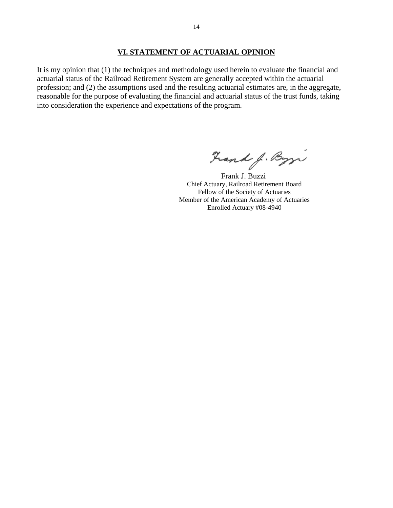#### **VI. STATEMENT OF ACTUARIAL OPINION**

It is my opinion that (1) the techniques and methodology used herein to evaluate the financial and actuarial status of the Railroad Retirement System are generally accepted within the actuarial profession; and (2) the assumptions used and the resulting actuarial estimates are, in the aggregate, reasonable for the purpose of evaluating the financial and actuarial status of the trust funds, taking into consideration the experience and expectations of the program.

Frank J. Byzi

 Frank J. Buzzi Chief Actuary, Railroad Retirement Board Fellow of the Society of Actuaries Member of the American Academy of Actuaries Enrolled Actuary #08-4940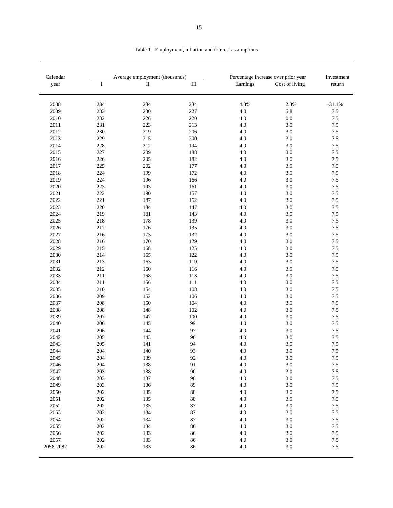| Calendar  |     | Average employment (thousands) |                  |          | Percentage increase over prior year | Investment |
|-----------|-----|--------------------------------|------------------|----------|-------------------------------------|------------|
| year      | I   | $\overline{\mathbf{u}}$        | $\overline{III}$ | Earnings | Cost of living                      | return     |
|           |     |                                |                  |          |                                     |            |
| 2008      | 234 | 234                            | 234              | 4.8%     | 2.3%                                | $-31.1%$   |
| 2009      | 233 | 230                            | 227              | 4.0      | 5.8                                 | $7.5\,$    |
| 2010      | 232 | 226                            | 220              | 4.0      | 0.0                                 | 7.5        |
| 2011      | 231 | 223                            | 213              | 4.0      | 3.0                                 | $7.5\,$    |
| 2012      | 230 | 219                            | 206              | 4.0      | 3.0                                 | 7.5        |
| 2013      | 229 | 215                            | 200              | 4.0      | 3.0                                 | $7.5\,$    |
| 2014      | 228 | 212                            | 194              | 4.0      | 3.0                                 | 7.5        |
| 2015      | 227 | 209                            | 188              | 4.0      | 3.0                                 | $7.5\,$    |
| 2016      | 226 | 205                            | 182              | 4.0      | 3.0                                 | $7.5\,$    |
| 2017      | 225 | 202                            | 177              | 4.0      | 3.0                                 | 7.5        |
| 2018      | 224 | 199                            | 172              | 4.0      | 3.0                                 | 7.5        |
| 2019      | 224 | 196                            | 166              | 4.0      | 3.0                                 | 7.5        |
| 2020      | 223 | 193                            | 161              | 4.0      | 3.0                                 | $7.5\,$    |
| 2021      | 222 | 190                            | 157              | 4.0      | 3.0                                 | $7.5\,$    |
| 2022      | 221 | 187                            | 152              | 4.0      | 3.0                                 | 7.5        |
| 2023      | 220 | 184                            | 147              | 4.0      | 3.0                                 | $7.5\,$    |
| 2024      | 219 | 181                            | 143              | 4.0      | 3.0                                 | 7.5        |
| 2025      | 218 | 178                            | 139              | 4.0      | 3.0                                 | $7.5\,$    |
| 2026      | 217 | 176                            | 135              | 4.0      | 3.0                                 | 7.5        |
| 2027      | 216 | 173                            | 132              | 4.0      | 3.0                                 | 7.5        |
| 2028      | 216 | 170                            | 129              | 4.0      | 3.0                                 | 7.5        |
| 2029      | 215 | 168                            | 125              | 4.0      | 3.0                                 | 7.5        |
| 2030      | 214 | 165                            | 122              | 4.0      | 3.0                                 | $7.5\,$    |
| 2031      | 213 | 163                            | 119              | 4.0      | 3.0                                 | 7.5        |
| 2032      | 212 | 160                            | 116              | 4.0      | 3.0                                 | 7.5        |
| 2033      | 211 | 158                            | 113              | 4.0      | 3.0                                 | 7.5        |
| 2034      | 211 | 156                            | 111              | 4.0      | 3.0                                 | $7.5\,$    |
| 2035      | 210 | 154                            | 108              | 4.0      | 3.0                                 | 7.5        |
| 2036      | 209 | 152                            | 106              | 4.0      | 3.0                                 | 7.5        |
| 2037      | 208 | 150                            | 104              | 4.0      | 3.0                                 | 7.5        |
| 2038      | 208 | 148                            | 102              | 4.0      | 3.0                                 | 7.5        |
| 2039      | 207 | 147                            | 100              | 4.0      | 3.0                                 | 7.5        |
| 2040      | 206 | 145                            | 99               | 4.0      | 3.0                                 | 7.5        |
| 2041      | 206 | 144                            | 97               | 4.0      | 3.0                                 | $7.5\,$    |
| 2042      | 205 | 143                            | 96               | 4.0      | 3.0                                 | 7.5        |
| 2043      | 205 | 141                            | 94               | 4.0      | 3.0                                 | 7.5        |
| 2044      | 204 | 140                            | 93               | 4.0      | 3.0                                 | $7.5\,$    |
| 2045      | 204 | 139                            | 92               | 4.0      | $3.0\,$                             | $7.5\,$    |
| 2046      | 204 | 138                            | 91               | 4.0      | 3.0                                 | $7.5\,$    |
| 2047      | 203 | 138                            | $90\,$           | $4.0\,$  | 3.0                                 | $7.5\,$    |
| 2048      | 203 | 137                            | 90               | 4.0      | 3.0                                 | $7.5\,$    |
| 2049      | 203 | 136                            | 89               | 4.0      | 3.0                                 | $7.5\,$    |
| 2050      | 202 | 135                            | $88\,$           | $4.0\,$  | 3.0                                 | $7.5\,$    |
| 2051      | 202 | 135                            | $88\,$           | 4.0      | 3.0                                 | $7.5\,$    |
| 2052      | 202 | 135                            | $87\,$           | 4.0      | 3.0                                 | $7.5\,$    |
| 2053      | 202 | 134                            | 87               | 4.0      | 3.0                                 | 7.5        |
| 2054      | 202 | 134                            | $87\,$           | $4.0\,$  | 3.0                                 | $7.5\,$    |
| 2055      | 202 | 134                            | 86               | $4.0\,$  | 3.0                                 | $7.5\,$    |
| 2056      | 202 | 133                            | 86               | 4.0      | 3.0                                 | 7.5        |
| 2057      | 202 | 133                            | 86               | 4.0      | 3.0                                 | $7.5\,$    |
| 2058-2082 | 202 | 133                            | 86               | 4.0      | $3.0\,$                             | $7.5\,$    |
|           |     |                                |                  |          |                                     |            |

Table 1. Employment, inflation and interest assumptions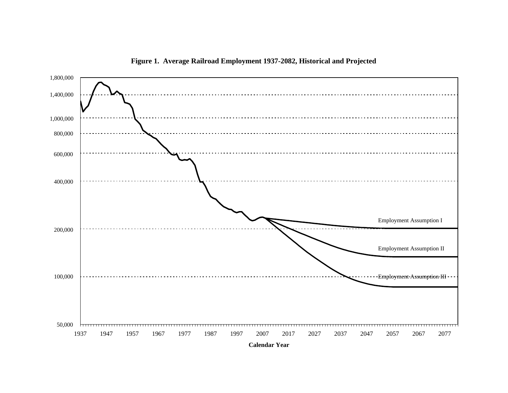

**Figure 1. Average Railroad Employment 1937-2082, Historical and Projected**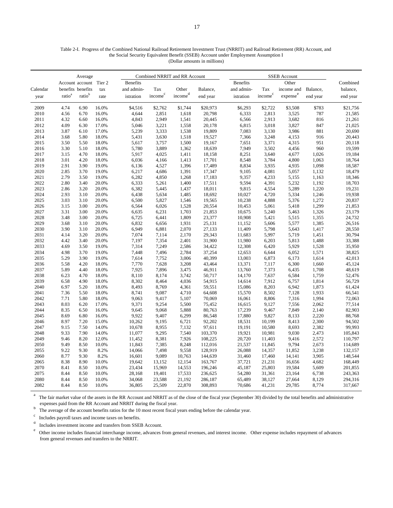#### Table 2-I. Progress of the Combined National Railroad Retirement Investment Trust (NRRIT) and Railroad Retirement (RR) Account, and the Social Security Equivalent Benefit (SSEB) Account under Employment Assumption I (Dollar amounts in millions)

|              | Average            |                        |                |                 | Combined NRRIT and RR Account |                                       |                  |  |                  | SSEB Account        |                      |                |                  |
|--------------|--------------------|------------------------|----------------|-----------------|-------------------------------|---------------------------------------|------------------|--|------------------|---------------------|----------------------|----------------|------------------|
|              |                    | Account account Tier 2 |                | <b>Benefits</b> |                               |                                       |                  |  | <b>Benefits</b>  |                     | Other                |                | Combined         |
| Calendar     |                    | benefits benefits      | tax            | and admin-      | Tax                           | Other                                 | Balance,         |  | and admin-       | Tax                 | income and           | Balance,       | balance,         |
| year         | ratio <sup>a</sup> | ratio <sup>b</sup>     | rate           | istration       | income <sup>c</sup>           | $\mathop{\mathrm{income}}\nolimits^d$ | end year         |  | istration        | income <sup>c</sup> | expense <sup>e</sup> | end year       | end year         |
| 2009         | 4.74               | 6.90                   | 16.0%          | \$4,516         | \$2,762                       | \$1,744                               | \$20,973         |  | \$6,293          | \$2,722             | \$3,508              | \$783          | \$21,756         |
| 2010         | 4.56               | 6.70                   | 16.0%          | 4,644           | 2,851                         | 1,618                                 | 20,798           |  | 6,333            | 2,813               | 3,525                | 787            | 21,585           |
| 2011         | 4.32               | 6.60                   | 16.0%          | 4,843           | 2,949                         | 1,541                                 | 20,445           |  | 6,566            | 2,913               | 3,682                | 816            | 21,261           |
| 2012         | 4.09               | 6.30                   | 17.0%          | 5,046           | 3,221                         | 1,558                                 | 20,178           |  | 6,815            | 3,018               | 3,827                | 847            | 21,025           |
| 2013         | 3.87               | 6.10                   | 17.0%          | 5,239           | 3,333                         | 1,538                                 | 19,809           |  | 7,083            | 3,130               | 3,986                | 881            | 20,690           |
| 2014         | 3.68               | 5.80                   | 18.0%          | 5,431           | 3,630                         | 1,518                                 | 19,527           |  | 7,366            | 3,248               | 4,153                | 916            | 20,443           |
| 2015         | 3.50               | 5.50                   | 18.0%          | 5,617           | 3,757                         | 1,500                                 | 19,167           |  | 7,651            | 3,371               | 4,315                | 951            | 20,118           |
| 2016         | 3.30               | 5.10                   | 18.0%          | 5,780           | 3,889                         | 1,362                                 | 18,639           |  | 7,949            | 3,502               | 4,456                | 960            | 19,599           |
| 2017         | 3.15               | 4.70                   | 18.0%          | 5,917           | 4,025                         | 1,411                                 | 18,158           |  | 8,251            | 3,640               | 4,677                | 1,026          | 19,184           |
| 2018         | 3.01               | 4.20                   | 18.0%          | 6,036           | 4,166                         | 1,413                                 | 17,701           |  | 8,548            | 3,784               | 4,800                | 1,063          | 18,764           |
| 2019         | 2.91               | 3.90                   | 19.0%          | 6,136           | 4,527                         | 1,396                                 | 17,489           |  | 8,834            | 3,935               | 4,935                | 1,098          | 18,587           |
| 2020         | 2.85               | 3.70                   | 19.0%          | 6,217           | 4,686                         | 1,391                                 | 17,347           |  | 9,105            | 4,081               | 5,057                | 1,132          | 18,479           |
| 2021         | 2.79               | 3.50                   | 19.0%          | 6,282           | 4,850                         | 1,268                                 | 17,183           |  | 9,357            | 4,233               | 5,155                | 1,163          | 18,346           |
| 2022         | 2.80               | 3.40                   | 20.0%          | 6,333           | 5,261                         | 1,400                                 | 17,511           |  | 9,594            | 4,391               | 5,232                | 1,192          | 18,703           |
| 2023         | 2.86               | 3.20                   | 20.0%          | 6,382           | 5,445                         | 1,437                                 | 18,011           |  | 9,815            | 4,554               | 5,289                | 1,220          | 19,231           |
| 2024         | 2.93               | 3.10                   | 20.0%          | 6,438           | 5,634                         | 1,485                                 | 18,692           |  | 10,027           | 4,720               | 5,334                | 1,246          | 19,938           |
| 2025         | 3.03               | 3.10                   | 20.0%          | 6,500           | 5,827                         | 1,546                                 | 19,565           |  | 10,238           | 4,888               | 5,376                | 1,272          | 20,837           |
| 2026         | 3.15               | 3.00                   | 20.0%          | 6,564           | 6,026                         | 1,528                                 | 20,554           |  | 10,453           | 5,061               | 5,418                | 1,299          | 21,853           |
| 2027         | 3.31               | 3.00                   | 20.0%          | 6,635           | 6,231                         | 1,703                                 | 21,853           |  | 10,675           | 5,240               | 5,463                | 1,326          | 23,179           |
| 2028         | 3.48               | 3.00                   | 20.0%          | 6,725           | 6,441                         | 1,809                                 | 23,377           |  | 10,908           | 5,421               | 5,515                | 1,355          | 24,732           |
| 2029         | 3.68               | 3.10                   | 20.0%          | 6,832           | 6,656                         | 1,931                                 | 25,131           |  | 11,152           | 5,606               | 5,577                | 1,385          | 26,516           |
| 2030         | 3.90               | 3.10                   | 20.0%          | 6,949           | 6,881                         | 2,070                                 | 27,133           |  | 11,409           | 5,798               | 5,643                | 1,417          | 28,550           |
| 2031         | 4.14               | 3.20                   | 20.0%          | 7,074           | 7,114                         | 2,170                                 | 29,343           |  | 11,683           | 5,997               | 5,719                | 1,451          | 30,794           |
| 2032<br>2033 | 4.42<br>4.69       | 3.40<br>3.50           | 20.0%<br>19.0% | 7,197           | 7,354                         | 2,401                                 | 31,900           |  | 11,980           | 6,203<br>6,420      | 5,813<br>5,929       | 1,488          | 33,388           |
|              | 4.98               | 3.70                   |                | 7,314           | 7,249                         | 2,586                                 | 34,422<br>37,254 |  | 12,308           |                     | 6,052                | 1,528          | 35,950           |
| 2034<br>2035 | 5.29               | 3.90                   | 19.0%<br>19.0% | 7,448<br>7,614  | 7,496<br>7,752                | 2,784<br>3,006                        | 40,399           |  | 12,653<br>13,003 | 6,644<br>6,873      | 6,173                | 1,571<br>1,614 | 38,825<br>42,013 |
| 2036         | 5.58               | 4.20                   | 18.0%          | 7,770           | 7,628                         | 3,208                                 | 43,464           |  | 13,371           | 7,117               | 6,300                | 1,660          | 45,124           |
| 2037         | 5.89               | 4.40                   | 18.0%          | 7,925           | 7,896                         | 3,475                                 | 46,911           |  | 13,760           | 7,373               | 6,435                | 1,708          | 48,619           |
| 2038         | 6.23               | 4.70                   | 18.0%          | 8,110           | 8,174                         | 3,742                                 | 50,717           |  | 14,170           | 7,637               | 6,584                | 1,759          | 52,476           |
| 2039         | 6.58               | 4.90                   | 18.0%          | 8,302           | 8,464                         | 4,036                                 | 54,915           |  | 14,614           | 7,912               | 6,757                | 1,814          | 56,729           |
| 2040         | 6.97               | 5.20                   | 18.0%          | 8,493           | 8,769                         | 4,361                                 | 59,551           |  | 15,086           | 8,203               | 6,942                | 1,873          | 61,424           |
| 2041         | 7.36               | 5.50                   | 18.0%          | 8,741           | 9,087                         | 4,710                                 | 64,608           |  | 15,570           | 8,502               | 7,128                | 1,933          | 66,541           |
| 2042         | 7.71               | 5.80                   | 18.0%          | 9,063           | 9,417                         | 5,107                                 | 70,069           |  | 16,061           | 8,806               | 7,316                | 1,994          | 72,063           |
| 2043         | 8.03               | 6.20                   | 17.0%          | 9,371           | 9,254                         | 5,500                                 | 75,452           |  | 16,615           | 9,127               | 7,556                | 2,062          | 77,514           |
| 2044         | 8.35               | 6.50                   | 16.0%          | 9,645           | 9,068                         | 5,888                                 | 80,763           |  | 17,239           | 9,467               | 7,849                | 2,140          | 82,903           |
| 2045         | 8.69               | 6.80                   | 16.0%          | 9,922           | 9,407                         | 6,299                                 | 86,548           |  | 17,880           | 9,827               | 8,133                | 2,220          | 88,768           |
| 2046         | 8.97               | 7.20                   | 15.0%          | 10,262          | 9,195                         | 6,721                                 | 92,202           |  | 18,531           | 10,199              | 8,413                | 2,300          | 94,502           |
| 2047         | 9.15               | 7.50                   | 14.0%          | 10,678          | 8,955                         | 7,132                                 | 97,611           |  | 19,191           | 10,580              | 8,693                | 2,382          | 99,993           |
| 2048         | 9.33               | 7.90                   | 14.0%          | 11,077          | 9,295                         | 7,540                                 | 103,370          |  | 19,921           | 10,981              | 9,030                | 2,473          | 105,843          |
| 2049         | 9.46               | 8.20                   | 12.0%          | 11,452          | 8,381                         | 7,926                                 | 108,225          |  | 20,720           | 11,403              | 9,416                | 2,572          | 110,797          |
| 2050         | 9.49               | 8.50                   | 10.0%          | 11,843          | 7,385                         | 8,248                                 | 112,016          |  | 21,537           | 11,845              | 9,794                | 2,673          | 114,689          |
| 2055         | 9.22               | 9.30                   | 8.2%           | 14,066          | 7,498                         | 9,558                                 | 128,919          |  | 26,088           | 14,357              | 11,852               | 3,238          | 132,157          |
| 2060         | 8.77               | 9.30                   | 8.2%           | 16,601          | 9,089                         | 10,763                                | 144,639          |  | 31,460           | 17,460              | 14,141               | 3,905          | 148,544          |
| 2065         | 8.38               | 8.90                   | 10.0%          | 19,642          | 13,152                        | 12,154                                | 163,767          |  | 37,721           | 21,231              | 16,656               | 4,682          | 168,449          |
| 2070         | 8.41               | 8.50                   | 10.0%          | 23,434          | 15,969                        | 14,553                                | 196,246          |  | 45,187           | 25,803              | 19,584               | 5,609          | 201,855          |
| 2075         | 8.44               | 8.50                   | 10.0%          | 28,168          | 19,401                        | 17,533                                | 236,625          |  | 54,280           | 31,361              | 23,164               | 6,738          | 243,363          |
| 2080         | 8.44               | 8.50                   | 10.0%          | 34,068          | 23,588                        | 21,192                                | 286,187          |  | 65,489           | 38,127              | 27,664               | 8,129          | 294,316          |
| 2082         | 8.44               | 8.50                   | 10.0%          | 36,805          | 25,509                        | 22,870                                | 308,893          |  | 70,686           | 41,231              | 29,785               | 8,774          | 317,667          |

a The fair market value of the assets in the RR Account and NRRIT as of the close of the fiscal year (September 30) divided by the total benefits and administrative expenses paid from the RR Account and NRRIT during the fisc

b The average of the account benefits ratios for the 10 most recent fiscal years ending before the calendar year.

Includes payroll taxes and income taxes on benefits. c

d Includes investment income and transfers from SSEB Account.

e Other income includes financial interchange income, advances from general revenues, and interest income. Other expense includes repayment of advances from general revenues and transfers to the NRRIT.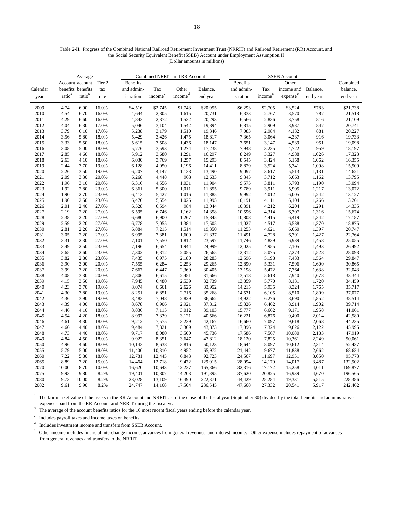#### Table 2-II. Progress of the Combined National Railroad Retirement Investment Trust (NRRIT) and Railroad Retirement (RR) Account, and the Social Security Equivalent Benefit (SSEB) Account under Employment Assumption II (Dollar amounts in millions)

|          | Average            |                        |       |                 |                     | Combined NRRIT and RR Account |          |                 | <b>SSEB</b> Account |                      |          |          |
|----------|--------------------|------------------------|-------|-----------------|---------------------|-------------------------------|----------|-----------------|---------------------|----------------------|----------|----------|
|          |                    | Account account Tier 2 |       | <b>Benefits</b> |                     |                               |          | <b>Benefits</b> |                     | Other                |          | Combined |
| Calendar |                    | benefits benefits      | tax   | and admin-      | Tax                 | Other                         | Balance, | and admin-      | Tax                 | income and           | Balance, | balance, |
| year     | ratio <sup>a</sup> | ratio <sup>b</sup>     | rate  | istration       | income <sup>c</sup> | income <sup>d</sup>           | end year | istration       | income <sup>c</sup> | expense <sup>e</sup> | end year | end year |
| 2009     | 4.74               | 6.90                   | 16.0% | \$4,516         | \$2,745             | \$1,743                       | \$20,955 | \$6,293         | \$2,705             | \$3,524              | \$783    | \$21,738 |
| 2010     | 4.54               | 6.70                   | 16.0% | 4,644           | 2,805               | 1,615                         | 20,731   | 6,333           | 2,767               | 3,570                | 787      | 21,518   |
| 2011     | 4.29               | 6.60                   | 16.0% | 4,843           | 2,872               | 1,532                         | 20,293   | 6,566           | 2,836               | 3,758                | 816      | 21,109   |
| 2012     | 4.04               | 6.30                   | 17.0% | 5,046           | 3,104               | 1,542                         | 19,894   | 6,815           | 2,909               | 3,937                | 847      | 20,741   |
| 2013     | 3.79               | 6.10                   | 17.0% | 5,238           | 3,179               | 1,510                         | 19,346   | 7,083           | 2,984               | 4,132                | 881      | 20,227   |
| 2014     | 3.56               | 5.80                   | 18.0% | 5,429           | 3,426               | 1,475                         | 18,817   | 7,365           | 3,064               | 4,337                | 916      | 19,733   |
| 2015     | 3.33               | 5.50                   | 18.0% | 5,615           | 3,508               | 1,436                         | 18,147   | 7,651           | 3,147               | 4,539                | 951      | 19,098   |
| 2016     | 3.08               | 5.00                   | 18.0% | 5,776           | 3,593               | 1,274                         | 17,238   | 7,948           | 3,235               | 4,722                | 959      | 18,197   |
| 2017     | 2.85               | 4.60                   | 18.0% | 5,912           | 3,680               | 1,291                         | 16,297   | 8,249           | 3,327               | 4,988                | 1,026    | 17,323   |
| 2018     | 2.63               | 4.10                   | 18.0% | 6,030           | 3,769               | 1,257                         | 15,293   | 8,545           | 3,424               | 5,158                | 1,062    | 16,355   |
| 2019     | 2.44               | 3.70                   | 19.0% | 6,128           | 4,050               | 1,196                         | 14,411   | 8,829           | 3,524               | 5,341                | 1,098    | 15,509   |
| 2020     | 2.26               | 3.50                   | 19.0% | 6,207           | 4,147               | 1,138                         | 13,490   | 9,097           | 3,617               | 5,513                | 1,131    | 14,621   |
| 2021     | 2.09               | 3.30                   | 20.0% | 6,268           | 4,448               | 963                           | 12,633   | 9,345           | 3,712               | 5,663                | 1,162    | 13,795   |
| 2022     | 1.96               | 3.10                   | 20.0% | 6,316           | 4,556               | 1,031                         | 11,904   | 9,575           | 3,811               | 5,793                | 1,190    | 13,094   |
| 2023     | 1.92               | 2.80                   | 23.0% | 6,361           | 5,300               | 1,011                         | 11,855   | 9,789           | 3,911               | 5,905                | 1,217    | 13,072   |
| 2024     | 1.90               | 2.70                   | 23.0% | 6,413           | 5,427               | 1,016                         | 11,885   | 9,992           | 4,012               | 6,005                | 1,242    | 13,127   |
| 2025     | 1.90               | 2.50                   | 23.0% | 6,470           | 5,554               | 1,025                         | 11,995   | 10,191          | 4,111               | 6,104                | 1,266    | 13,261   |
| 2026     | 2.01               | 2.40                   | 27.0% | 6,528           | 6,594               | 984                           | 13,044   | 10,391          | 4,212               | 6,204                | 1,291    | 14,335   |
| 2027     | 2.19               | 2.20                   | 27.0% | 6,595           | 6,746               | 1,162                         | 14,358   | 10,596          | 4,314               | 6,307                | 1,316    | 15,674   |
| 2028     | 2.38               | 2.20                   | 27.0% | 6,680           | 6,900               | 1,267                         | 15,845   | 10,808          | 4,415               | 6,419                | 1,342    | 17,187   |
| 2029     | 2.59               | 2.20                   | 27.0% | 6,778           | 7,055               | 1,384                         | 17,505   | 11,027          | 4,517               | 6,538                | 1,370    | 18,875   |
| 2030     | 2.81               | 2.20                   | 27.0% | 6,884           | 7,215               | 1,514                         | 19,350   | 11,253          | 4,621               | 6,660                | 1,397    | 20,747   |
| 2031     | 3.05               | 2.20                   | 27.0% | 6,995           | 7,381               | 1,600                         | 21,337   | 11,491          | 4,728               | 6,791                | 1,427    | 22,764   |
| 2032     | 3.31               | 2.30                   | 27.0% | 7,101           | 7,550               | 1,812                         | 23,597   | 11,746          | 4,839               | 6,939                | 1,458    | 25,055   |
| 2033     | 3.49               | 2.50                   | 23.0% | 7,196           | 6,654               | 1,944                         | 24,999   | 12,025          | 4,955               | 7,105                | 1,493    | 26,492   |
| 2034     | 3.65               | 2.60                   | 23.0% | 7,302           | 6,812               | 2,055                         | 26,565   | 12,312          | 5,075               | 7,273                | 1,528    | 28,093   |
| 2035     | 3.82               | 2.80                   | 23.0% | 7,435           | 6,975               | 2,180                         | 28,283   | 12,596          | 5,198               | 7,433                | 1,564    | 29,847   |
| 2036     | 3.90               | 3.00                   | 20.0% | 7,555           | 6,284               | 2,253                         | 29,265   | 12,890          | 5,331               | 7,596                | 1,600    | 30,865   |
| 2037     | 3.99               | 3.20                   | 20.0% | 7,667           | 6,447               | 2,360                         | 30,405   | 13,198          | 5,472               | 7,764                | 1,638    | 32,043   |
| 2038     | 4.08               | 3.30                   | 20.0% | 7,806           | 6,615               | 2,451                         | 31,666   | 13,518          | 5,618               | 7,940                | 1,678    | 33,344   |
| 2039     | 4.15               | 3.50                   | 19.0% | 7,945           | 6,480               | 2,539                         | 32,739   | 13,859          | 5,770               | 8,131                | 1,720    | 34,459   |
| 2040     | 4.23               | 3.70                   | 19.0% | 8,074           | 6,661               | 2,626                         | 33,952   | 14,215          | 5,935               | 8,324                | 1,765    | 35,717   |
| 2041     | 4.30               | 3.80                   | 19.0% | 8,251           | 6,851               | 2,716                         | 35,268   | 14,571          | 6,105               | 8,510                | 1,809    | 37,077   |
| 2042     | 4.36               | 3.90                   | 19.0% | 8,483           | 7,048               | 2,829                         | 36,662   | 14,922          | 6,276               | 8,690                | 1,852    | 38,514   |
| 2043     | 4.39               | 4.00                   | 18.0% | 8,678           | 6,906               | 2,921                         | 37,812   | 15,326          | 6,462               | 8,914                | 1,902    | 39,714   |
| 2044     | 4.46               | 4.10                   | 18.0% | 8,836           | 7,115               | 3,012                         | 39,103   | 15,777          | 6,662               | 9,171                | 1,958    | 41,061   |
| 2045     | 4.54               | 4.20                   | 18.0% | 8,997           | 7,339               | 3,121                         | 40,566   | 16,221          | 6,876               | 9,400                | 2,014    | 42,580   |
| 2046     | 4.61               | 4.30                   | 18.0% | 9,212           | 7,575               | 3,239                         | 42,167   | 16,660          | 7,097               | 9,618                | 2,068    | 44,235   |
| 2047     | 4.66               | 4.40                   | 18.0% | 9,484           | 7,821               | 3,369                         | 43,873   | 17,096          | 7,324               | 9,826                | 2,122    | 45,995   |
| 2048     | 4.73               | 4.40                   | 18.0% | 9,717           | 8,080               | 3,500                         | 45,736   | 17,586          | 7,567               | 10,080               | 2,183    | 47,919   |
| 2049     | 4.84               | 4.50                   | 18.0% | 9,922           | 8,351               | 3,647                         | 47,812   | 18,120          | 7,825               | 10,361               | 2,249    | 50,061   |
| 2050     | 4.96               | 4.60                   | 18.0% | 10,143          | 8,638               | 3,816                         | 50,123   | 18,644          | 8,097               | 10,612               | 2,314    | 52,437   |
| 2055     | 5.79               | 5.00                   | 18.0% | 11,400          | 10,310              | 4,952                         | 65,972   | 21,442          | 9,677               | 11,838               | 2,662    | 68,634   |
| 2060     | 7.22               | 5.80                   | 18.0% | 12,781          | 12,445              | 6,843                         | 92,723   | 24,567          | 11,697              | 12,951               | 3,050    | 95,773   |
| 2065     | 8.89               | 7.20                   | 15.0% | 14,464          | 12,718              | 9,472                         | 129,015  | 28,094          | 14,170              | 14,017               | 3,487    | 132,502  |
| 2070     | 10.00              | 8.70                   | 10.0% | 16,620          | 10,643              | 12,237                        | 165,866  | 32,316          | 17,172              | 15,258               | 4,011    | 169,877  |
| 2075     | 9.93               | 9.80                   | 8.2%  | 19,401          | 10,807              | 14,203                        | 191,895  | 37,620          | 20,825              | 16,939               | 4,670    | 196,565  |
| 2080     | 9.73               | 10.00                  | 8.2%  | 23,028          | 13,109              | 16,490                        | 222,871  | 44,429          | 25,284              | 19,331               | 5,515    | 228,386  |
| 2082     | 9.61               | 9.90                   | 8.2%  | 24,747          | 14,168              | 17,504                        | 236,545  | 47,668          | 27,332              | 20,541               | 5,917    | 242,462  |

a The fair market value of the assets in the RR Account and NRRIT as of the close of the fiscal year (September 30) divided by the total benefits and administrative expenses paid from the RR Account and NRRIT during the fisc

b The average of the account benefits ratios for the 10 most recent fiscal years ending before the calendar year.

Includes payroll taxes and income taxes on benefits. c

d Includes investment income and transfers from SSEB Account.

e Other income includes financial interchange income, advances from general revenues, and interest income. Other expense includes repayment of advances from general revenues and transfers to the NRRIT.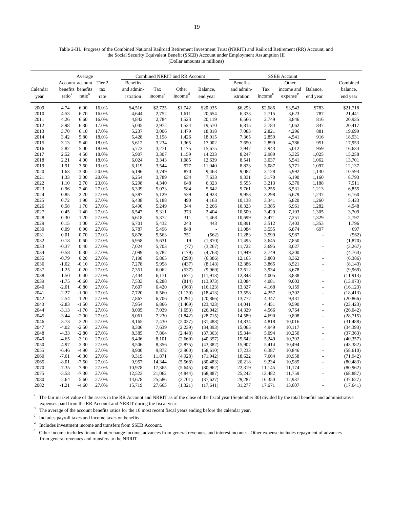#### Table 2-III. Progress of the Combined National Railroad Retirement Investment Trust (NRRIT) and Railroad Retirement (RR) Account, and the Social Security Equivalent Benefit (SSEB) Account under Employment Assumption III (Dollar amounts in millions)

|              | Average            |                        |                |                 |                     | Combined NRRIT and RR Account |                        |                  | <b>SSEB</b> Account |                      |                                  |                        |
|--------------|--------------------|------------------------|----------------|-----------------|---------------------|-------------------------------|------------------------|------------------|---------------------|----------------------|----------------------------------|------------------------|
|              |                    | Account account Tier 2 |                | <b>Benefits</b> |                     |                               |                        | <b>Benefits</b>  |                     | Other                |                                  | Combined               |
| Calendar     |                    | benefits benefits      | tax            | and admin-      | Tax                 | Other                         | Balance,               | and admin-       | Tax                 | income and           | Balance,                         | balance,               |
| year         | ratio <sup>a</sup> | ratio <sup>b</sup>     | rate           | istration       | income <sup>c</sup> | income <sup>d</sup>           | end year               | istration        | income <sup>c</sup> | expense <sup>e</sup> | end year                         | end year               |
| 2009         | 4.74               | 6.90                   | 16.0%          | \$4,516         | \$2,725             | \$1,742                       | \$20,935               | \$6,293          | \$2,686             | \$3,543              | \$783                            | \$21,718               |
| 2010         | 4.53               | 6.70                   | 16.0%          | 4,644           | 2,752               | 1,611                         | 20,654                 | 6,333            | 2,715               | 3,623                | 787                              | 21,441                 |
| 2011         | 4.26               | 6.60                   | 16.0%          | 4,842           | 2,784               | 1,523                         | 20,119                 | 6,566            | 2,749               | 3,846                | 816                              | 20,935                 |
| 2012         | 3.98               | 6.30                   | 17.0%          | 5,045           | 2,972               | 1,524                         | 19,570                 | 6,815            | 2,784               | 4,062                | 847                              | 20,417                 |
| 2013         | 3.70               | 6.10                   | 17.0%          | 5,237           | 3,006               | 1,479                         | 18,818                 | 7,083            | 2,821               | 4,296                | 881                              | 19,699                 |
| 2014         | 3.42               | 5.80                   | 18.0%          | 5,428           | 3,198               | 1,426                         | 18,015                 | 7,365            | 2,859               | 4,541                | 916                              | 18,931                 |
| 2015         | 3.13               | 5.40                   | 18.0%          | 5,612           | 3,234               | 1,365                         | 17,002                 | 7,650            | 2,899               | 4,786                | 951                              | 17,953                 |
| 2016         | 2.82               | 5.00                   | 18.0%          | 5,773           | 3,271               | 1,175                         | 15,675                 | 7,947            | 2,943               | 5,012                | 959                              | 16,634                 |
| 2017         | 2.52               | 4.50                   | 18.0%          | 5,907           | 3,307               | 1,159                         | 14,233                 | 8,247            | 2,989               | 5,325                | 1,025                            | 15,258                 |
| 2018         | 2.21               | 4.00                   | 18.0%          | 6,024           | 3,343               | 1,085                         | 12,639                 | 8,541            | 3,037               | 5,541                | 1,062                            | 13,701                 |
| 2019         | 1.91               | 3.60                   | 19.0%          | 6,119           | 3,544               | 977                           | 11,040                 | 8,823            | 3,087               | 5,771                | 1,097                            | 12,137                 |
| 2020         | 1.63               | 3.30                   | 20.0%          | 6,196           | 3,749               | 870                           | 9,463                  | 9,087            | 3,128               | 5,992                | 1,130                            | 10,593                 |
| 2021         | 1.33               | 3.00                   | 20.0%          | 6,254           | 3,789               | 634                           | 7,633                  | 9,331            | 3,170               | 6,190                | 1,160                            | 8,793                  |
| 2022         | 1.10               | 2.70                   | 23.0%          | 6,298           | 4,340               | 648                           | 6,323                  | 9,555            | 3,213               | 6,370                | 1,188                            | 7,511                  |
| 2023         | 0.96               | 2.40                   | 27.0%          | 6,339           | 5,073               | 584                           | 5,642                  | 9,761            | 3,255               | 6,531                | 1,213                            | 6,855                  |
| 2024         | 0.85               | 2.20                   | 27.0%          | 6,387           | 5,129               | 539                           | 4,923                  | 9,953            | 3,298               | 6,679                | 1,237                            | 6,160                  |
| 2025         | 0.72               | 1.90                   | 27.0%          | 6,438           | 5,188               | 490                           | 4,163                  | 10,138           | 3,341               | 6,820                | 1,260                            | 5,423                  |
| 2026         | 0.58               | 1.70                   | 27.0%          | 6,490           | 5,249               | 344                           | 3,266                  | 10,323           | 3,385               | 6,961                | 1,282                            | 4,548                  |
| 2027         | 0.45               | 1.40                   | 27.0%          | 6,547           | 5,311               | 373                           | 2,404                  | 10,509           | 3,429               | 7,103                | 1,305                            | 3,709                  |
| 2028         | 0.30               | 1.20                   | 27.0%          | 6,618           | 5,372               | 311                           | 1,468                  | 10,699           | 3,471               | 7,251                | 1,329                            | 2,797                  |
| 2029         | 0.15               | 1.00                   | 27.0%          | 6,701           | 5,432               | 243                           | 443                    | 10,891           | 3,512               | 7,403                | 1,353                            | 1,796                  |
| 2030         | 0.09               | 0.90                   | 27.0%          | 6,787           | 5,496               | 848                           |                        | 11,084           | 3,555               | 6,874                | 697                              | 697                    |
| 2031         | 0.01               | 0.70                   | 27.0%          | 6,876           | 5,563               | 751                           | (562)                  | 11,283           | 3,599               | 6,987                | $\overline{a}$                   | (562)                  |
| 2032         | $-0.18$            | 0.60                   | 27.0%          | 6,958           | 5,631               | 19                            | (1, 870)               | 11,495           | 3,645               | 7,850                |                                  | (1, 870)               |
| 2033         | $-0.37$            | 0.40                   | 27.0%          | 7,024           | 5,703               | (77)                          | (3,267)                | 11,722           | 3,695               | 8,027                | $\overline{a}$                   | (3,267)                |
| 2034         | $-0.58$            | 0.30                   | 27.0%          | 7,099           | 5,782               | (179)                         | (4,763)                | 11,949           | 3,749               | 8,200                |                                  | (4,763)                |
| 2035         | $-0.79$            | 0.20                   | 27.0%          | 7,198           | 5,865               | (290)                         | (6,386)                | 12,165           | 3,803               | 8,362                |                                  | (6,386)                |
| 2036         | $-1.02$            | $-0.10$                | 27.0%          | 7,278           | 5,958               | (437)                         | (8, 143)               | 12,386           | 3,865               | 8,521                | $\overline{a}$                   | (8, 143)               |
| 2037         | $-1.25$            | $-0.20$                | 27.0%          | 7,351           | 6,062               | (537)                         | (9,969)                | 12,612           | 3,934               | 8,678                |                                  | (9,969)                |
| 2038         | $-1.50$            | $-0.40$                | 27.0%          | 7,444           | 6,171               | (671)                         | (11, 913)              | 12,843           | 4,005               | 8.838                | $\overline{a}$                   | (11, 913)              |
| 2039         | $-1.75$            | $-0.60$                | 27.0%          | 7,533           | 6,288               | (814)                         | (13,973)               | 13,084           | 4,081               | 9,003                | $\overline{a}$                   | (13, 973)              |
| 2040         | $-2.01$            | $-0.80$                | 27.0%          | 7,607           | 6,420               | (963)                         | (16, 123)              | 13,327           | 4,168               | 9,159                | $\overline{a}$                   | (16, 123)              |
| 2041         | $-2.27$            | $-1.00$                | 27.0%<br>27.0% | 7,720           | 6,560               | (1, 130)                      | (18, 413)              | 13,558           | 4,257               | 9,302                | $\overline{a}$                   | (18, 413)              |
| 2042         | $-2.54$            | $-1.20$<br>$-1.50$     |                | 7,867           | 6,706               | (1,291)                       | (20, 866)              | 13,777           | 4,347               | 9,431                | $\overline{a}$<br>$\overline{a}$ | (20, 866)              |
| 2043<br>2044 | $-2.83$<br>$-3.13$ | $-1.70$                | 27.0%          | 7,954<br>8,005  | 6,866<br>7,039      | (1,469)                       | (23, 423)              | 14,041<br>14,329 | 4,451               | 9,590<br>9,764       |                                  | (23, 423)<br>(26, 042) |
| 2045         | $-3.44$            | $-2.00$                | 27.0%<br>27.0% | 8.061           | 7,230               | (1,653)                       | (26, 042)<br>(28, 715) | 14,589           | 4,566<br>4,690      | 9,898                |                                  | (28, 715)              |
| 2046         | $-3.73$            | $-2.20$                | 27.0%          | 8,165           | 7,430               | (1, 842)                      | (31, 488)              | 14,834           | 4,818               | 10,016               | $\overline{a}$                   | (31, 488)              |
| 2047         | $-4.02$            | $-2.50$                | 27.0%          | 8,306           | 7,639               | (2,037)<br>(2,239)            | (34, 393)              | 15,065           | 4,949               | 10,117               | $\overline{a}$                   | (34, 393)              |
| 2048         | $-4.33$            | $-2.80$                | 27.0%          | 8,385           | 7,864               | (2, 448)                      | (37, 363)              | 15,344           | 5,094               | 10,250               | $\overline{a}$                   | (37, 363)              |
| 2049         | $-4.65$            | $-3.10$                | 27.0%          | 8,436           | 8,101               | (2,660)                       | (40, 357)              | 15,642           | 5,249               | 10,392               | $\overline{a}$                   | (40, 357)              |
| 2050         | $-4.97$            | $-3.30$                | 27.0%          | 8,506           | 8,356               | (2,875)                       | (43, 382)              | 15,907           | 5,414               | 10,494               |                                  | (43, 382)              |
| 2055         | $-6.46$            | $-4.90$                | 27.0%          | 8,900           | 9,872               | (3,960)                       | (58,610)               | 17,233           | 6,387               | 10,846               | $\overline{a}$                   | (58, 610)              |
| 2060         | $-7.61$            | $-6.30$                | 27.0%          | 9,319           | 11,871              | (4,928)                       | (71, 942)              | 18,622           | 7,664               | 10,958               | $\overline{a}$                   | (71, 942)              |
| 2065         | $-8.01$            | $-7.50$                | 27.0%          | 9.957           | 14,344              | (5,568)                       | (80, 483)              | 20,218           | 9,234               | 10,985               |                                  | (80, 483)              |
| 2070         | $-7.35$            | $-7.90$                | 27.0%          | 10,978          | 17,365              | (5,645)                       | (80,962)               | 22,319           | 11,145              | 11,174               | $\overline{a}$                   | (80, 962)              |
| 2075         | $-5.53$            | $-7.30$                | 27.0%          | 12,523          | 21,062              | (4, 844)                      | (68, 887)              | 25,242           | 13,482              | 11,759               | $\overline{a}$                   | (68, 887)              |
| 2080         | $-2.64$            | $-5.60$                | 27.0%          | 14,678          | 25,586              | (2,701)                       | (37, 627)              | 29,287           | 16,350              | 12,937               |                                  | (37, 627)              |
| 2082         | $-1.21$            | $-4.60$                | 27.0%          | 15,719          | 27,665              | (1, 321)                      | (17, 641)              | 31,277           | 17,671              | 13,607               |                                  | (17, 641)              |
|              |                    |                        |                |                 |                     |                               |                        |                  |                     |                      |                                  |                        |

a The fair market value of the assets in the RR Account and NRRIT as of the close of the fiscal year (September 30) divided by the total benefits and administrative expenses paid from the RR Account and NRRIT during the fisc

b The average of the account benefits ratios for the 10 most recent fiscal years ending before the calendar year.

Includes payroll taxes and income taxes on benefits. c

d Includes investment income and transfers from SSEB Account.

e Other income includes financial interchange income, advances from general revenues, and interest income. Other expense includes repayment of advances from general revenues and transfers to the NRRIT.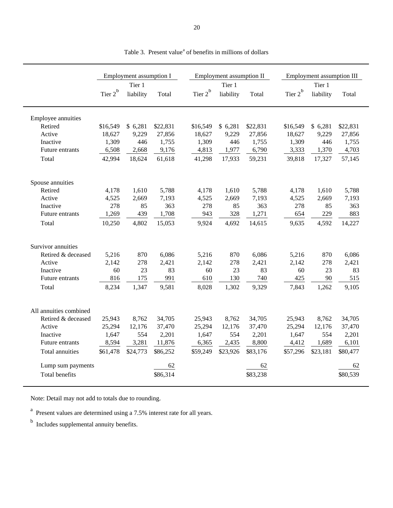|                        |            | Employment assumption I |          |            | Employment assumption II |          |            | Employment assumption III |          |
|------------------------|------------|-------------------------|----------|------------|--------------------------|----------|------------|---------------------------|----------|
|                        |            | Tier 1                  |          |            | Tier 1                   |          |            | Tier 1                    |          |
|                        | Tier $2^b$ | liability               | Total    | Tier $2^b$ | liability                | Total    | Tier $2^b$ | liability                 | Total    |
| Employee annuities     |            |                         |          |            |                          |          |            |                           |          |
| Retired                | \$16,549   | \$6,281                 | \$22,831 | \$16,549   | \$6,281                  | \$22,831 | \$16,549   | \$6,281                   | \$22,831 |
| Active                 | 18,627     | 9,229                   | 27,856   | 18,627     | 9,229                    | 27,856   | 18,627     | 9,229                     | 27,856   |
| Inactive               | 1,309      | 446                     | 1,755    | 1,309      | 446                      | 1,755    | 1,309      | 446                       | 1,755    |
| Future entrants        | 6,508      | 2,668                   | 9,176    | 4,813      | 1,977                    | 6,790    | 3,333      | 1,370                     | 4,703    |
| Total                  | 42,994     | 18,624                  | 61,618   | 41,298     | 17,933                   | 59,231   | 39,818     | 17,327                    | 57,145   |
| Spouse annuities       |            |                         |          |            |                          |          |            |                           |          |
| Retired                | 4,178      | 1,610                   | 5,788    | 4,178      | 1,610                    | 5,788    | 4,178      | 1,610                     | 5,788    |
| Active                 | 4,525      | 2,669                   | 7,193    | 4,525      | 2,669                    | 7,193    | 4,525      | 2,669                     | 7,193    |
| Inactive               | 278        | 85                      | 363      | 278        | 85                       | 363      | 278        | 85                        | 363      |
| Future entrants        | 1,269      | 439                     | 1,708    | 943        | 328                      | 1,271    | 654        | 229                       | 883      |
| Total                  | 10,250     | 4,802                   | 15,053   | 9,924      | 4,692                    | 14,615   | 9,635      | 4,592                     | 14,227   |
| Survivor annuities     |            |                         |          |            |                          |          |            |                           |          |
| Retired & deceased     | 5,216      | 870                     | 6,086    | 5,216      | 870                      | 6,086    | 5,216      | 870                       | 6,086    |
| Active                 | 2,142      | 278                     | 2,421    | 2,142      | 278                      | 2,421    | 2,142      | 278                       | 2,421    |
| Inactive               | 60         | 23                      | 83       | 60         | 23                       | 83       | 60         | 23                        | 83       |
| Future entrants        | 816        | 175                     | 991      | 610        | 130                      | 740      | 425        | 90                        | 515      |
| Total                  | 8,234      | 1,347                   | 9,581    | 8,028      | 1,302                    | 9,329    | 7,843      | 1,262                     | 9,105    |
| All annuities combined |            |                         |          |            |                          |          |            |                           |          |
| Retired & deceased     | 25,943     | 8,762                   | 34,705   | 25,943     | 8,762                    | 34,705   | 25,943     | 8,762                     | 34,705   |
| Active                 | 25,294     | 12,176                  | 37,470   | 25,294     | 12,176                   | 37,470   | 25,294     | 12,176                    | 37,470   |
| Inactive               | 1,647      | 554                     | 2,201    | 1,647      | 554                      | 2,201    | 1,647      | 554                       | 2,201    |
| Future entrants        | 8,594      | 3,281                   | 11,876   | 6,365      | 2,435                    | 8,800    | 4,412      | 1,689                     | 6,101    |
| Total annuities        | \$61,478   | \$24,773                | \$86,252 | \$59,249   | \$23,926                 | \$83,176 | \$57,296   | \$23,181                  | \$80,477 |
| Lump sum payments      |            |                         | 62       |            |                          | 62       |            |                           | 62       |
| <b>Total benefits</b>  |            |                         | \$86,314 |            |                          | \$83,238 |            |                           | \$80,539 |

Table 3. Present value<sup>a</sup> of benefits in millions of dollars

Note: Detail may not add to totals due to rounding.

<sup>a</sup> Present values are determined using a 7.5% interest rate for all years.

 $<sup>b</sup>$  Includes supplemental annuity benefits.</sup>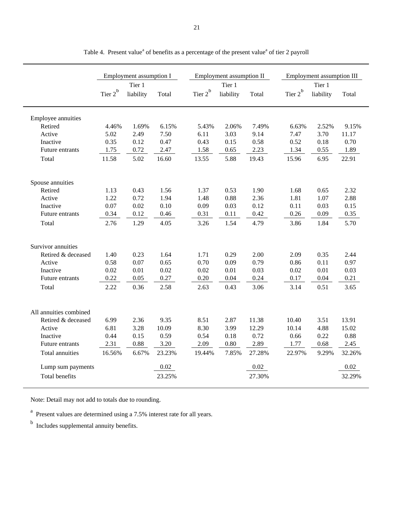|                        |            | Employment assumption I |        |            | Employment assumption II |        |            | <b>Employment assumption III</b> |        |
|------------------------|------------|-------------------------|--------|------------|--------------------------|--------|------------|----------------------------------|--------|
|                        |            | Tier 1                  |        |            | Tier 1                   |        |            | Tier 1                           |        |
|                        | Tier $2^b$ | liability               | Total  | Tier $2^b$ | liability                | Total  | Tier $2^b$ | liability                        | Total  |
| Employee annuities     |            |                         |        |            |                          |        |            |                                  |        |
| Retired                | 4.46%      | 1.69%                   | 6.15%  | 5.43%      | 2.06%                    | 7.49%  | 6.63%      | 2.52%                            | 9.15%  |
| Active                 | 5.02       | 2.49                    | 7.50   | 6.11       | 3.03                     | 9.14   | 7.47       | 3.70                             | 11.17  |
| Inactive               | 0.35       | 0.12                    | 0.47   | 0.43       | 0.15                     | 0.58   | 0.52       | 0.18                             | 0.70   |
| Future entrants        | 1.75       | 0.72                    | 2.47   | 1.58       | 0.65                     | 2.23   | 1.34       | 0.55                             | 1.89   |
| Total                  | 11.58      | 5.02                    | 16.60  | 13.55      | 5.88                     | 19.43  | 15.96      | 6.95                             | 22.91  |
| Spouse annuities       |            |                         |        |            |                          |        |            |                                  |        |
| Retired                | 1.13       | 0.43                    | 1.56   | 1.37       | 0.53                     | 1.90   | 1.68       | 0.65                             | 2.32   |
| Active                 | 1.22       | 0.72                    | 1.94   | 1.48       | 0.88                     | 2.36   | 1.81       | 1.07                             | 2.88   |
| Inactive               | 0.07       | 0.02                    | 0.10   | 0.09       | 0.03                     | 0.12   | 0.11       | 0.03                             | 0.15   |
| Future entrants        | 0.34       | 0.12                    | 0.46   | 0.31       | 0.11                     | 0.42   | 0.26       | 0.09                             | 0.35   |
| Total                  | 2.76       | 1.29                    | 4.05   | 3.26       | 1.54                     | 4.79   | 3.86       | 1.84                             | 5.70   |
| Survivor annuities     |            |                         |        |            |                          |        |            |                                  |        |
| Retired & deceased     | 1.40       | 0.23                    | 1.64   | 1.71       | 0.29                     | 2.00   | 2.09       | 0.35                             | 2.44   |
| Active                 | 0.58       | 0.07                    | 0.65   | 0.70       | 0.09                     | 0.79   | 0.86       | 0.11                             | 0.97   |
| Inactive               | 0.02       | 0.01                    | 0.02   | 0.02       | 0.01                     | 0.03   | 0.02       | 0.01                             | 0.03   |
| Future entrants        | 0.22       | 0.05                    | 0.27   | 0.20       | 0.04                     | 0.24   | 0.17       | 0.04                             | 0.21   |
| Total                  | 2.22       | 0.36                    | 2.58   | 2.63       | 0.43                     | 3.06   | 3.14       | 0.51                             | 3.65   |
|                        |            |                         |        |            |                          |        |            |                                  |        |
| All annuities combined |            |                         |        |            |                          |        |            |                                  |        |
| Retired & deceased     | 6.99       | 2.36                    | 9.35   | 8.51       | 2.87                     | 11.38  | 10.40      | 3.51                             | 13.91  |
| Active                 | 6.81       | 3.28                    | 10.09  | 8.30       | 3.99                     | 12.29  | 10.14      | 4.88                             | 15.02  |
| Inactive               | 0.44       | 0.15                    | 0.59   | 0.54       | 0.18                     | 0.72   | 0.66       | 0.22                             | 0.88   |
| Future entrants        | 2.31       | 0.88                    | 3.20   | 2.09       | 0.80                     | 2.89   | 1.77       | 0.68                             | 2.45   |
| Total annuities        | 16.56%     | 6.67%                   | 23.23% | 19.44%     | 7.85%                    | 27.28% | 22.97%     | 9.29%                            | 32.26% |
| Lump sum payments      |            |                         | 0.02   |            |                          | 0.02   |            |                                  | 0.02   |
| <b>Total benefits</b>  |            |                         | 23.25% |            |                          | 27.30% |            |                                  | 32.29% |

Table 4. Present value<sup>a</sup> of benefits as a percentage of the present value<sup>a</sup> of tier 2 payroll

Note: Detail may not add to totals due to rounding.

<sup>a</sup> Present values are determined using a 7.5% interest rate for all years.

 $<sup>b</sup>$  Includes supplemental annuity benefits.</sup>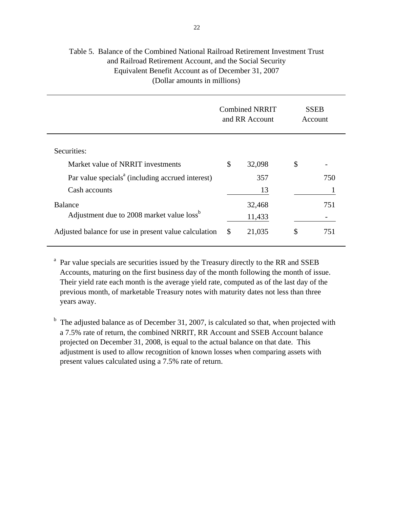#### Table 5. Balance of the Combined National Railroad Retirement Investment Trust and Railroad Retirement Account, and the Social Security Equivalent Benefit Account as of December 31, 2007 (Dollar amounts in millions)

|                                                              | <b>Combined NRRIT</b><br>and RR Account | <b>SSEB</b><br>Account |
|--------------------------------------------------------------|-----------------------------------------|------------------------|
| Securities:                                                  |                                         |                        |
| Market value of NRRIT investments                            | \$<br>32,098                            | \$                     |
| Par value specials <sup>a</sup> (including accrued interest) | 357                                     | 750                    |
| Cash accounts                                                | 13                                      |                        |
| <b>Balance</b>                                               | 32,468                                  | 751                    |
| Adjustment due to 2008 market value loss <sup>b</sup>        | 11,433                                  |                        |
| Adjusted balance for use in present value calculation        | \$<br>21,035                            | \$<br>751              |

<sup>a</sup> Par value specials are securities issued by the Treasury directly to the RR and SSEB Accounts, maturing on the first business day of the month following the month of issue. Their yield rate each month is the average yield rate, computed as of the last day of the previous month, of marketable Treasury notes with maturity dates not less than three years away.

 $<sup>b</sup>$  The adjusted balance as of December 31, 2007, is calculated so that, when projected with</sup> a 7.5% rate of return, the combined NRRIT, RR Account and SSEB Account balance projected on December 31, 2008, is equal to the actual balance on that date. This adjustment is used to allow recognition of known losses when comparing assets with present values calculated using a 7.5% rate of return.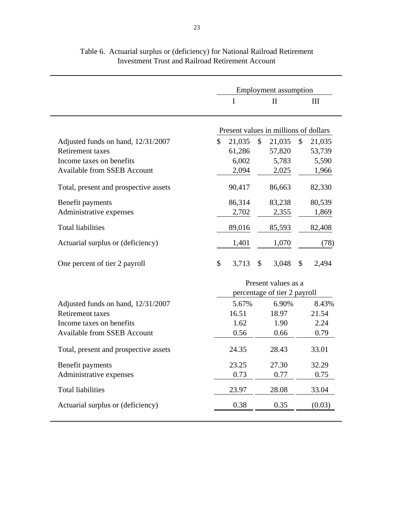| $\mathbf{I}$<br>I<br>$\mathop{\rm III}$<br>Present values in millions of dollars<br>$\mathbb{S}$<br>$\mathcal{S}$<br>$\mathcal{S}$<br>21,035<br>Adjusted funds on hand, 12/31/2007<br>21,035<br>21,035<br><b>Retirement</b> taxes<br>61,286<br>53,739<br>57,820<br>6,002<br>5,783<br>5,590<br>Income taxes on benefits<br><b>Available from SSEB Account</b><br>2,094<br>2,025<br>1,966<br>Total, present and prospective assets<br>90,417<br>86,663<br>82,330<br>86,314<br>83,238<br>80,539<br>Benefit payments<br>Administrative expenses<br>2,702<br>2,355<br>1,869<br><b>Total liabilities</b><br>89,016<br>82,408<br>85,593<br>Actuarial surplus or (deficiency)<br>1,401<br>1,070<br>(78)<br>\$<br>3,713<br>\$<br>3,048<br>\$<br>2,494<br>One percent of tier 2 payroll<br>Present values as a<br>percentage of tier 2 payroll<br>5.67%<br>6.90%<br>8.43%<br>Adjusted funds on hand, 12/31/2007<br><b>Retirement</b> taxes<br>16.51<br>18.97<br>21.54<br>1.62<br>1.90<br>2.24<br>Income taxes on benefits<br><b>Available from SSEB Account</b><br>0.56<br>0.79<br>0.66<br>24.35<br>28.43<br>33.01<br>Total, present and prospective assets<br>Benefit payments<br>23.25<br>27.30<br>32.29<br>0.73<br>0.77<br>0.75<br>Administrative expenses<br><b>Total liabilities</b><br>28.08<br>33.04<br>23.97<br>Actuarial surplus or (deficiency)<br>0.38<br>0.35<br>(0.03) | <b>Employment</b> assumption |  |  |  |  |
|---------------------------------------------------------------------------------------------------------------------------------------------------------------------------------------------------------------------------------------------------------------------------------------------------------------------------------------------------------------------------------------------------------------------------------------------------------------------------------------------------------------------------------------------------------------------------------------------------------------------------------------------------------------------------------------------------------------------------------------------------------------------------------------------------------------------------------------------------------------------------------------------------------------------------------------------------------------------------------------------------------------------------------------------------------------------------------------------------------------------------------------------------------------------------------------------------------------------------------------------------------------------------------------------------------------------------------------------------------------------------|------------------------------|--|--|--|--|
|                                                                                                                                                                                                                                                                                                                                                                                                                                                                                                                                                                                                                                                                                                                                                                                                                                                                                                                                                                                                                                                                                                                                                                                                                                                                                                                                                                           |                              |  |  |  |  |
|                                                                                                                                                                                                                                                                                                                                                                                                                                                                                                                                                                                                                                                                                                                                                                                                                                                                                                                                                                                                                                                                                                                                                                                                                                                                                                                                                                           |                              |  |  |  |  |
|                                                                                                                                                                                                                                                                                                                                                                                                                                                                                                                                                                                                                                                                                                                                                                                                                                                                                                                                                                                                                                                                                                                                                                                                                                                                                                                                                                           |                              |  |  |  |  |
|                                                                                                                                                                                                                                                                                                                                                                                                                                                                                                                                                                                                                                                                                                                                                                                                                                                                                                                                                                                                                                                                                                                                                                                                                                                                                                                                                                           |                              |  |  |  |  |
|                                                                                                                                                                                                                                                                                                                                                                                                                                                                                                                                                                                                                                                                                                                                                                                                                                                                                                                                                                                                                                                                                                                                                                                                                                                                                                                                                                           |                              |  |  |  |  |
|                                                                                                                                                                                                                                                                                                                                                                                                                                                                                                                                                                                                                                                                                                                                                                                                                                                                                                                                                                                                                                                                                                                                                                                                                                                                                                                                                                           |                              |  |  |  |  |
|                                                                                                                                                                                                                                                                                                                                                                                                                                                                                                                                                                                                                                                                                                                                                                                                                                                                                                                                                                                                                                                                                                                                                                                                                                                                                                                                                                           |                              |  |  |  |  |
|                                                                                                                                                                                                                                                                                                                                                                                                                                                                                                                                                                                                                                                                                                                                                                                                                                                                                                                                                                                                                                                                                                                                                                                                                                                                                                                                                                           |                              |  |  |  |  |
|                                                                                                                                                                                                                                                                                                                                                                                                                                                                                                                                                                                                                                                                                                                                                                                                                                                                                                                                                                                                                                                                                                                                                                                                                                                                                                                                                                           |                              |  |  |  |  |
|                                                                                                                                                                                                                                                                                                                                                                                                                                                                                                                                                                                                                                                                                                                                                                                                                                                                                                                                                                                                                                                                                                                                                                                                                                                                                                                                                                           |                              |  |  |  |  |
|                                                                                                                                                                                                                                                                                                                                                                                                                                                                                                                                                                                                                                                                                                                                                                                                                                                                                                                                                                                                                                                                                                                                                                                                                                                                                                                                                                           |                              |  |  |  |  |
|                                                                                                                                                                                                                                                                                                                                                                                                                                                                                                                                                                                                                                                                                                                                                                                                                                                                                                                                                                                                                                                                                                                                                                                                                                                                                                                                                                           |                              |  |  |  |  |
|                                                                                                                                                                                                                                                                                                                                                                                                                                                                                                                                                                                                                                                                                                                                                                                                                                                                                                                                                                                                                                                                                                                                                                                                                                                                                                                                                                           |                              |  |  |  |  |
|                                                                                                                                                                                                                                                                                                                                                                                                                                                                                                                                                                                                                                                                                                                                                                                                                                                                                                                                                                                                                                                                                                                                                                                                                                                                                                                                                                           |                              |  |  |  |  |
|                                                                                                                                                                                                                                                                                                                                                                                                                                                                                                                                                                                                                                                                                                                                                                                                                                                                                                                                                                                                                                                                                                                                                                                                                                                                                                                                                                           |                              |  |  |  |  |
|                                                                                                                                                                                                                                                                                                                                                                                                                                                                                                                                                                                                                                                                                                                                                                                                                                                                                                                                                                                                                                                                                                                                                                                                                                                                                                                                                                           |                              |  |  |  |  |
|                                                                                                                                                                                                                                                                                                                                                                                                                                                                                                                                                                                                                                                                                                                                                                                                                                                                                                                                                                                                                                                                                                                                                                                                                                                                                                                                                                           |                              |  |  |  |  |
|                                                                                                                                                                                                                                                                                                                                                                                                                                                                                                                                                                                                                                                                                                                                                                                                                                                                                                                                                                                                                                                                                                                                                                                                                                                                                                                                                                           |                              |  |  |  |  |
|                                                                                                                                                                                                                                                                                                                                                                                                                                                                                                                                                                                                                                                                                                                                                                                                                                                                                                                                                                                                                                                                                                                                                                                                                                                                                                                                                                           |                              |  |  |  |  |
|                                                                                                                                                                                                                                                                                                                                                                                                                                                                                                                                                                                                                                                                                                                                                                                                                                                                                                                                                                                                                                                                                                                                                                                                                                                                                                                                                                           |                              |  |  |  |  |
|                                                                                                                                                                                                                                                                                                                                                                                                                                                                                                                                                                                                                                                                                                                                                                                                                                                                                                                                                                                                                                                                                                                                                                                                                                                                                                                                                                           |                              |  |  |  |  |
|                                                                                                                                                                                                                                                                                                                                                                                                                                                                                                                                                                                                                                                                                                                                                                                                                                                                                                                                                                                                                                                                                                                                                                                                                                                                                                                                                                           |                              |  |  |  |  |
|                                                                                                                                                                                                                                                                                                                                                                                                                                                                                                                                                                                                                                                                                                                                                                                                                                                                                                                                                                                                                                                                                                                                                                                                                                                                                                                                                                           |                              |  |  |  |  |

Table 6. Actuarial surplus or (deficiency) for National Railroad Retirement Investment Trust and Railroad Retirement Account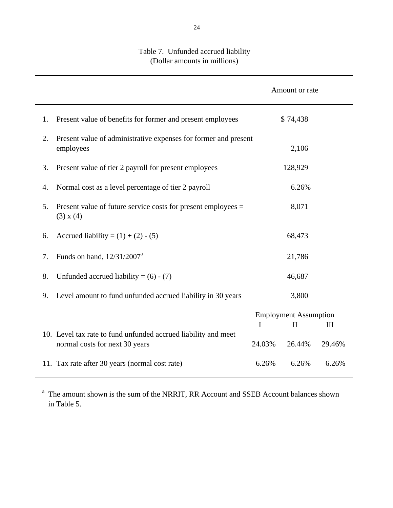|    |                                                                                                  |        | Amount or rate               |        |  |
|----|--------------------------------------------------------------------------------------------------|--------|------------------------------|--------|--|
| 1. | Present value of benefits for former and present employees                                       |        | \$74,438                     |        |  |
| 2. | Present value of administrative expenses for former and present<br>employees                     |        | 2,106                        |        |  |
| 3. | Present value of tier 2 payroll for present employees                                            |        | 128,929                      |        |  |
| 4. | Normal cost as a level percentage of tier 2 payroll                                              |        | 6.26%                        |        |  |
| 5. | Present value of future service costs for present employees $=$<br>(3) x (4)                     |        | 8,071                        |        |  |
| 6. | Accrued liability = $(1) + (2) - (5)$                                                            |        | 68,473                       |        |  |
| 7. | Funds on hand, $12/31/2007^a$                                                                    |        | 21,786                       |        |  |
| 8. | Unfunded accrued liability = $(6) - (7)$                                                         |        | 46,687                       |        |  |
| 9. | Level amount to fund unfunded accrued liability in 30 years                                      |        | 3,800                        |        |  |
|    |                                                                                                  |        | <b>Employment Assumption</b> |        |  |
|    |                                                                                                  |        | $\Pi$                        | III    |  |
|    | 10. Level tax rate to fund unfunded accrued liability and meet<br>normal costs for next 30 years | 24.03% | 26.44%                       | 29.46% |  |
|    | 11. Tax rate after 30 years (normal cost rate)                                                   | 6.26%  | 6.26%                        | 6.26%  |  |

### Table 7. Unfunded accrued liability (Dollar amounts in millions)

<sup>a</sup> The amount shown is the sum of the NRRIT, RR Account and SSEB Account balances shown in Table 5.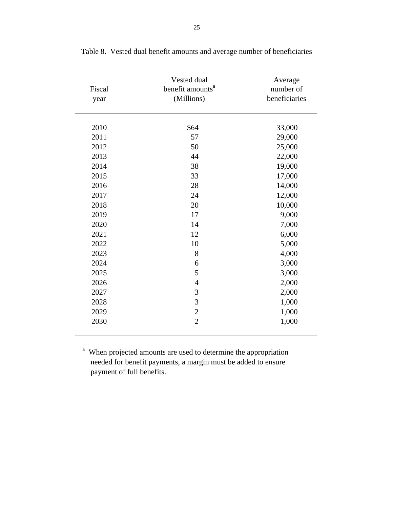| Fiscal<br>year | Vested dual<br>benefit amounts <sup>a</sup><br>(Millions) | Average<br>number of<br>beneficiaries |
|----------------|-----------------------------------------------------------|---------------------------------------|
| 2010           | \$64                                                      | 33,000                                |
| 2011           | 57                                                        | 29,000                                |
| 2012           | 50                                                        | 25,000                                |
| 2013           | 44                                                        | 22,000                                |
| 2014           | 38                                                        | 19,000                                |
| 2015           | 33                                                        |                                       |
|                |                                                           | 17,000                                |
| 2016           | 28                                                        | 14,000                                |
| 2017           | 24                                                        | 12,000                                |
| 2018           | 20                                                        | 10,000                                |
| 2019           | 17                                                        | 9,000                                 |
| 2020           | 14                                                        | 7,000                                 |
| 2021           | 12                                                        | 6,000                                 |
| 2022           | 10                                                        | 5,000                                 |
| 2023           | 8                                                         | 4,000                                 |
| 2024           | 6                                                         | 3,000                                 |
| 2025           | 5                                                         | 3,000                                 |
| 2026           | $\overline{4}$                                            | 2,000                                 |
| 2027           | 3                                                         | 2,000                                 |
| 2028           | 3                                                         | 1,000                                 |
| 2029           | $\overline{c}$                                            | 1,000                                 |
| 2030           | $\overline{2}$                                            | 1,000                                 |

Table 8. Vested dual benefit amounts and average number of beneficiaries

<sup>a</sup> When projected amounts are used to determine the appropriation needed for benefit payments, a margin must be added to ensure payment of full benefits.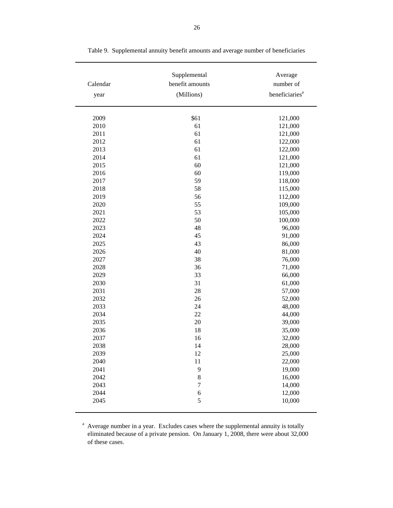| Calendar | Supplemental<br>benefit amounts | Average<br>number of       |
|----------|---------------------------------|----------------------------|
| year     | (Millions)                      | beneficiaries <sup>a</sup> |
| 2009     | \$61                            | 121,000                    |
| 2010     | 61                              | 121,000                    |
| 2011     | 61                              | 121,000                    |
| 2012     | 61                              | 122,000                    |
| 2013     | 61                              | 122,000                    |
| 2014     | 61                              | 121,000                    |
| 2015     | 60                              | 121,000                    |
| 2016     | 60                              | 119,000                    |
| 2017     | 59                              | 118,000                    |
| 2018     | 58                              | 115,000                    |
| 2019     | 56                              | 112,000                    |
| 2020     | 55                              | 109,000                    |
| 2021     | 53                              | 105,000                    |
| 2022     | 50                              | 100,000                    |
| 2023     | 48                              | 96,000                     |
| 2024     | 45                              | 91,000                     |
| 2025     | 43                              | 86,000                     |
| 2026     | 40                              | 81,000                     |
| 2027     | 38                              | 76,000                     |
| 2028     | 36                              | 71,000                     |
| 2029     | 33                              | 66,000                     |
| 2030     | 31                              | 61,000                     |
| 2031     | 28                              | 57,000                     |
| 2032     | 26                              | 52,000                     |
| 2033     | 24                              | 48,000                     |
| 2034     | 22                              | 44,000                     |
| 2035     | 20                              | 39,000                     |
| 2036     | 18                              | 35,000                     |
| 2037     | 16                              | 32,000                     |
| 2038     | 14                              | 28,000                     |
| 2039     | 12                              | 25,000                     |
| 2040     | 11                              | 22,000                     |
| 2041     | 9                               | 19,000                     |
| 2042     | 8                               | 16,000                     |
| 2043     | 7                               | 14,000                     |
| 2044     | 6                               | 12,000                     |

Table 9. Supplemental annuity benefit amounts and average number of beneficiaries

<sup>a</sup> Average number in a year. Excludes cases where the supplemental annuity is totally eliminated because of a private pension. On January 1, 2008, there were about 32,000 of these cases.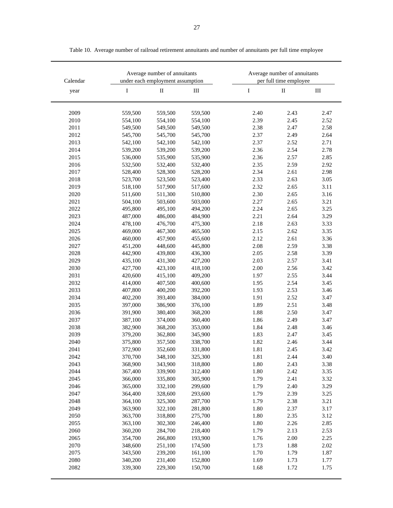| Calendar |         | Average number of annuitants<br>under each employment assumption |           |      | Average number of annuitants<br>per full time employee |           |
|----------|---------|------------------------------------------------------------------|-----------|------|--------------------------------------------------------|-----------|
| year     | I       | $\rm II$                                                         | $\rm III$ | I    | $\rm II$                                               | $\rm III$ |
| 2009     | 559,500 | 559,500                                                          | 559,500   | 2.40 | 2.43                                                   | 2.47      |
| 2010     | 554,100 | 554,100                                                          | 554,100   | 2.39 | 2.45                                                   | 2.52      |
| 2011     | 549,500 | 549,500                                                          | 549,500   | 2.38 | 2.47                                                   | 2.58      |
| 2012     | 545,700 | 545,700                                                          | 545,700   | 2.37 | 2.49                                                   | 2.64      |
| 2013     | 542,100 | 542,100                                                          | 542,100   | 2.37 | 2.52                                                   | 2.71      |
| 2014     | 539,200 | 539,200                                                          | 539,200   | 2.36 | 2.54                                                   | 2.78      |
| 2015     | 536,000 | 535,900                                                          | 535,900   | 2.36 | 2.57                                                   | 2.85      |
| 2016     | 532,500 | 532,400                                                          | 532,400   | 2.35 | 2.59                                                   | 2.92      |
| 2017     | 528,400 | 528,300                                                          | 528,200   | 2.34 | 2.61                                                   | 2.98      |
| 2018     | 523,700 | 523,500                                                          | 523,400   | 2.33 | 2.63                                                   | 3.05      |
| 2019     | 518,100 | 517,900                                                          | 517,600   | 2.32 | 2.65                                                   | 3.11      |
| 2020     | 511,600 | 511,300                                                          | 510,800   | 2.30 | 2.65                                                   | 3.16      |
| 2021     | 504,100 | 503,600                                                          | 503,000   | 2.27 | 2.65                                                   | 3.21      |
| 2022     | 495,800 | 495,100                                                          | 494,200   | 2.24 | 2.65                                                   | 3.25      |
| 2023     | 487,000 | 486,000                                                          | 484,900   | 2.21 | 2.64                                                   | 3.29      |
| 2024     | 478,100 | 476,700                                                          | 475,300   | 2.18 | 2.63                                                   | 3.33      |
| 2025     | 469,000 | 467,300                                                          | 465,500   | 2.15 | 2.62                                                   | 3.35      |
| 2026     | 460,000 | 457,900                                                          | 455,600   | 2.12 | 2.61                                                   | 3.36      |
| 2027     | 451,200 | 448,600                                                          | 445,800   | 2.08 | 2.59                                                   | 3.38      |
| 2028     | 442,900 | 439,800                                                          | 436,300   | 2.05 | 2.58                                                   | 3.39      |
| 2029     | 435,100 | 431,300                                                          | 427,200   | 2.03 | 2.57                                                   | 3.41      |
| 2030     | 427,700 | 423,100                                                          | 418,100   | 2.00 | 2.56                                                   | 3.42      |
| 2031     | 420,600 | 415,100                                                          | 409,200   | 1.97 | 2.55                                                   | 3.44      |
| 2032     | 414,000 | 407,500                                                          | 400,600   | 1.95 | 2.54                                                   | 3.45      |
| 2033     | 407,800 | 400,200                                                          | 392,200   | 1.93 | 2.53                                                   | 3.46      |
| 2034     | 402,200 | 393,400                                                          | 384,000   | 1.91 | 2.52                                                   | 3.47      |
| 2035     | 397,000 | 386,900                                                          | 376,100   | 1.89 | 2.51                                                   | 3.48      |
| 2036     | 391,900 | 380,400                                                          | 368,200   | 1.88 | 2.50                                                   | 3.47      |
| 2037     | 387,100 | 374,000                                                          | 360,400   | 1.86 | 2.49                                                   | 3.47      |
| 2038     | 382,900 | 368,200                                                          | 353,000   | 1.84 | 2.48                                                   | 3.46      |
| 2039     | 379,200 | 362,800                                                          | 345,900   | 1.83 | 2.47                                                   | 3.45      |
| 2040     | 375,800 | 357,500                                                          | 338,700   | 1.82 | 2.46                                                   | 3.44      |
| 2041     | 372,900 | 352,600                                                          | 331,800   | 1.81 | 2.45                                                   | 3.42      |
| 2042     | 370,700 | 348,100                                                          | 325,300   | 1.81 | 2.44                                                   | 3.40      |
| 2043     | 368,900 | 343,900                                                          | 318,800   | 1.80 | 2.43                                                   | 3.38      |
| 2044     | 367,400 | 339,900                                                          | 312,400   | 1.80 | 2.42                                                   | 3.35      |
| 2045     | 366,000 | 335,800                                                          | 305,900   | 1.79 | 2.41                                                   | 3.32      |
| 2046     | 365,000 | 332,100                                                          | 299,600   | 1.79 | 2.40                                                   | 3.29      |
| 2047     | 364,400 | 328,600                                                          | 293,600   | 1.79 | 2.39                                                   | 3.25      |
| 2048     | 364,100 | 325,300                                                          | 287,700   | 1.79 | 2.38                                                   | 3.21      |
| 2049     | 363,900 | 322,100                                                          | 281,800   | 1.80 | 2.37                                                   | 3.17      |
| 2050     | 363,700 | 318,800                                                          | 275,700   | 1.80 | 2.35                                                   | 3.12      |
| 2055     | 363,100 | 302,300                                                          | 246,400   | 1.80 | 2.26                                                   | 2.85      |
| 2060     | 360,200 | 284,700                                                          | 218,400   | 1.79 | 2.13                                                   | 2.53      |
| 2065     | 354,700 | 266,800                                                          | 193,900   | 1.76 | 2.00                                                   | 2.25      |
| 2070     | 348,600 | 251,100                                                          | 174,500   | 1.73 | 1.88                                                   | $2.02\,$  |
| 2075     | 343,500 | 239,200                                                          | 161,100   | 1.70 | 1.79                                                   | 1.87      |
| 2080     | 340,200 | 231,400                                                          | 152,800   | 1.69 | 1.73                                                   | 1.77      |
| 2082     | 339,300 | 229,300                                                          | 150,700   | 1.68 | 1.72                                                   | 1.75      |

Table 10. Average number of railroad retirement annuitants and number of annuitants per full time employee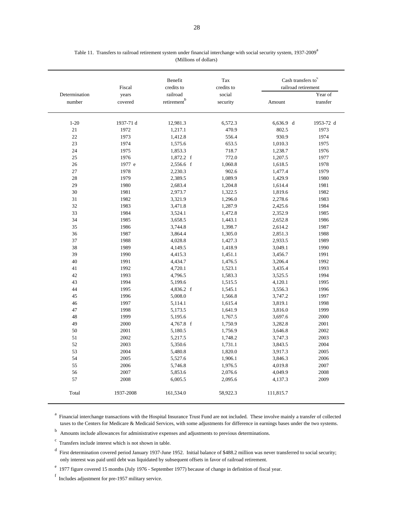|               | Fiscal       | Benefit<br>credits to   | Tax<br>credits to  | Cash transfers to $\rm ^c$<br>railroad retirement |              |
|---------------|--------------|-------------------------|--------------------|---------------------------------------------------|--------------|
| Determination | years        | railroad                | social             |                                                   | Year of      |
| number        | covered      | retirement $\mathbf{b}$ | security           | Amount                                            | transfer     |
| $1-20$        | 1937-71 d    | 12,981.3                | 6,572.3            | $6,636.9$ d                                       | 1953-72 d    |
| 21            | 1972         | 1,217.1                 | 470.9              | 802.5                                             | 1973         |
| 22            | 1973         | 1,412.8                 | 556.4              | 930.9                                             | 1974         |
| 23            | 1974         | 1,575.6                 | 653.5              | 1,010.3                                           | 1975         |
| 24            | 1975         | 1,853.3                 | 718.7              | 1,238.7                                           | 1976         |
| 25            | 1976         | 1,872.2 f               | 772.0              | 1,207.5                                           | 1977         |
| 26            | 1977 e       | 2,556.6 f               | 1,060.8            | 1,618.5                                           | 1978         |
| 27            | 1978         | 2,230.3                 | 902.6              | 1,477.4                                           | 1979         |
| 28            | 1979         | 2,389.5                 | 1,089.9            | 1,429.9                                           | 1980         |
| 29            | 1980         | 2,683.4                 | 1,204.8            | 1,614.4                                           | 1981         |
| 30            | 1981         | 2,973.7                 | 1,322.5            | 1,819.6                                           | 1982         |
| 31            | 1982         | 3,321.9                 | 1,296.0            | 2,278.6                                           | 1983         |
| 32            | 1983         | 3,471.8                 | 1,287.9            | 2,425.6                                           | 1984         |
| 33            | 1984         | 3,524.1                 | 1,472.8            | 2,352.9                                           | 1985         |
| 34            | 1985         | 3,658.5                 | 1,443.1            | 2,652.8                                           | 1986         |
| 35            | 1986         | 3,744.8                 | 1,398.7            | 2,614.2                                           | 1987         |
| 36            | 1987         | 3,864.4                 | 1,305.0            | 2,851.3                                           | 1988         |
| 37            | 1988         | 4,028.8                 | 1,427.3            | 2,933.5                                           | 1989         |
| 38            | 1989         | 4,149.5                 | 1,418.9            | 3,049.1                                           | 1990         |
| 39            | 1990         | 4,415.3                 | 1,451.1            | 3,456.7                                           | 1991         |
| 40            | 1991         | 4,434.7                 | 1,476.5            | 3,206.4                                           | 1992         |
| 41            | 1992         | 4,720.1                 | 1,523.1            | 3,435.4                                           | 1993         |
| 42            | 1993         | 4,796.5                 | 1,583.3            | 3,525.5                                           | 1994         |
| 43            | 1994<br>1995 | 5,199.6                 | 1,515.5            | 4,120.1                                           | 1995         |
| 44<br>45      | 1996         | 4,836.2 f               | 1,545.1            | 3,556.3                                           | 1996<br>1997 |
| 46            | 1997         | 5,008.0                 | 1,566.8            | 3,747.2                                           | 1998         |
| 47            | 1998         | 5,114.1                 | 1,615.4            | 3,819.1                                           | 1999         |
| 48            | 1999         | 5,173.5                 | 1,641.9            | 3,816.0<br>3,697.6                                | 2000         |
| 49            | 2000         | 5,195.6<br>4,767.8 f    | 1,767.5<br>1,750.9 | 3,282.8                                           | 2001         |
| 50            | 2001         | 5,180.5                 | 1,756.9            | 3,646.8                                           | 2002         |
| 51            | 2002         | 5,217.5                 | 1,748.2            | 3,747.3                                           | 2003         |
| 52            | 2003         | 5,350.6                 | 1,731.1            | 3,843.5                                           | 2004         |
| 53            | 2004         | 5,480.8                 | 1,820.0            | 3,917.3                                           | 2005         |
| 54            | 2005         | 5,527.6                 | 1,906.1            | 3,846.3                                           | 2006         |
| 55            | 2006         | 5,746.8                 | 1,976.5            | 4,019.8                                           | 2007         |
| 56            | 2007         | 5,853.6                 | 2,076.6            | 4,049.9                                           | 2008         |
| 57            | 2008         | 6,005.5                 | 2,095.6            | 4,137.3                                           | 2009         |
|               |              |                         |                    |                                                   |              |
| Total         | 1937-2008    | 161,534.0               | 58,922.3           | 111,815.7                                         |              |

Table 11. Transfers to railroad retirement system under financial interchange with social security system, 1937-2009<sup>a</sup> (Millions of dollars)

<sup>a</sup> Financial interchange transactions with the Hospital Insurance Trust Fund are not included. These involve mainly a transfer of collected taxes to the Centers for Medicare & Medicaid Services, with some adjustments for difference in earnings bases under the two systems.

b Amounts include allowances for administrative expenses and adjustments to previous determinations.

 $\frac{c}{c}$  Transfers include interest which is not shown in table.

d First determination covered period January 1937-June 1952. Initial balance of \$488.2 million was never transferred to social security; only interest was paid until debt was liquidated by subsequent offsets in favor of railroad retirement.

<sup>e</sup> 1977 figure covered 15 months (July 1976 - September 1977) because of change in definition of fiscal year.

f Includes adjustment for pre-1957 military service.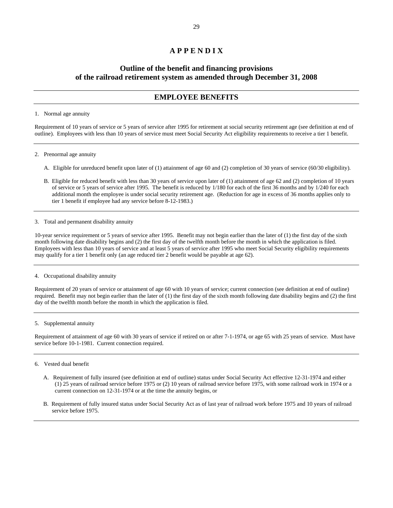## **A P P E N D I X**

# **Outline of the benefit and financing provisions of the railroad retirement system as amended through December 31, 2008**

## **EMPLOYEE BENEFITS**

## 1. Normal age annuity

Requirement of 10 years of service or 5 years of service after 1995 for retirement at social security retirement age (see definition at end of outline). Employees with less than 10 years of service must meet Social Security Act eligibility requirements to receive a tier 1 benefit.

- 2. Prenormal age annuity
	- A. Eligible for unreduced benefit upon later of (1) attainment of age 60 and (2) completion of 30 years of service (60/30 eligibility).
	- B. Eligible for reduced benefit with less than 30 years of service upon later of (1) attainment of age 62 and (2) completion of 10 years of service or 5 years of service after 1995. The benefit is reduced by 1/180 for each of the first 36 months and by 1/240 for each additional month the employee is under social security retirement age. (Reduction for age in excess of 36 months applies only to tier 1 benefit if employee had any service before 8-12-1983.)
- 3. Total and permanent disability annuity

10-year service requirement or 5 years of service after 1995. Benefit may not begin earlier than the later of (1) the first day of the sixth month following date disability begins and (2) the first day of the twelfth month before the month in which the application is filed. Employees with less than 10 years of service and at least 5 years of service after 1995 who meet Social Security eligibility requirements may qualify for a tier 1 benefit only (an age reduced tier 2 benefit would be payable at age 62).

4. Occupational disability annuity

Requirement of 20 years of service or attainment of age 60 with 10 years of service; current connection (see definition at end of outline) required. Benefit may not begin earlier than the later of (1) the first day of the sixth month following date disability begins and (2) the first day of the twelfth month before the month in which the application is filed.

5. Supplemental annuity

Requirement of attainment of age 60 with 30 years of service if retired on or after 7-1-1974, or age 65 with 25 years of service. Must have service before 10-1-1981. Current connection required.

## 6. Vested dual benefit

- A. Requirement of fully insured (see definition at end of outline) status under Social Security Act effective 12-31-1974 and either (1) 25 years of railroad service before 1975 or (2) 10 years of railroad service before 1975, with some railroad work in 1974 or a current connection on 12-31-1974 or at the time the annuity begins, or
- B. Requirement of fully insured status under Social Security Act as of last year of railroad work before 1975 and 10 years of railroad service before 1975.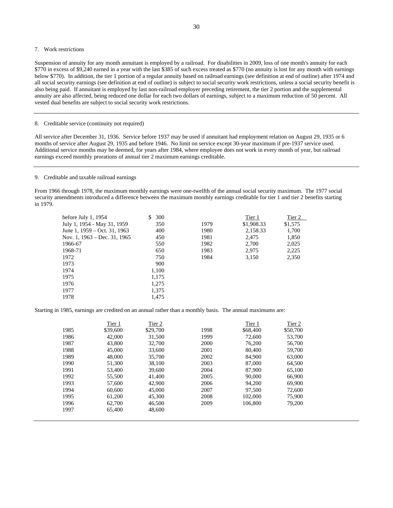## 7. Work restrictions

Suspension of annuity for any month annuitant is employed by a railroad. For disabilities in 2009, loss of one month's annuity for each \$770 in excess of \$9,240 earned in a year with the last \$385 of such excess treated as \$770 (no annuity is lost for any month with earnings below \$770). In addition, the tier 1 portion of a regular annuity based on railroad earnings (see definition at end of outline) after 1974 and all social security earnings (see definition at end of outline) is subject to social security work restrictions, unless a social security benefit is also being paid. If annuitant is employed by last non-railroad employer preceding retirement, the tier 2 portion and the supplemental annuity are also affected, being reduced one dollar for each two dollars of earnings, subject to a maximum reduction of 50 percent. All vested dual benefits are subject to social security work restrictions.

## 8. Creditable service (continuity not required)

All service after December 31, 1936. Service before 1937 may be used if annuitant had employment relation on August 29, 1935 or 6 months of service after August 29, 1935 and before 1946. No limit on service except 30-year maximum if pre-1937 service used. Additional service months may be deemed, for years after 1984, where employee does not work in every month of year, but railroad earnings exceed monthly prorations of annual tier 2 maximum earnings creditable.

#### 9. Creditable and taxable railroad earnings

From 1966 through 1978, the maximum monthly earnings were one-twelfth of the annual social security maximum. The 1977 social security amendments introduced a difference between the maximum monthly earnings creditable for tier 1 and tier 2 benefits starting in 1979.

| before July 1, $1954$        | S<br>300 |      | Tier 1     | Tier 2  |
|------------------------------|----------|------|------------|---------|
| July 1, 1954 - May 31, 1959  | 350      | 1979 | \$1,908.33 | \$1,575 |
| June 1, 1959 – Oct. 31, 1963 | 400      | 1980 | 2,158.33   | 1,700   |
| Nov. 1, 1963 – Dec. 31, 1965 | 450      | 1981 | 2.475      | 1,850   |
| 1966-67                      | 550      | 1982 | 2,700      | 2,025   |
| 1968-71                      | 650      | 1983 | 2,975      | 2,225   |
| 1972                         | 750      | 1984 | 3,150      | 2,350   |
| 1973                         | 900      |      |            |         |
| 1974                         | 1,100    |      |            |         |
| 1975                         | 1,175    |      |            |         |
| 1976                         | 1.275    |      |            |         |
| 1977                         | 1,375    |      |            |         |
| 1978                         | 1,475    |      |            |         |
|                              |          |      |            |         |

Starting in 1985, earnings are credited on an annual rather than a monthly basis. The annual maximums are:

|      | Tier 1   | Tier 2   |      | Tier 1   | Tier 2   |
|------|----------|----------|------|----------|----------|
| 1985 | \$39,600 | \$29,700 | 1998 | \$68,400 | \$50,700 |
| 1986 | 42,000   | 31,500   | 1999 | 72,600   | 53,700   |
| 1987 | 43,800   | 32,700   | 2000 | 76,200   | 56,700   |
| 1988 | 45,000   | 33,600   | 2001 | 80,400   | 59,700   |
| 1989 | 48,000   | 35,700   | 2002 | 84,900   | 63,000   |
| 1990 | 51,300   | 38,100   | 2003 | 87,000   | 64,500   |
| 1991 | 53,400   | 39,600   | 2004 | 87,900   | 65,100   |
| 1992 | 55,500   | 41,400   | 2005 | 90,000   | 66,900   |
| 1993 | 57,600   | 42,900   | 2006 | 94,200   | 69,900   |
| 1994 | 60,600   | 45,000   | 2007 | 97,500   | 72,600   |
| 1995 | 61,200   | 45,300   | 2008 | 102,000  | 75,900   |
| 1996 | 62,700   | 46,500   | 2009 | 106,800  | 79,200   |
| 1997 | 65,400   | 48,600   |      |          |          |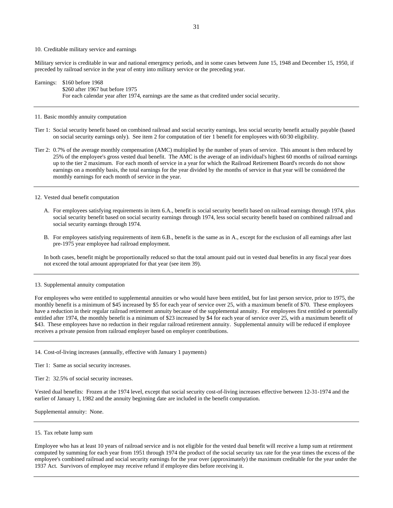#### 10. Creditable military service and earnings

Military service is creditable in war and national emergency periods, and in some cases between June 15, 1948 and December 15, 1950, if preceded by railroad service in the year of entry into military service or the preceding year.

Earnings: \$160 before 1968 \$260 after 1967 but before 1975 For each calendar year after 1974, earnings are the same as that credited under social security.

#### 11. Basic monthly annuity computation

- Tier 1: Social security benefit based on combined railroad and social security earnings, less social security benefit actually payable (based on social security earnings only). See item 2 for computation of tier 1 benefit for employees with 60/30 eligibility.
- Tier 2: 0.7% of the average monthly compensation (AMC) multiplied by the number of years of service. This amount is then reduced by 25% of the employee's gross vested dual benefit. The AMC is the average of an individual's highest 60 months of railroad earnings up to the tier 2 maximum. For each month of service in a year for which the Railroad Retirement Board's records do not show earnings on a monthly basis, the total earnings for the year divided by the months of service in that year will be considered the monthly earnings for each month of service in the year.

#### 12. Vested dual benefit computation

- A. For employees satisfying requirements in item 6.A., benefit is social security benefit based on railroad earnings through 1974, plus social security benefit based on social security earnings through 1974, less social security benefit based on combined railroad and social security earnings through 1974.
- B. For employees satisfying requirements of item 6.B., benefit is the same as in A., except for the exclusion of all earnings after last pre-1975 year employee had railroad employment.

In both cases, benefit might be proportionally reduced so that the total amount paid out in vested dual benefits in any fiscal year does not exceed the total amount appropriated for that year (see item 39).

## 13. Supplemental annuity computation

For employees who were entitled to supplemental annuities or who would have been entitled, but for last person service, prior to 1975, the monthly benefit is a minimum of \$45 increased by \$5 for each year of service over 25, with a maximum benefit of \$70. These employees have a reduction in their regular railroad retirement annuity because of the supplemental annuity. For employees first entitled or potentially entitled after 1974, the monthly benefit is a minimum of \$23 increased by \$4 for each year of service over 25, with a maximum benefit of \$43. These employees have no reduction in their regular railroad retirement annuity. Supplemental annuity will be reduced if employee receives a private pension from railroad employer based on employer contributions.

14. Cost-of-living increases (annually, effective with January 1 payments)

Tier 1: Same as social security increases.

Tier 2: 32.5% of social security increases.

Vested dual benefits: Frozen at the 1974 level, except that social security cost-of-living increases effective between 12-31-1974 and the earlier of January 1, 1982 and the annuity beginning date are included in the benefit computation.

Supplemental annuity: None.

### 15. Tax rebate lump sum

Employee who has at least 10 years of railroad service and is not eligible for the vested dual benefit will receive a lump sum at retirement computed by summing for each year from 1951 through 1974 the product of the social security tax rate for the year times the excess of the employee's combined railroad and social security earnings for the year over (approximately) the maximum creditable for the year under the 1937 Act. Survivors of employee may receive refund if employee dies before receiving it.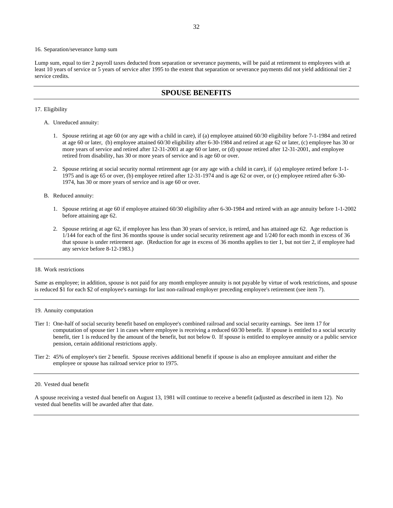#### 16. Separation/severance lump sum

Lump sum, equal to tier 2 payroll taxes deducted from separation or severance payments, will be paid at retirement to employees with at least 10 years of service or 5 years of service after 1995 to the extent that separation or severance payments did not yield additional tier 2 service credits.

## **SPOUSE BENEFITS**

#### 17. Eligibility

- A. Unreduced annuity:
	- 1. Spouse retiring at age 60 (or any age with a child in care), if (a) employee attained 60/30 eligibility before 7-1-1984 and retired at age 60 or later, (b) employee attained 60/30 eligibility after 6-30-1984 and retired at age 62 or later, (c) employee has 30 or more years of service and retired after 12-31-2001 at age 60 or later, or (d) spouse retired after 12-31-2001, and employee retired from disability, has 30 or more years of service and is age 60 or over.
	- 2. Spouse retiring at social security normal retirement age (or any age with a child in care), if (a) employee retired before 1-1- 1975 and is age 65 or over, (b) employee retired after 12-31-1974 and is age 62 or over, or (c) employee retired after 6-30- 1974, has 30 or more years of service and is age 60 or over.
- B. Reduced annuity:
	- 1. Spouse retiring at age 60 if employee attained 60/30 eligibility after 6-30-1984 and retired with an age annuity before 1-1-2002 before attaining age 62.
	- 2. Spouse retiring at age 62, if employee has less than 30 years of service, is retired, and has attained age 62. Age reduction is 1/144 for each of the first 36 months spouse is under social security retirement age and 1/240 for each month in excess of 36 that spouse is under retirement age. (Reduction for age in excess of 36 months applies to tier 1, but not tier 2, if employee had any service before 8-12-1983.)

#### 18. Work restrictions

Same as employee; in addition, spouse is not paid for any month employee annuity is not payable by virtue of work restrictions, and spouse is reduced \$1 for each \$2 of employee's earnings for last non-railroad employer preceding employee's retirement (see item 7).

### 19. Annuity computation

- Tier 1: One-half of social security benefit based on employee's combined railroad and social security earnings. See item 17 for computation of spouse tier 1 in cases where employee is receiving a reduced 60/30 benefit. If spouse is entitled to a social security benefit, tier 1 is reduced by the amount of the benefit, but not below 0. If spouse is entitled to employee annuity or a public service pension, certain additional restrictions apply.
- Tier 2: 45% of employee's tier 2 benefit. Spouse receives additional benefit if spouse is also an employee annuitant and either the employee or spouse has railroad service prior to 1975.

### 20. Vested dual benefit

A spouse receiving a vested dual benefit on August 13, 1981 will continue to receive a benefit (adjusted as described in item 12). No vested dual benefits will be awarded after that date.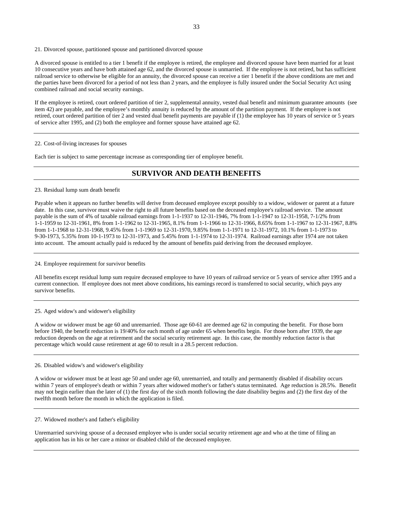21. Divorced spouse, partitioned spouse and partitioned divorced spouse

A divorced spouse is entitled to a tier 1 benefit if the employee is retired, the employee and divorced spouse have been married for at least 10 consecutive years and have both attained age 62, and the divorced spouse is unmarried. If the employee is not retired, but has sufficient railroad service to otherwise be eligible for an annuity, the divorced spouse can receive a tier 1 benefit if the above conditions are met and the parties have been divorced for a period of not less than 2 years, and the employee is fully insured under the Social Security Act using combined railroad and social security earnings.

If the employee is retired, court ordered partition of tier 2, supplemental annuity, vested dual benefit and minimum guarantee amounts (see item 42) are payable, and the employee's monthly annuity is reduced by the amount of the partition payment. If the employee is not retired, court ordered partition of tier 2 and vested dual benefit payments are payable if (1) the employee has 10 years of service or 5 years of service after 1995, and (2) both the employee and former spouse have attained age 62.

#### 22. Cost-of-living increases for spouses

Each tier is subject to same percentage increase as corresponding tier of employee benefit.

# **SURVIVOR AND DEATH BENEFITS**

### 23. Residual lump sum death benefit

Payable when it appears no further benefits will derive from deceased employee except possibly to a widow, widower or parent at a future date. In this case, survivor must waive the right to all future benefits based on the deceased employee's railroad service. The amount payable is the sum of 4% of taxable railroad earnings from 1-1-1937 to 12-31-1946, 7% from 1-1-1947 to 12-31-1958, 7-1/2% from 1-1-1959 to 12-31-1961, 8% from 1-1-1962 to 12-31-1965, 8.1% from 1-1-1966 to 12-31-1966, 8.65% from 1-1-1967 to 12-31-1967, 8.8% from 1-1-1968 to 12-31-1968, 9.45% from 1-1-1969 to 12-31-1970, 9.85% from 1-1-1971 to 12-31-1972, 10.1% from 1-1-1973 to 9-30-1973, 5.35% from 10-1-1973 to 12-31-1973, and 5.45% from 1-1-1974 to 12-31-1974. Railroad earnings after 1974 are not taken into account. The amount actually paid is reduced by the amount of benefits paid deriving from the deceased employee.

24. Employee requirement for survivor benefits

All benefits except residual lump sum require deceased employee to have 10 years of railroad service or 5 years of service after 1995 and a current connection. If employee does not meet above conditions, his earnings record is transferred to social security, which pays any survivor benefits.

#### 25. Aged widow's and widower's eligibility

A widow or widower must be age 60 and unremarried. Those age 60-61 are deemed age 62 in computing the benefit. For those born before 1940, the benefit reduction is 19/40% for each month of age under 65 when benefits begin. For those born after 1939, the age reduction depends on the age at retirement and the social security retirement age. In this case, the monthly reduction factor is that percentage which would cause retirement at age 60 to result in a 28.5 percent reduction.

26. Disabled widow's and widower's eligibility

A widow or widower must be at least age 50 and under age 60, unremarried, and totally and permanently disabled if disability occurs within 7 years of employee's death or within 7 years after widowed mother's or father's status terminated. Age reduction is 28.5%. Benefit may not begin earlier than the later of (1) the first day of the sixth month following the date disability begins and (2) the first day of the twelfth month before the month in which the application is filed.

#### 27. Widowed mother's and father's eligibility

Unremarried surviving spouse of a deceased employee who is under social security retirement age and who at the time of filing an application has in his or her care a minor or disabled child of the deceased employee.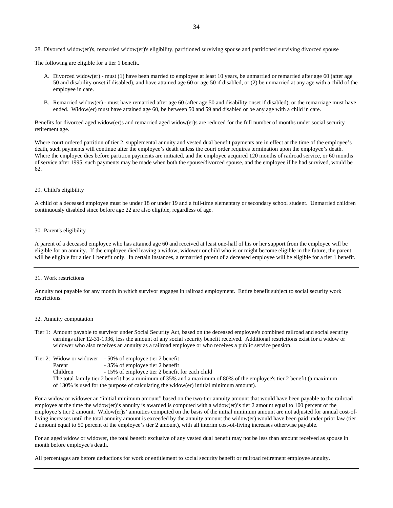28. Divorced widow(er)'s, remarried widow(er)'s eligibility, partitioned surviving spouse and partitioned surviving divorced spouse

The following are eligible for a tier 1 benefit.

- A. Divorced widow(er) must (1) have been married to employee at least 10 years, be unmarried or remarried after age 60 (after age 50 and disability onset if disabled), and have attained age 60 or age 50 if disabled, or (2) be unmarried at any age with a child of the employee in care.
- B. Remarried widow(er) must have remarried after age 60 (after age 50 and disability onset if disabled), or the remarriage must have ended. Widow(er) must have attained age 60, be between 50 and 59 and disabled or be any age with a child in care.

Benefits for divorced aged widow(er)s and remarried aged widow(er)s are reduced for the full number of months under social security retirement age.

Where court ordered partition of tier 2, supplemental annuity and vested dual benefit payments are in effect at the time of the employee's death, such payments will continue after the employee's death unless the court order requires termination upon the employee's death. Where the employee dies before partition payments are initiated, and the employee acquired 120 months of railroad service, or 60 months of service after 1995, such payments may be made when both the spouse/divorced spouse, and the employee if he had survived, would be 62.

### 29. Child's eligibility

A child of a deceased employee must be under 18 or under 19 and a full-time elementary or secondary school student. Unmarried children continuously disabled since before age 22 are also eligible, regardless of age.

## 30. Parent's eligibility

A parent of a deceased employee who has attained age 60 and received at least one-half of his or her support from the employee will be eligible for an annuity. If the employee died leaving a widow, widower or child who is or might become eligible in the future, the parent will be eligible for a tier 1 benefit only. In certain instances, a remarried parent of a deceased employee will be eligible for a tier 1 benefit.

### 31. Work restrictions

Annuity not payable for any month in which survivor engages in railroad employment. Entire benefit subject to social security work restrictions.

#### 32. Annuity computation

- Tier 1: Amount payable to survivor under Social Security Act, based on the deceased employee's combined railroad and social security earnings after 12-31-1936, less the amount of any social security benefit received. Additional restrictions exist for a widow or widower who also receives an annuity as a railroad employee or who receives a public service pension.
- Tier 2: Widow or widower 50% of employee tier 2 benefit
	- Parent 35% of employee tier 2 benefit
	- Children 15% of employee tier 2 benefit for each child
	- The total family tier 2 benefit has a minimum of 35% and a maximum of 80% of the employee's tier 2 benefit (a maximum of 130% is used for the purpose of calculating the widow(er) intitial minimum amount).

For a widow or widower an "initial minimum amount" based on the two-tier annuity amount that would have been payable to the railroad employee at the time the widow(er)'s annuity is awarded is computed with a widow(er)'s tier 2 amount equal to 100 percent of the employee's tier 2 amount. Widow(er)s' annuities computed on the basis of the initial minimum amount are not adjusted for annual cost-ofliving increases until the total annuity amount is exceeded by the annuity amount the widow(er) would have been paid under prior law (tier 2 amount equal to 50 percent of the employee's tier 2 amount), with all interim cost-of-living increases otherwise payable.

For an aged widow or widower, the total benefit exclusive of any vested dual benefit may not be less than amount received as spouse in month before employee's death.

All percentages are before deductions for work or entitlement to social security benefit or railroad retirement employee annuity.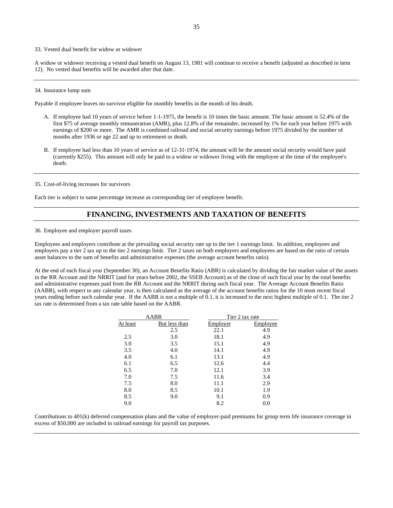33. Vested dual benefit for widow or widower

A widow or widower receiving a vested dual benefit on August 13, 1981 will continue to receive a benefit (adjusted as described in item 12). No vested dual benefits will be awarded after that date.

#### 34. Insurance lump sum

Payable if employee leaves no survivor eligible for monthly benefits in the month of his death.

- A. If employee had 10 years of service before 1-1-1975, the benefit is 10 times the basic amount. The basic amount is 52.4% of the first \$75 of average monthly remuneration (AMR), plus 12.8% of the remainder, increased by 1% for each year before 1975 with earnings of \$200 or more. The AMR is combined railroad and social security earnings before 1975 divided by the number of months after 1936 or age 22 and up to retirement or death.
- B. If employee had less than 10 years of service as of 12-31-1974, the amount will be the amount social security would have paid (currently \$255). This amount will only be paid to a widow or widower living with the employee at the time of the employee's death.

35. Cost-of-living increases for survivors

Each tier is subject to same percentage increase as corresponding tier of employee benefit.

## **FINANCING, INVESTMENTS AND TAXATION OF BENEFITS**

36. Employee and employer payroll taxes

Employees and employers contribute at the prevailing social security rate up to the tier 1 earnings limit. In addition, employees and employers pay a tier 2 tax up to the tier 2 earnings limit. Tier 2 taxes on both employers and employees are based on the ratio of certain asset balances to the sum of benefits and administrative expenses (the average account benefits ratio).

At the end of each fiscal year (September 30), an Account Benefits Ratio (ABR) is calculated by dividing the fair market value of the assets in the RR Account and the NRRIT (and for years before 2002, the SSEB Account) as of the close of such fiscal year by the total benefits and administrative expenses paid from the RR Account and the NRRIT during such fiscal year. The Average Account Benefits Ratio (AABR), with respect to any calendar year, is then calculated as the average of the account benefits ratios for the 10 most recent fiscal years ending before such calendar year. If the AABR is not a multiple of 0.1, it is increased to the next highest multiple of 0.1. The tier 2 tax rate is determined from a tax rate table based on the AABR.

|          | AABR          | Tier 2 tax rate |          |  |
|----------|---------------|-----------------|----------|--|
| At least | But less than | Employer        | Employee |  |
|          | 2.5           | 22.1            | 4.9      |  |
| 2.5      | 3.0           | 18.1            | 4.9      |  |
| 3.0      | 3.5           | 15.1            | 4.9      |  |
| 3.5      | 4.0           | 14.1            | 4.9      |  |
| 4.0      | 6.1           | 13.1            | 4.9      |  |
| 6.1      | 6.5           | 12.6            | 4.4      |  |
| 6.5      | 7.0           | 12.1            | 3.9      |  |
| 7.0      | 7.5           | 11.6            | 3.4      |  |
| 7.5      | 8.0           | 11.1            | 2.9      |  |
| 8.0      | 8.5           | 10.1            | 1.9      |  |
| 8.5      | 9.0           | 9.1             | 0.9      |  |
| 9.0      |               | 8.2             | 0.0      |  |

Contributions to 401(k) deferred compensation plans and the value of employer-paid premiums for group term life insurance coverage in excess of \$50,000 are included in railroad earnings for payroll tax purposes.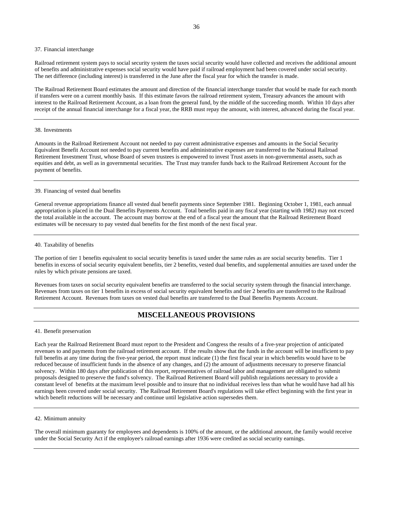#### 37. Financial interchange

Railroad retirement system pays to social security system the taxes social security would have collected and receives the additional amount of benefits and administrative expenses social security would have paid if railroad employment had been covered under social security. The net difference (including interest) is transferred in the June after the fiscal year for which the transfer is made.

The Railroad Retirement Board estimates the amount and direction of the financial interchange transfer that would be made for each month if transfers were on a current monthly basis. If this estimate favors the railroad retirement system, Treasury advances the amount with interest to the Railroad Retirement Account, as a loan from the general fund, by the middle of the succeeding month. Within 10 days after receipt of the annual financial interchange for a fiscal year, the RRB must repay the amount, with interest, advanced during the fiscal year.

#### 38. Investments

Amounts in the Railroad Retirement Account not needed to pay current administrative expenses and amounts in the Social Security Equivalent Benefit Account not needed to pay current benefits and administrative expenses are transferred to the National Railroad Retirement Investment Trust, whose Board of seven trustees is empowered to invest Trust assets in non-governmental assets, such as equities and debt, as well as in governmental securities. The Trust may transfer funds back to the Railroad Retirement Account for the payment of benefits.

#### 39. Financing of vested dual benefits

General revenue appropriations finance all vested dual benefit payments since September 1981. Beginning October 1, 1981, each annual appropriation is placed in the Dual Benefits Payments Account. Total benefits paid in any fiscal year (starting with 1982) may not exceed the total available in the account. The account may borrow at the end of a fiscal year the amount that the Railroad Retirement Board estimates will be necessary to pay vested dual benefits for the first month of the next fiscal year.

#### 40. Taxability of benefits

The portion of tier 1 benefits equivalent to social security benefits is taxed under the same rules as are social security benefits. Tier 1 benefits in excess of social security equivalent benefits, tier 2 benefits, vested dual benefits, and supplemental annuities are taxed under the rules by which private pensions are taxed.

Revenues from taxes on social security equivalent benefits are transferred to the social security system through the financial interchange. Revenues from taxes on tier 1 benefits in excess of social security equivalent benefits and tier 2 benefits are transferred to the Railroad Retirement Account. Revenues from taxes on vested dual benefits are transferred to the Dual Benefits Payments Account.

## **MISCELLANEOUS PROVISIONS**

#### 41. Benefit preservation

Each year the Railroad Retirement Board must report to the President and Congress the results of a five-year projection of anticipated revenues to and payments from the railroad retirement account. If the results show that the funds in the account will be insufficient to pay full benefits at any time during the five-year period, the report must indicate (1) the first fiscal year in which benefits would have to be reduced because of insufficient funds in the absence of any changes, and (2) the amount of adjustments necessary to preserve financial solvency. Within 180 days after publication of this report, representatives of railroad labor and management are obligated to submit proposals designed to preserve the fund's solvency. The Railroad Retirement Board will publish regulations necessary to provide a constant level of benefits at the maximum level possible and to insure that no individual receives less than what he would have had all his earnings been covered under social security. The Railroad Retirement Board's regulations will take effect beginning with the first year in which benefit reductions will be necessary and continue until legislative action supersedes them.

#### 42. Minimum annuity

The overall minimum guaranty for employees and dependents is 100% of the amount, or the additional amount, the family would receive under the Social Security Act if the employee's railroad earnings after 1936 were credited as social security earnings.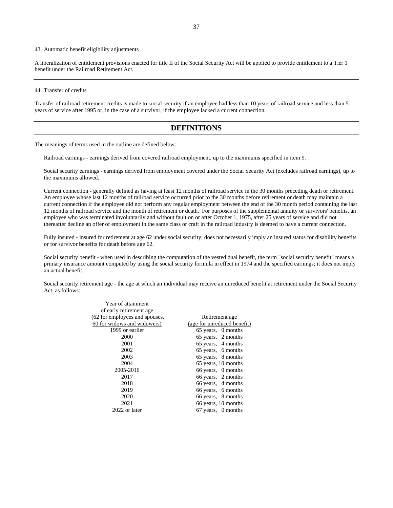### 43. Automatic benefit eligibility adjustments

A liberalization of entitlement provisions enacted for title II of the Social Security Act will be applied to provide entitlement to a Tier 1 benefit under the Railroad Retirement Act.

#### 44. Transfer of credits

Transfer of railroad retirement credits is made to social security if an employee had less than 10 years of railroad service and less than 5 years of service after 1995 or, in the case of a survivor, if the employee lacked a current connection.

## **DEFINITIONS**

The meanings of terms used in the outline are defined below:

Railroad earnings - earnings derived from covered railroad employment, up to the maximums specified in item 9.

Social security earnings - earnings derived from employment covered under the Social Security Act (excludes railroad earnings), up to the maximums allowed.

Current connection - generally defined as having at least 12 months of railroad service in the 30 months preceding death or retirement. An employee whose last 12 months of railroad service occurred prior to the 30 months before retirement or death may maintain a current connection if the employee did not perform any regular employment between the end of the 30 month period containing the last 12 months of railroad service and the month of retirement or death. For purposes of the supplemental annuity or survivors' benefits, an employee who was terminated involuntarily and without fault on or after October 1, 1975, after 25 years of service and did not thereafter decline an offer of employment in the same class or craft in the railroad industry is deemed to have a current connection.

Fully insured - insured for retirement at age 62 under social security; does not necessarily imply an insured status for disability benefits or for survivor benefits for death before age 62.

Social security benefit - when used in describing the computation of the vested dual benefit, the term "social security benefit" means a primary insurance amount computed by using the social security formula in effect in 1974 and the specified earnings; it does not imply an actual benefit.

Social security retirement age - the age at which an individual may receive an unreduced benefit at retirement under the Social Security Act, as follows:

| Year of attainment             |                             |
|--------------------------------|-----------------------------|
| of early retirement age.       |                             |
| (62 for employees and spouses, | Retirement age              |
| 60 for widows and widowers)    | (age for unreduced benefit) |
| 1999 or earlier                | 65 years, 0 months          |
| 2000                           | 65 years, 2 months          |
| 2001                           | 65 years, 4 months          |
| 2002                           | 65 years, 6 months          |
| 2003                           | 65 years, 8 months          |
| 2004                           | 65 years, 10 months         |
| 2005-2016                      | 66 years, 0 months          |
| 2017                           | 66 years, 2 months          |
| 2018                           | 66 years, 4 months          |
| 2019                           | 66 years, 6 months          |
| 2020                           | 66 years, 8 months          |
| 2021                           | 66 years, 10 months         |
| 2022 or later                  | 67 years, 0 months          |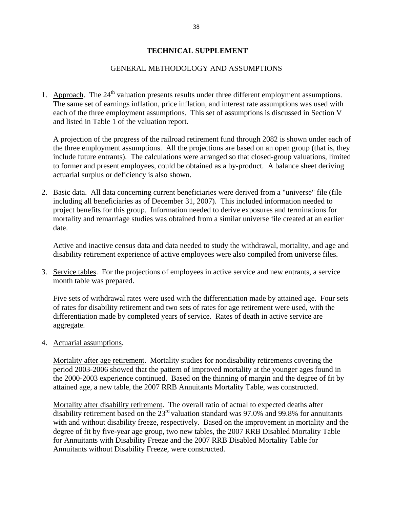# **TECHNICAL SUPPLEMENT**

# GENERAL METHODOLOGY AND ASSUMPTIONS

1. Approach. The  $24<sup>th</sup>$  valuation presents results under three different employment assumptions. The same set of earnings inflation, price inflation, and interest rate assumptions was used with each of the three employment assumptions. This set of assumptions is discussed in Section V and listed in Table 1 of the valuation report.

A projection of the progress of the railroad retirement fund through 2082 is shown under each of the three employment assumptions. All the projections are based on an open group (that is, they include future entrants). The calculations were arranged so that closed-group valuations, limited to former and present employees, could be obtained as a by-product. A balance sheet deriving actuarial surplus or deficiency is also shown.

2. Basic data. All data concerning current beneficiaries were derived from a "universe" file (file including all beneficiaries as of December 31, 2007). This included information needed to project benefits for this group. Information needed to derive exposures and terminations for mortality and remarriage studies was obtained from a similar universe file created at an earlier date.

Active and inactive census data and data needed to study the withdrawal, mortality, and age and disability retirement experience of active employees were also compiled from universe files.

3. Service tables. For the projections of employees in active service and new entrants, a service month table was prepared.

Five sets of withdrawal rates were used with the differentiation made by attained age. Four sets of rates for disability retirement and two sets of rates for age retirement were used, with the differentiation made by completed years of service. Rates of death in active service are aggregate.

4. Actuarial assumptions.

Mortality after age retirement. Mortality studies for nondisability retirements covering the period 2003-2006 showed that the pattern of improved mortality at the younger ages found in the 2000-2003 experience continued. Based on the thinning of margin and the degree of fit by attained age, a new table, the 2007 RRB Annuitants Mortality Table, was constructed.

Mortality after disability retirement. The overall ratio of actual to expected deaths after disability retirement based on the  $23<sup>rd</sup>$  valuation standard was 97.0% and 99.8% for annuitants with and without disability freeze, respectively. Based on the improvement in mortality and the degree of fit by five-year age group, two new tables, the 2007 RRB Disabled Mortality Table for Annuitants with Disability Freeze and the 2007 RRB Disabled Mortality Table for Annuitants without Disability Freeze, were constructed.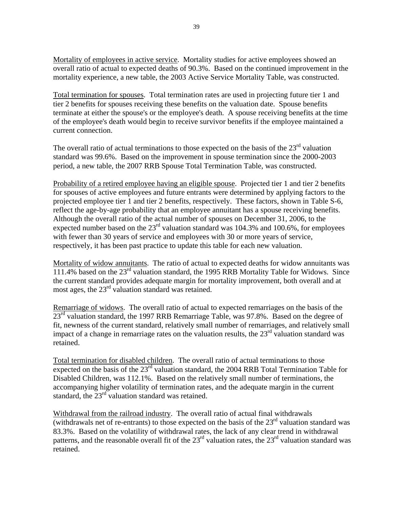Mortality of employees in active service. Mortality studies for active employees showed an overall ratio of actual to expected deaths of 90.3%. Based on the continued improvement in the mortality experience, a new table, the 2003 Active Service Mortality Table, was constructed.

Total termination for spouses. Total termination rates are used in projecting future tier 1 and tier 2 benefits for spouses receiving these benefits on the valuation date. Spouse benefits terminate at either the spouse's or the employee's death. A spouse receiving benefits at the time of the employee's death would begin to receive survivor benefits if the employee maintained a current connection.

The overall ratio of actual terminations to those expected on the basis of the  $23<sup>rd</sup>$  valuation standard was 99.6%. Based on the improvement in spouse termination since the 2000-2003 period, a new table, the 2007 RRB Spouse Total Termination Table, was constructed.

Probability of a retired employee having an eligible spouse. Projected tier 1 and tier 2 benefits for spouses of active employees and future entrants were determined by applying factors to the projected employee tier 1 and tier 2 benefits, respectively. These factors, shown in Table S-6, reflect the age-by-age probability that an employee annuitant has a spouse receiving benefits. Although the overall ratio of the actual number of spouses on December 31, 2006, to the expected number based on the  $23<sup>rd</sup>$  valuation standard was 104.3% and 100.6%, for employees with fewer than 30 years of service and employees with 30 or more years of service, respectively, it has been past practice to update this table for each new valuation.

Mortality of widow annuitants. The ratio of actual to expected deaths for widow annuitants was  $111.4\%$  based on the  $23<sup>rd</sup>$  valuation standard, the 1995 RRB Mortality Table for Widows. Since the current standard provides adequate margin for mortality improvement, both overall and at most ages, the 23<sup>rd</sup> valuation standard was retained.

Remarriage of widows. The overall ratio of actual to expected remarriages on the basis of the 23<sup>rd</sup> valuation standard, the 1997 RRB Remarriage Table, was 97.8%. Based on the degree of fit, newness of the current standard, relatively small number of remarriages, and relatively small impact of a change in remarriage rates on the valuation results, the 23rd valuation standard was retained.

Total termination for disabled children. The overall ratio of actual terminations to those expected on the basis of the  $23<sup>rd</sup>$  valuation standard, the 2004 RRB Total Termination Table for Disabled Children, was 112.1%. Based on the relatively small number of terminations, the accompanying higher volatility of termination rates, and the adequate margin in the current standard, the  $23<sup>rd</sup>$  valuation standard was retained.

Withdrawal from the railroad industry. The overall ratio of actual final withdrawals (withdrawals net of re-entrants) to those expected on the basis of the  $23<sup>rd</sup>$  valuation standard was 83.3%. Based on the volatility of withdrawal rates, the lack of any clear trend in withdrawal patterns, and the reasonable overall fit of the  $23<sup>rd</sup>$  valuation rates, the  $23<sup>rd</sup>$  valuation standard was retained.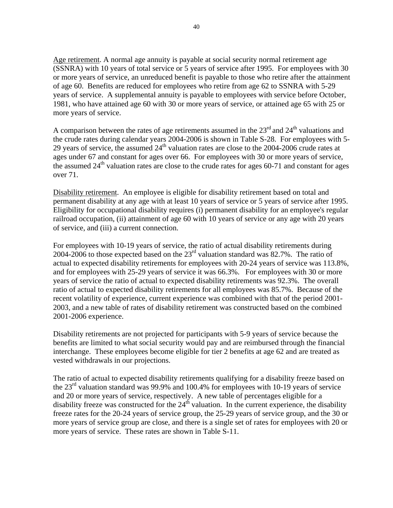Age retirement. A normal age annuity is payable at social security normal retirement age (SSNRA) with 10 years of total service or 5 years of service after 1995. For employees with 30 or more years of service, an unreduced benefit is payable to those who retire after the attainment of age 60. Benefits are reduced for employees who retire from age 62 to SSNRA with 5-29 years of service. A supplemental annuity is payable to employees with service before October, 1981, who have attained age 60 with 30 or more years of service, or attained age 65 with 25 or more years of service.

A comparison between the rates of age retirements assumed in the  $23<sup>rd</sup>$  and  $24<sup>th</sup>$  valuations and the crude rates during calendar years 2004-2006 is shown in Table S-28. For employees with 5- 29 years of service, the assumed  $24<sup>th</sup>$  valuation rates are close to the 2004-2006 crude rates at ages under 67 and constant for ages over 66. For employees with 30 or more years of service, the assumed  $24<sup>th</sup>$  valuation rates are close to the crude rates for ages 60-71 and constant for ages over 71.

Disability retirement. An employee is eligible for disability retirement based on total and permanent disability at any age with at least 10 years of service or 5 years of service after 1995. Eligibility for occupational disability requires (i) permanent disability for an employee's regular railroad occupation, (ii) attainment of age 60 with 10 years of service or any age with 20 years of service, and (iii) a current connection.

For employees with 10-19 years of service, the ratio of actual disability retirements during 2004-2006 to those expected based on the  $23<sup>rd</sup>$  valuation standard was 82.7%. The ratio of actual to expected disability retirements for employees with 20-24 years of service was 113.8%, and for employees with 25-29 years of service it was 66.3%. For employees with 30 or more years of service the ratio of actual to expected disability retirements was 92.3%. The overall ratio of actual to expected disability retirements for all employees was 85.7%. Because of the recent volatility of experience, current experience was combined with that of the period 2001- 2003, and a new table of rates of disability retirement was constructed based on the combined 2001-2006 experience.

Disability retirements are not projected for participants with 5-9 years of service because the benefits are limited to what social security would pay and are reimbursed through the financial interchange. These employees become eligible for tier 2 benefits at age 62 and are treated as vested withdrawals in our projections.

The ratio of actual to expected disability retirements qualifying for a disability freeze based on the  $23<sup>rd</sup>$  valuation standard was 99.9% and 100.4% for employees with 10-19 years of service and 20 or more years of service, respectively. A new table of percentages eligible for a disability freeze was constructed for the  $24<sup>th</sup>$  valuation. In the current experience, the disability freeze rates for the 20-24 years of service group, the 25-29 years of service group, and the 30 or more years of service group are close, and there is a single set of rates for employees with 20 or more years of service. These rates are shown in Table S-11.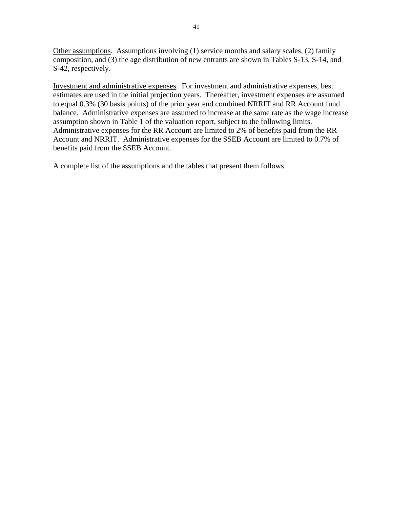Other assumptions. Assumptions involving (1) service months and salary scales, (2) family composition, and (3) the age distribution of new entrants are shown in Tables S-13, S-14, and S-42, respectively.

Investment and administrative expenses. For investment and administrative expenses, best estimates are used in the initial projection years. Thereafter, investment expenses are assumed to equal 0.3% (30 basis points) of the prior year end combined NRRIT and RR Account fund balance. Administrative expenses are assumed to increase at the same rate as the wage increase assumption shown in Table 1 of the valuation report, subject to the following limits. Administrative expenses for the RR Account are limited to 2% of benefits paid from the RR Account and NRRIT. Administrative expenses for the SSEB Account are limited to 0.7% of benefits paid from the SSEB Account.

A complete list of the assumptions and the tables that present them follows.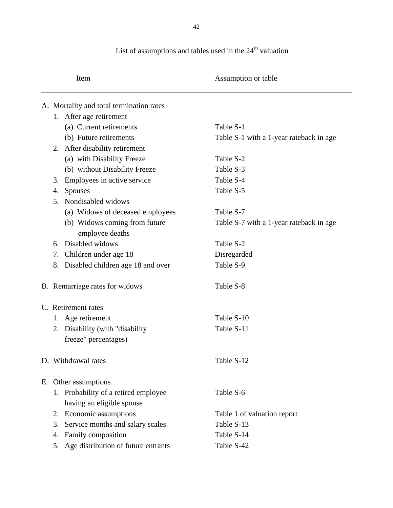|    | Item                                     | Assumption or table                      |
|----|------------------------------------------|------------------------------------------|
|    | A. Mortality and total termination rates |                                          |
|    | 1. After age retirement                  |                                          |
|    | (a) Current retirements                  | Table S-1                                |
|    | (b) Future retirements                   | Table S-1 with a 1-year rateback in age. |
|    | 2. After disability retirement           |                                          |
|    | (a) with Disability Freeze               | Table S-2                                |
|    | (b) without Disability Freeze            | Table S-3                                |
| 3. | Employees in active service              | Table S-4                                |
| 4. | <b>Spouses</b>                           | Table S-5                                |
| 5. | Nondisabled widows                       |                                          |
|    | (a) Widows of deceased employees         | Table S-7                                |
|    | (b) Widows coming from future            | Table S-7 with a 1-year rateback in age. |
|    | employee deaths                          |                                          |
| 6. | Disabled widows                          | Table S-2                                |
| 7. | Children under age 18                    | Disregarded                              |
| 8. | Disabled children age 18 and over        | Table S-9                                |
|    | B. Remarriage rates for widows           | Table S-8                                |
|    | C. Retirement rates                      |                                          |
|    | 1. Age retirement                        | Table S-10                               |
| 2. | Disability (with "disability"            | Table S-11                               |
|    | freeze" percentages)                     |                                          |
|    | D. Withdrawal rates                      | Table S-12                               |
|    | E. Other assumptions                     |                                          |
|    | 1. Probability of a retired employee     | Table S-6                                |
|    | having an eligible spouse                |                                          |
|    | 2. Economic assumptions                  | Table 1 of valuation report              |
| 3. | Service months and salary scales         | Table S-13                               |
| 4. | Family composition                       | Table S-14                               |
| 5. | Age distribution of future entrants      | Table S-42                               |

List of assumptions and tables used in the  $24^{\text{th}}$  valuation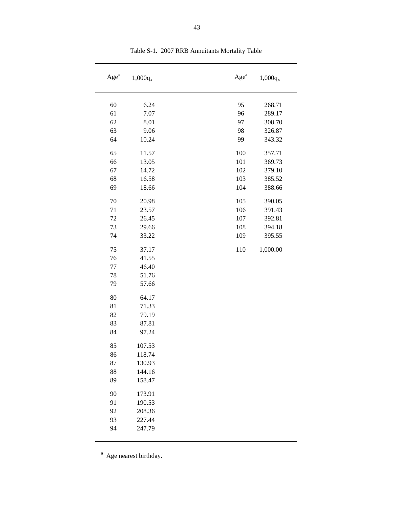| Age <sup>a</sup> | $1,000q_{x}$ | Age <sup>a</sup> | $1,000q_x$ |
|------------------|--------------|------------------|------------|
| 60               | 6.24         | 95               | 268.71     |
| 61               | 7.07         | 96               | 289.17     |
| 62               | 8.01         | 97               | 308.70     |
| 63               | 9.06         | 98               | 326.87     |
| 64               | 10.24        | 99               | 343.32     |
| 65               | 11.57        | 100              | 357.71     |
| 66               | 13.05        | 101              | 369.73     |
| 67               | 14.72        | 102              | 379.10     |
| 68               | 16.58        | 103              | 385.52     |
| 69               | 18.66        | 104              | 388.66     |
| 70               | 20.98        | 105              | 390.05     |
| 71               | 23.57        | 106              | 391.43     |
| 72               | 26.45        | 107              | 392.81     |
| 73               | 29.66        | 108              | 394.18     |
| 74               | 33.22        | 109              | 395.55     |
| 75               | 37.17        | 110              | 1,000.00   |
| 76               | 41.55        |                  |            |
| 77               | 46.40        |                  |            |
| 78               | 51.76        |                  |            |
| 79               | 57.66        |                  |            |
| 80               | 64.17        |                  |            |
| 81               | 71.33        |                  |            |
| 82               | 79.19        |                  |            |
| 83               | 87.81        |                  |            |
| 84               | 97.24        |                  |            |
| 85               | 107.53       |                  |            |
| 86               | 118.74       |                  |            |
| 87               | 130.93       |                  |            |
| 88               | 144.16       |                  |            |
| 89               | 158.47       |                  |            |
| 90               | 173.91       |                  |            |
| 91               | 190.53       |                  |            |
| 92               | 208.36       |                  |            |
| 93               | 227.44       |                  |            |
| 94               | 247.79       |                  |            |

Table S-1. 2007 RRB Annuitants Mortality Table

 $\overline{a}$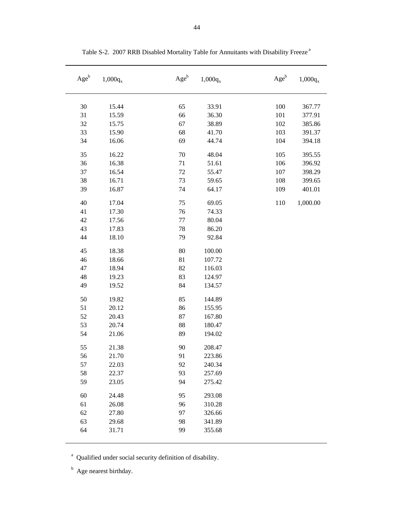| Ageb | $1,000q_{x}$ | $Age^b$ | $1{,}000q_x$ | $Age^b$ | $1,000q_{x}$ |
|------|--------------|---------|--------------|---------|--------------|
| 30   | 15.44        | 65      | 33.91        | 100     | 367.77       |
| 31   | 15.59        | 66      | 36.30        | 101     | 377.91       |
| 32   | 15.75        | 67      | 38.89        | 102     | 385.86       |
| 33   | 15.90        | 68      | 41.70        | 103     | 391.37       |
| 34   | 16.06        | 69      | 44.74        | 104     | 394.18       |
| 35   | 16.22        | 70      | 48.04        | 105     | 395.55       |
| 36   | 16.38        | 71      | 51.61        | 106     | 396.92       |
| 37   | 16.54        | 72      | 55.47        | 107     | 398.29       |
| 38   | 16.71        | 73      | 59.65        | 108     | 399.65       |
| 39   | 16.87        | 74      | 64.17        | 109     | 401.01       |
| 40   | 17.04        | 75      | 69.05        | 110     | 1,000.00     |
| 41   | 17.30        | 76      | 74.33        |         |              |
| 42   | 17.56        | 77      | 80.04        |         |              |
| 43   | 17.83        | 78      | 86.20        |         |              |
| 44   | 18.10        | 79      | 92.84        |         |              |
| 45   | 18.38        | 80      | 100.00       |         |              |
| 46   | 18.66        | 81      | 107.72       |         |              |
| 47   | 18.94        | 82      | 116.03       |         |              |
| 48   | 19.23        | 83      | 124.97       |         |              |
| 49   | 19.52        | 84      | 134.57       |         |              |
| 50   | 19.82        | 85      | 144.89       |         |              |
| 51   | 20.12        | 86      | 155.95       |         |              |
| 52   | 20.43        | 87      | 167.80       |         |              |
| 53   | 20.74        | 88      | 180.47       |         |              |
| 54   | 21.06        | 89      | 194.02       |         |              |
| 55   | 21.38        | 90      | 208.47       |         |              |
| 56   | 21.70        | 91      | 223.86       |         |              |
| 57   | 22.03        | 92      | 240.34       |         |              |
| 58   | 22.37        | 93      | 257.69       |         |              |
| 59   | 23.05        | 94      | 275.42       |         |              |
| 60   | 24.48        | 95      | 293.08       |         |              |
| 61   | 26.08        | 96      | 310.28       |         |              |
| 62   | 27.80        | 97      | 326.66       |         |              |
| 63   | 29.68        | 98      | 341.89       |         |              |
| 64   | 31.71        | 99      | 355.68       |         |              |
|      |              |         |              |         |              |

Table S-2. 2007 RRB Disabled Mortality Table for Annuitants with Disability Freeze<sup>a</sup>

<sup>a</sup> Qualified under social security definition of disability.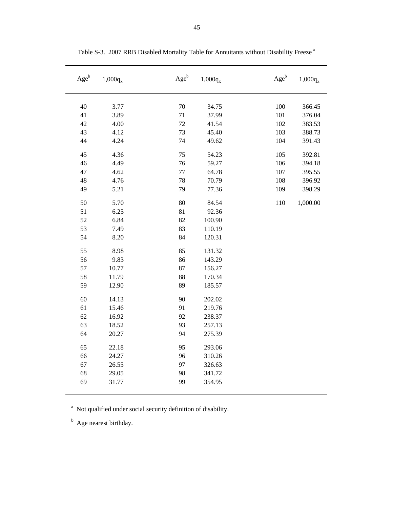| $Age^b$ | $1,000q_x$ | $Age^b$ | $1,000q_x$ | $\rm{Age}^b$ | $1,000q_x$ |
|---------|------------|---------|------------|--------------|------------|
|         |            |         |            |              |            |
| 40      | 3.77       | 70      | 34.75      | 100          | 366.45     |
| 41      | 3.89       | 71      | 37.99      | 101          | 376.04     |
| 42      | 4.00       | 72      | 41.54      | 102          | 383.53     |
| 43      | 4.12       | 73      | 45.40      | 103          | 388.73     |
| 44      | 4.24       | 74      | 49.62      | 104          | 391.43     |
| 45      | 4.36       | 75      | 54.23      | 105          | 392.81     |
| 46      | 4.49       | 76      | 59.27      | 106          | 394.18     |
| 47      | 4.62       | 77      | 64.78      | 107          | 395.55     |
| 48      | 4.76       | 78      | 70.79      | 108          | 396.92     |
| 49      | 5.21       | 79      | 77.36      | 109          | 398.29     |
| 50      | 5.70       | 80      | 84.54      | 110          | 1,000.00   |
| 51      | 6.25       | 81      | 92.36      |              |            |
| 52      | 6.84       | 82      | 100.90     |              |            |
| 53      | 7.49       | 83      | 110.19     |              |            |
| 54      | 8.20       | 84      | 120.31     |              |            |
| 55      | 8.98       | 85      | 131.32     |              |            |
| 56      | 9.83       | 86      | 143.29     |              |            |
| 57      | 10.77      | 87      | 156.27     |              |            |
| 58      | 11.79      | 88      | 170.34     |              |            |
| 59      | 12.90      | 89      | 185.57     |              |            |
| 60      | 14.13      | 90      | 202.02     |              |            |
| 61      | 15.46      | 91      | 219.76     |              |            |
| 62      | 16.92      | 92      | 238.37     |              |            |
| 63      | 18.52      | 93      | 257.13     |              |            |
| 64      | 20.27      | 94      | 275.39     |              |            |
| 65      | 22.18      | 95      | 293.06     |              |            |
| 66      | 24.27      | 96      | 310.26     |              |            |
| 67      | 26.55      | 97      | 326.63     |              |            |
| 68      | 29.05      | 98      | 341.72     |              |            |
| 69      | 31.77      | 99      | 354.95     |              |            |
|         |            |         |            |              |            |

Table S-3. 2007 RRB Disabled Mortality Table for Annuitants without Disability Freeze<sup>a</sup>

<sup>a</sup> Not qualified under social security definition of disability.

<sup>b</sup> Age nearest birthday.

 $\overline{\phantom{0}}$ 

 $\overline{\phantom{a}}$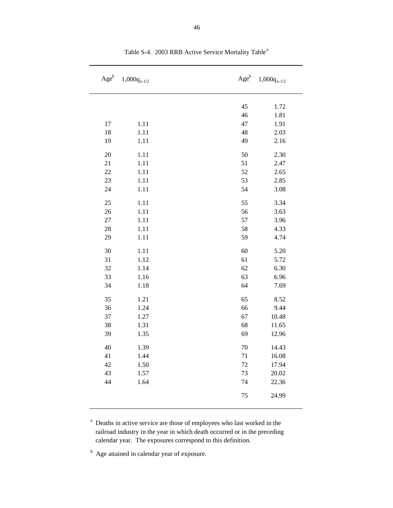| $Age^b$ | $1,000q_{x-1/2}$ | $Age^b$ | $1,000q_{x-1/2}$ |
|---------|------------------|---------|------------------|
|         |                  | 45      | 1.72             |
|         |                  | 46      | 1.81             |
| 17      | 1.11             | 47      | 1.91             |
| 18      | 1.11             | 48      | 2.03             |
| 19      | 1.11             | 49      | 2.16             |
|         |                  |         |                  |
| 20      | 1.11             | 50      | 2.30             |
| 21      | 1.11             | 51      | 2.47             |
| 22      | 1.11             | 52      | 2.65             |
| 23      | 1.11             | 53      | 2.85             |
| 24      | 1.11             | 54      | 3.08             |
| 25      | 1.11             | 55      | 3.34             |
| 26      | 1.11             | 56      | 3.63             |
| $27\,$  | 1.11             | 57      | 3.96             |
| 28      | 1.11             | 58      | 4.33             |
| 29      | 1.11             | 59      | 4.74             |
| 30      | 1.11             | 60      | 5.20             |
| 31      | 1.12             | 61      | 5.72             |
| 32      | 1.14             | 62      | 6.30             |
| 33      | 1.16             | 63      | 6.96             |
| 34      | 1.18             | 64      | 7.69             |
| 35      | 1.21             | 65      | 8.52             |
| 36      | 1.24             | 66      | 9.44             |
| 37      | 1.27             | 67      | 10.48            |
| 38      | 1.31             | 68      | 11.65            |
| 39      | 1.35             | 69      | 12.96            |
| 40      | 1.39             | 70      | 14.43            |
| 41      | 1.44             | 71      | 16.08            |
| 42      | 1.50             | 72      | 17.94            |
| 43      | 1.57             | 73      | 20.02            |
| 44      | 1.64             | 74      | 22.36            |
|         |                  | 75      | 24.99            |

Table S-4. 2003 RRB Active Service Mortality Table<sup>a</sup>

<sup>a</sup> Deaths in active service are those of employees who last worked in the railroad industry in the year in which death occurred or in the preceding calendar year. The exposures correspond to this definition.

<sup>b</sup> Age attained in calendar year of exposure.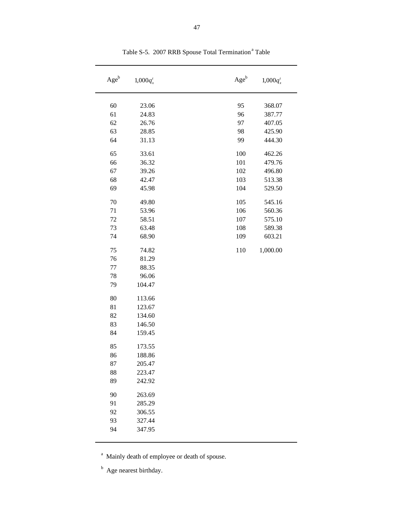| $Age^b$ | $1,000q_x^t$ | $Age^b$ | $1,000q_x^t$ |
|---------|--------------|---------|--------------|
| 60      | 23.06        | 95      | 368.07       |
| 61      | 24.83        | 96      | 387.77       |
| 62      | 26.76        | 97      | 407.05       |
| 63      | 28.85        | 98      | 425.90       |
| 64      | 31.13        | 99      | 444.30       |
|         |              |         |              |
| 65      | 33.61        | 100     | 462.26       |
| 66      | 36.32        | 101     | 479.76       |
| 67      | 39.26        | 102     | 496.80       |
| 68      | 42.47        | 103     | 513.38       |
| 69      | 45.98        | 104     | 529.50       |
| 70      | 49.80        | 105     | 545.16       |
| 71      | 53.96        | 106     | 560.36       |
| 72      | 58.51        | 107     | 575.10       |
| 73      | 63.48        | 108     | 589.38       |
| 74      | 68.90        | 109     | 603.21       |
|         |              |         |              |
| 75      | 74.82        | 110     | 1,000.00     |
| 76      | 81.29        |         |              |
| 77      | 88.35        |         |              |
| 78      | 96.06        |         |              |
| 79      | 104.47       |         |              |
| 80      | 113.66       |         |              |
| 81      | 123.67       |         |              |
| 82      | 134.60       |         |              |
| 83      | 146.50       |         |              |
| 84      | 159.45       |         |              |
| 85      | 173.55       |         |              |
| 86      | 188.86       |         |              |
| 87      | 205.47       |         |              |
| 88      | 223.47       |         |              |
| 89      | 242.92       |         |              |
| 90      | 263.69       |         |              |
| 91      | 285.29       |         |              |
| 92      | 306.55       |         |              |
| 93      | 327.44       |         |              |
| 94      | 347.95       |         |              |
|         |              |         |              |

Table S-5. 2007 RRB Spouse Total Termination<sup>a</sup> Table

<sup>a</sup> Mainly death of employee or death of spouse.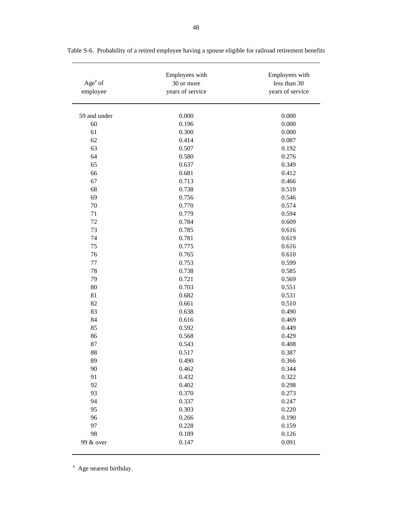| Age $a$ of<br>employee | Employees with<br>30 or more<br>years of service | Employees with<br>less than 30<br>years of service |
|------------------------|--------------------------------------------------|----------------------------------------------------|
| 59 and under           | 0.000                                            | 0.000                                              |
| 60                     | 0.196                                            | 0.000                                              |
| 61                     | 0.300                                            | 0.000                                              |
| 62                     | 0.414                                            | 0.087                                              |
| 63                     | 0.507                                            | 0.192                                              |
| 64                     | 0.580                                            | 0.276                                              |
| 65                     | 0.637                                            | 0.349                                              |
| 66                     | 0.681                                            | 0.412                                              |
| 67                     | 0.713                                            | 0.466                                              |
| 68                     | 0.738                                            | 0.510                                              |
| 69                     | 0.756                                            | 0.546                                              |
| 70                     | 0.770                                            | 0.574                                              |
| 71                     | 0.779                                            | 0.594                                              |
| 72                     | 0.784                                            | 0.609                                              |
| 73                     | 0.785                                            | 0.616                                              |
| 74                     | 0.781                                            | 0.619                                              |
| 75                     | 0.775                                            | 0.616                                              |
| 76                     | 0.765                                            | 0.610                                              |
| $77 \,$                | 0.753                                            | 0.599                                              |
| 78                     | 0.738                                            | 0.585                                              |
| 79                     | 0.721                                            | 0.569                                              |
| 80                     | 0.703                                            | 0.551                                              |
| 81                     | 0.682                                            | 0.531                                              |
| 82                     | 0.661                                            | 0.510                                              |
| 83                     | 0.638                                            | 0.490                                              |
| 84                     | 0.616                                            | 0.469                                              |
| 85                     | 0.592                                            | 0.449                                              |
| 86                     | 0.568                                            | 0.429                                              |
| 87                     | 0.543                                            | 0.408                                              |
| 88                     | 0.517                                            | 0.387                                              |
| 89                     | 0.490                                            | 0.366                                              |
| 90                     | 0.462                                            | 0.344                                              |
| 91                     | 0.432                                            | 0.322                                              |
| 92                     | 0.402                                            | 0.298                                              |
| 93                     | 0.370                                            | 0.273                                              |
| 94                     | 0.337                                            | 0.247                                              |
| 95                     | 0.303                                            | 0.220                                              |
| 96                     | 0.266                                            | 0.190                                              |
| 97                     | 0.228                                            | 0.159                                              |
| 98                     | 0.189                                            | 0.126                                              |
| 99 & over              | 0.147                                            | 0.091                                              |

Table S-6. Probability of a retired employee having a spouse eligible for railroad retirement benefits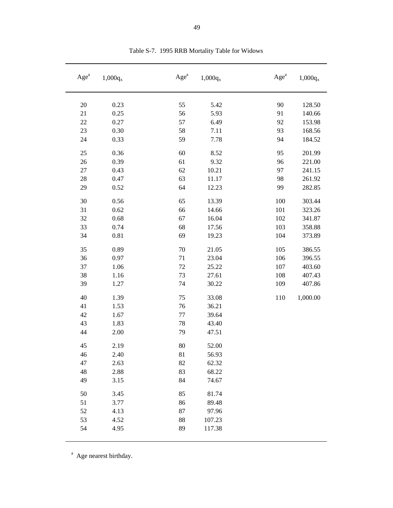| Age <sup>a</sup> | $1,000q_x$   | Age <sup>a</sup> | $1,000q_x$ | Age <sup>a</sup> | $1,000q_x$       |
|------------------|--------------|------------------|------------|------------------|------------------|
| 20               | 0.23         | 55               | 5.42       | 90               | 128.50           |
| 21               | 0.25         | 56               | 5.93       | 91               | 140.66           |
| $22\,$           | 0.27         | 57               | 6.49       | 92               | 153.98           |
| 23               | 0.30         | 58               | 7.11       | 93               | 168.56           |
| 24               | 0.33         | 59               | 7.78       | 94               | 184.52           |
| 25               | 0.36         | 60               | 8.52       | 95               | 201.99           |
| 26               | 0.39         | 61               | 9.32       | 96               | 221.00           |
| $27\,$           | 0.43         | 62               | 10.21      | 97               | 241.15           |
| 28               | 0.47         | 63               | 11.17      | 98               | 261.92           |
| 29               | 0.52         | 64               | 12.23      | 99               | 282.85           |
| 30               | 0.56         | 65               | 13.39      | 100              | 303.44           |
| 31               | 0.62         | 66               | 14.66      | 101              | 323.26           |
| 32               | 0.68         | 67               | 16.04      | 102              | 341.87           |
| 33               | 0.74         | 68               | 17.56      | 103              | 358.88           |
| 34               | 0.81         | 69               | 19.23      | 104              | 373.89           |
| 35               | 0.89         | 70               | 21.05      | 105              | 386.55           |
| 36               | 0.97         | 71               | 23.04      | 106              | 396.55           |
| 37               |              | 72               | 25.22      | 107              |                  |
| 38               | 1.06         | 73               | 27.61      | 108              | 403.60           |
| 39               | 1.16<br>1.27 | 74               | 30.22      | 109              | 407.43<br>407.86 |
|                  |              |                  |            |                  |                  |
| 40               | 1.39         | 75               | 33.08      | 110              | 1,000.00         |
| 41               | 1.53         | 76               | 36.21      |                  |                  |
| 42               | 1.67         | 77               | 39.64      |                  |                  |
| 43               | 1.83         | 78               | 43.40      |                  |                  |
| 44               | 2.00         | 79               | 47.51      |                  |                  |
| 45               | 2.19         | 80               | 52.00      |                  |                  |
| 46               | 2.40         | 81               | 56.93      |                  |                  |
| 47               | 2.63         | 82               | 62.32      |                  |                  |
| 48               | 2.88         | 83               | 68.22      |                  |                  |
| 49               | 3.15         | 84               | 74.67      |                  |                  |
| 50               | 3.45         | 85               | 81.74      |                  |                  |
| 51               | 3.77         | 86               | 89.48      |                  |                  |
| 52               | 4.13         | $87\,$           | 97.96      |                  |                  |
| 53               | 4.52         | 88               | 107.23     |                  |                  |
| 54               | 4.95         | 89               | 117.38     |                  |                  |

Table S-7. 1995 RRB Mortality Table for Widows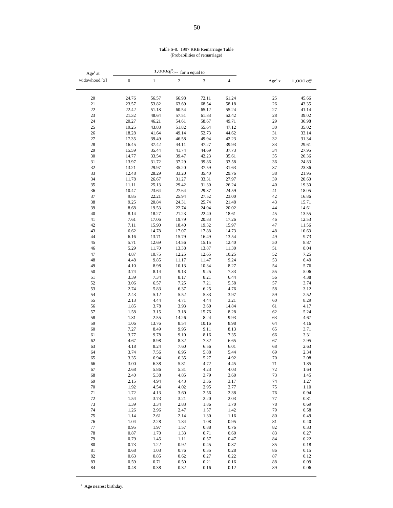|  | Table S-8. 1997 RRB Remarriage Table |  |
|--|--------------------------------------|--|
|  | (Probabilities of remarriage)        |  |

| Age <sup>a</sup> at |                  |                | 1,000 $q''_{[x]+n}$ for <u>n equal to</u> |                |                |                    |              |
|---------------------|------------------|----------------|-------------------------------------------|----------------|----------------|--------------------|--------------|
| widowhood [x]       | $\boldsymbol{0}$ | $\mathbf{1}$   | $\overline{\mathbf{c}}$                   | $\sqrt{3}$     | $\overline{4}$ | Age <sup>a</sup> x | 1,000q''     |
| 20                  | 24.76            | 56.57          | 66.98                                     | 72.11          | 61.24          | 25                 | 45.66        |
| $21\,$              | 23.57            | 53.82          | 63.69                                     | 68.54          | 58.18          | 26                 | 43.35        |
| 22                  | 22.42            | 51.18          | 60.54                                     | 65.12          | 55.24          | 27                 | 41.14        |
| 23                  | 21.32            | 48.64          | 57.51                                     | 61.83          | 52.42          | 28                 | 39.02        |
| 24                  | 20.27            | 46.21          | 54.61                                     | 58.67          | 49.71          | 29                 | 36.98        |
| 25                  | 19.25            | 43.88          | 51.82                                     | 55.64          | 47.12          | 30                 | 35.02        |
| 26                  | 18.28            | 41.64          | 49.14                                     | 52.73          | 44.62          | 31                 | 33.14        |
| $27\,$              | 17.35            | 39.49          | 46.58                                     | 49.94          | 42.23          | 32                 | 31.34        |
| 28                  | 16.45            | 37.42          | 44.11                                     | 47.27          | 39.93          | 33                 | 29.61        |
| 29                  | 15.59            | 35.44          | 41.74                                     | 44.69          | 37.73          | 34                 | 27.95        |
| 30                  | 14.77            | 33.54          | 39.47                                     | 42.23          | 35.61          | 35                 | 26.36        |
| 31                  | 13.97            | 31.72          | 37.29                                     | 39.86          | 33.58          | 36                 | 24.83        |
| 32                  | 13.21            | 29.97          | 35.20                                     | 37.59          | 31.63          | 37                 | 23.36        |
| 33                  | 12.48            | 28.29          | 33.20                                     | 35.40          | 29.76          | 38                 | 21.95        |
| 34                  | 11.78            | 26.67          | 31.27                                     | 33.31          | 27.97          | 39                 | 20.60        |
| 35                  | 11.11            | 25.13          | 29.42                                     | 31.30          | 26.24          | 40                 | 19.30        |
| 36                  | 10.47            | 23.64          | 27.64                                     | 29.37          | 24.59          | 41                 | 18.05        |
| 37                  | 9.85             | 22.21          | 25.94                                     | 27.52          | 23.00          | 42                 | 16.86        |
| 38                  | 9.25             | 20.84          | 24.31                                     | 25.74          | 21.48          | 43                 | 15.71        |
| 39                  | 8.68             | 19.53          | 22.74                                     | 24.04          | 20.02          | 44                 | 14.61        |
| 40                  | 8.14             | 18.27          | 21.23                                     | 22.40          | 18.61          | 45                 | 13.55        |
| 41                  | 7.61             | 17.06          | 19.79                                     | 20.83          | 17.26          | 46                 | 12.53        |
| 42                  | 7.11             | 15.90          | 18.40                                     | 19.32          | 15.97          | 47                 | 11.56        |
| 43                  | 6.62             | 14.78          | 17.07                                     | 17.88          | 14.73          | 48                 | 10.63        |
| 44                  | 6.16             | 13.71          | 15.79                                     | 16.49          | 13.54          | 49                 | 9.73         |
| 45                  | 5.71<br>5.29     | 12.69          | 14.56                                     | 15.15          | 12.40<br>11.30 | 50                 | 8.87<br>8.04 |
| 46<br>47            | 4.87             | 11.70<br>10.75 | 13.38                                     | 13.87          | 10.25          | 51<br>52           | 7.25         |
| 48                  | 4.48             | 9.85           | 12.25<br>11.17                            | 12.65<br>11.47 | 9.24           | 53                 | 6.49         |
| 49                  | 4.10             | 8.98           | 10.13                                     | 10.34          | 8.27           | 54                 | 5.76         |
| 50                  | 3.74             | 8.14           | 9.13                                      | 9.25           | 7.33           | 55                 | 5.06         |
| 51                  | 3.39             | 7.34           | 8.17                                      | 8.21           | 6.44           | 56                 | 4.38         |
| 52                  | 3.06             | 6.57           | 7.25                                      | 7.21           | 5.58           | 57                 | 3.74         |
| 53                  | 2.74             | 5.83           | 6.37                                      | 6.25           | 4.76           | 58                 | 3.12         |
| 54                  | 2.43             | 5.12           | 5.52                                      | 5.33           | 3.97           | 59                 | 2.52         |
| 55                  | 2.13             | 4.44           | 4.71                                      | 4.44           | 3.21           | 60                 | 8.29         |
| 56                  | 1.85             | 3.78           | 3.93                                      | 3.60           | 14.84          | 61                 | 4.17         |
| 57                  | 1.58             | 3.15           | 3.18                                      | 15.76          | 8.28           | 62                 | 5.24         |
| 58                  | 1.31             | 2.55           | 14.26                                     | 8.24           | 9.93           | 63                 | 4.67         |
| 59                  | 1.06             | 13.76          | 8.54                                      | 10.16          | 8.98           | 64                 | 4.16         |
| 60                  | 7.27             | 8.49           | 9.95                                      | 9.11           | 8.13           | 65                 | 3.71         |
| 61                  | 3.77             | 9.78           | 9.10                                      | 8.16           | 7.35           | 66                 | 3.31         |
| 62                  | 4.67             | 8.98           | 8.32                                      | 7.32           | 6.65           | 67                 | 2.95         |
| 63                  | 4.18             | 8.24           | 7.60                                      | 6.56           | 6.01           | 68                 | 2.63         |
| 64                  | 3.74             | 7.56           | 6.95                                      | 5.88           | 5.44           | 69                 | 2.34         |
| 65                  | 3.35<br>3.00     | 6.94           | 6.35<br>5.81                              | 5.27<br>4.72   | 4.92<br>4.45   | $70\,$<br>$71\,$   | 2.08<br>1.85 |
| 66<br>67            | 2.68             | 6.38<br>5.86   | 5.31                                      | 4.23           | 4.03           | $72\,$             | 1.64         |
| 68                  | 2.40             | 5.38           | 4.85                                      | 3.79           | 3.60           | 73                 | 1.45         |
| 69                  | 2.15             | 4.94           | 4.43                                      | 3.36           | 3.17           | 74                 | 1.27         |
| 70                  | 1.92             | 4.54           | 4.02                                      | 2.95           | 2.77           | 75                 | 1.10         |
| 71                  | 1.72             | 4.13           | 3.60                                      | 2.56           | 2.38           | 76                 | 0.94         |
| 72                  | 1.54             | 3.73           | 3.21                                      | 2.20           | 2.03           | $77\,$             | 0.81         |
| 73                  | 1.39             | 3.34           | 2.83                                      | 1.86           | 1.70           | 78                 | 0.69         |
| 74                  | 1.26             | 2.96           | 2.47                                      | 1.57           | 1.42           | 79                 | 0.58         |
| 75                  | 1.14             | 2.61           | 2.14                                      | 1.30           | 1.16           | $80\,$             | 0.49         |
| 76                  | 1.04             | 2.28           | 1.84                                      | 1.08           | 0.95           | 81                 | 0.40         |
| $77 \,$             | 0.95             | 1.97           | 1.57                                      | 0.88           | 0.76           | 82                 | 0.33         |
| 78                  | 0.87             | 1.70           | 1.33                                      | 0.71           | 0.60           | 83                 | 0.27         |
| 79                  | 0.79             | $1.45\,$       | 1.11                                      | 0.57           | 0.47           | 84                 | 0.22         |
| 80                  | 0.73             | 1.22           | 0.92                                      | 0.45           | 0.37           | 85                 | 0.18         |
| $8\sqrt{1}$         | 0.68             | $1.03\,$       | 0.76                                      | 0.35           | 0.28           | 86                 | 0.15         |
| 82                  | 0.63             | 0.85           | 0.62                                      | 0.27           | 0.22           | 87                 | 0.12         |
| 83                  | 0.59             | 0.71           | 0.50                                      | 0.21           | 0.16           | 88                 | 0.09         |
| 84                  | 0.48             | 0.38           | 0.32                                      | 0.16           | 0.12           | 89                 | 0.06         |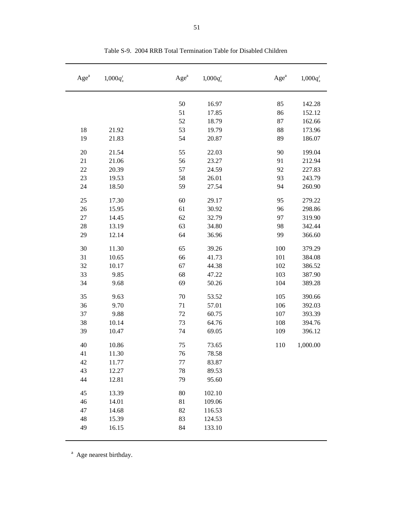| Age <sup>a</sup> | $1,000q_x^t$ | Age <sup>a</sup> | $1,000q_x^t$ | Age <sup>a</sup> | $1,000q_x^t$ |
|------------------|--------------|------------------|--------------|------------------|--------------|
|                  |              | 50               | 16.97        | 85               | 142.28       |
|                  |              | 51               | 17.85        | 86               | 152.12       |
|                  |              | 52               | 18.79        | 87               | 162.66       |
| 18               | 21.92        | 53               | 19.79        | 88               | 173.96       |
| 19               | 21.83        | 54               | 20.87        | 89               | 186.07       |
| 20               | 21.54        | 55               | 22.03        | 90               | 199.04       |
| 21               | 21.06        | 56               | 23.27        | 91               | 212.94       |
| 22               | 20.39        | 57               | 24.59        | 92               | 227.83       |
| 23               | 19.53        | 58               | 26.01        | 93               | 243.79       |
| 24               | 18.50        | 59               | 27.54        | 94               | 260.90       |
| 25               | 17.30        | 60               | 29.17        | 95               | 279.22       |
| 26               | 15.95        | 61               | 30.92        | 96               | 298.86       |
| 27               | 14.45        | 62               | 32.79        | 97               | 319.90       |
| 28               | 13.19        | 63               | 34.80        | 98               | 342.44       |
| 29               | 12.14        | 64               | 36.96        | 99               | 366.60       |
| 30               | 11.30        | 65               | 39.26        | 100              | 379.29       |
| 31               | 10.65        | 66               | 41.73        | 101              | 384.08       |
| 32               | 10.17        | 67               | 44.38        | 102              | 386.52       |
| 33               | 9.85         | 68               | 47.22        | 103              | 387.90       |
| 34               | 9.68         | 69               | 50.26        | 104              | 389.28       |
| 35               | 9.63         | 70               | 53.52        | 105              | 390.66       |
| 36               | 9.70         | 71               | 57.01        | 106              | 392.03       |
| 37               | 9.88         | 72               | 60.75        | 107              | 393.39       |
| 38               | 10.14        | 73               | 64.76        | 108              | 394.76       |
| 39               | 10.47        | 74               | 69.05        | 109              | 396.12       |
| 40               | 10.86        | 75               | 73.65        | 110              | 1,000.00     |
| 41               | 11.30        | 76               | 78.58        |                  |              |
| 42               | 11.77        | 77               | 83.87        |                  |              |
| 43               | 12.27        | 78               | 89.53        |                  |              |
| 44               | 12.81        | 79               | 95.60        |                  |              |
| 45               | 13.39        | 80               | 102.10       |                  |              |
| 46               | 14.01        | 81               | 109.06       |                  |              |
| 47               | 14.68        | 82               | 116.53       |                  |              |
| 48               | 15.39        | 83               | 124.53       |                  |              |
| 49               | 16.15        | 84               | 133.10       |                  |              |

Table S-9. 2004 RRB Total Termination Table for Disabled Children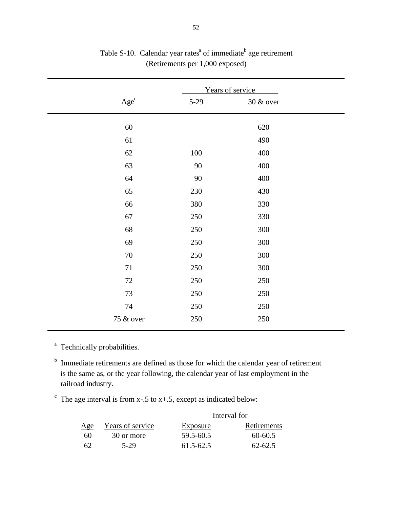|           |          | Years of service |  |
|-----------|----------|------------------|--|
| $Age^c$   | $5 - 29$ | 30 & over        |  |
| 60        |          | 620              |  |
| 61        |          | 490              |  |
| 62        | 100      | 400              |  |
| 63        | 90       | 400              |  |
| 64        | $90\,$   | 400              |  |
| 65        | 230      | 430              |  |
| 66        | 380      | 330              |  |
| 67        | 250      | 330              |  |
| 68        | 250      | 300              |  |
| 69        | 250      | 300              |  |
| $70\,$    | 250      | 300              |  |
| $71\,$    | 250      | 300              |  |
| 72        | 250      | 250              |  |
| 73        | 250      | 250              |  |
| 74        | 250      | 250              |  |
| 75 & over | 250      | 250              |  |

Table S-10. Calendar year rates<sup> $a$ </sup> of immediate<sup>b</sup> age retirement (Retirements per 1,000 exposed)

<sup>a</sup> Technically probabilities.

<sup>b</sup> Immediate retirements are defined as those for which the calendar year of retirement is the same as, or the year following, the calendar year of last employment in the railroad industry.

The age interval is from x-.5 to x+.5, except as indicated below:

|     |                  | Interval for  |             |  |
|-----|------------------|---------------|-------------|--|
| Age | Years of service | Exposure      | Retirements |  |
| 60  | 30 or more       | 59.5-60.5     | $60 - 60.5$ |  |
| 62  | 5-29             | $61.5 - 62.5$ | $62 - 62.5$ |  |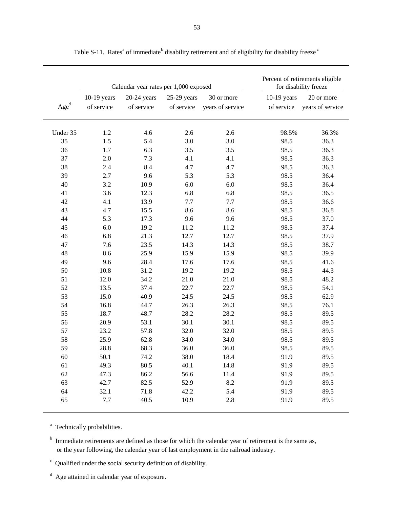|                           |                             | Calendar year rates per 1,000 exposed |                             |                                |                             | Percent of retirements eligible<br>for disability freeze |
|---------------------------|-----------------------------|---------------------------------------|-----------------------------|--------------------------------|-----------------------------|----------------------------------------------------------|
| $\mathbf{Age}^{\text{d}}$ | $10-19$ years<br>of service | $20-24$ years<br>of service           | $25-29$ years<br>of service | 30 or more<br>years of service | $10-19$ years<br>of service | 20 or more<br>years of service                           |
| Under 35                  | 1.2                         | 4.6                                   | 2.6                         | 2.6                            | 98.5%                       | 36.3%                                                    |
| 35                        | 1.5                         | 5.4                                   | 3.0                         | 3.0                            | 98.5                        | 36.3                                                     |
| 36                        | 1.7                         | 6.3                                   | 3.5                         | 3.5                            | 98.5                        | 36.3                                                     |
| 37                        | 2.0                         | 7.3                                   | 4.1                         | 4.1                            | 98.5                        | 36.3                                                     |
| 38                        | 2.4                         | 8.4                                   | 4.7                         | 4.7                            | 98.5                        | 36.3                                                     |
| 39                        | 2.7                         | 9.6                                   | 5.3                         | 5.3                            | 98.5                        | 36.4                                                     |
| 40                        | 3.2                         | 10.9                                  | 6.0                         | 6.0                            | 98.5                        | 36.4                                                     |
| 41                        | 3.6                         | 12.3                                  | 6.8                         | 6.8                            | 98.5                        | 36.5                                                     |
| 42                        | 4.1                         | 13.9                                  | 7.7                         | 7.7                            | 98.5                        | 36.6                                                     |
| 43                        | 4.7                         | 15.5                                  | 8.6                         | 8.6                            | 98.5                        | 36.8                                                     |
| 44                        | 5.3                         | 17.3                                  | 9.6                         | 9.6                            | 98.5                        | 37.0                                                     |
| 45                        | 6.0                         | 19.2                                  | 11.2                        | 11.2                           | 98.5                        | 37.4                                                     |
| 46                        | 6.8                         | 21.3                                  | 12.7                        | 12.7                           | 98.5                        | 37.9                                                     |
| 47                        | 7.6                         | 23.5                                  | 14.3                        | 14.3                           | 98.5                        | 38.7                                                     |
| 48                        | 8.6                         | 25.9                                  | 15.9                        | 15.9                           | 98.5                        | 39.9                                                     |
| 49                        | 9.6                         | 28.4                                  | 17.6                        | 17.6                           | 98.5                        | 41.6                                                     |
| 50                        | 10.8                        | 31.2                                  | 19.2                        | 19.2                           | 98.5                        | 44.3                                                     |
| 51                        | 12.0                        | 34.2                                  | 21.0                        | 21.0                           | 98.5                        | 48.2                                                     |
| 52                        | 13.5                        | 37.4                                  | 22.7                        | 22.7                           | 98.5                        | 54.1                                                     |
| 53                        | 15.0                        | 40.9                                  | 24.5                        | 24.5                           | 98.5                        | 62.9                                                     |
| 54                        | 16.8                        | 44.7                                  | 26.3                        | 26.3                           | 98.5                        | 76.1                                                     |
| 55                        | 18.7                        | 48.7                                  | 28.2                        | 28.2                           | 98.5                        | 89.5                                                     |
| 56                        | 20.9                        | 53.1                                  | 30.1                        | 30.1                           | 98.5                        | 89.5                                                     |
| 57                        | 23.2                        | 57.8                                  | 32.0                        | 32.0                           | 98.5                        | 89.5                                                     |
| 58                        | 25.9                        | 62.8                                  | 34.0                        | 34.0                           | 98.5                        | 89.5                                                     |
| 59                        | 28.8                        | 68.3                                  | 36.0                        | 36.0                           | 98.5                        | 89.5                                                     |
| 60                        | 50.1                        | 74.2                                  | 38.0                        | 18.4                           | 91.9                        | 89.5                                                     |
| 61                        | 49.3                        | 80.5                                  | 40.1                        | 14.8                           | 91.9                        | 89.5                                                     |
| 62                        | 47.3                        | 86.2                                  | 56.6                        | 11.4                           | 91.9                        | 89.5                                                     |
| 63                        | 42.7                        | 82.5                                  | 52.9                        | 8.2                            | 91.9                        | 89.5                                                     |
| 64                        | 32.1                        | 71.8                                  | 42.2                        | 5.4                            | 91.9                        | 89.5                                                     |
| 65                        | 7.7                         | 40.5                                  | 10.9                        | 2.8                            | 91.9                        | 89.5                                                     |

Table S-11. Rates<sup>a</sup> of immediate<sup>b</sup> disability retirement and of eligibility for disability freeze<sup>c</sup>

<sup>a</sup> Technically probabilities.

<sup>b</sup> Immediate retirements are defined as those for which the calendar year of retirement is the same as, or the year following, the calendar year of last employment in the railroad industry.

 $\epsilon$  Qualified under the social security definition of disability.

<sup>d</sup> Age attained in calendar year of exposure.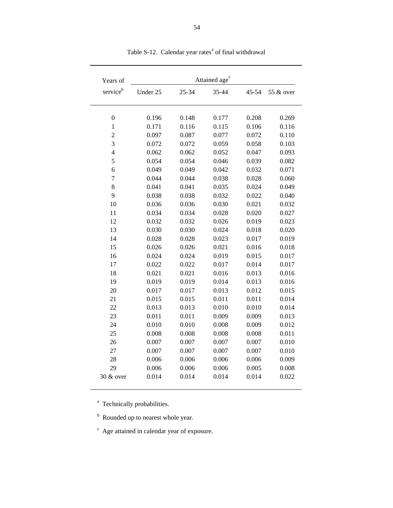| Years of             |          |       | Attained age <sup>c</sup> |       |           |
|----------------------|----------|-------|---------------------------|-------|-----------|
| service <sup>b</sup> | Under 25 | 25-34 | 35-44                     | 45-54 | 55 & over |
| $\boldsymbol{0}$     | 0.196    | 0.148 | 0.177                     | 0.208 | 0.269     |
| $\mathbf{1}$         | 0.171    | 0.116 | 0.115                     | 0.106 | 0.116     |
| $\overline{c}$       | 0.097    | 0.087 | 0.077                     | 0.072 | 0.110     |
| 3                    | 0.072    | 0.072 | 0.059                     | 0.058 | 0.103     |
| $\overline{4}$       | 0.062    | 0.062 | 0.052                     | 0.047 | 0.093     |
| 5                    | 0.054    | 0.054 | 0.046                     | 0.039 | 0.082     |
| 6                    | 0.049    | 0.049 | 0.042                     | 0.032 | 0.071     |
| $\overline{7}$       | 0.044    | 0.044 | 0.038                     | 0.028 | 0.060     |
| 8                    | 0.041    | 0.041 | 0.035                     | 0.024 | 0.049     |
| 9                    | 0.038    | 0.038 | 0.032                     | 0.022 | 0.040     |
| 10                   | 0.036    | 0.036 | 0.030                     | 0.021 | 0.032     |
| 11                   | 0.034    | 0.034 | 0.028                     | 0.020 | 0.027     |
| 12                   | 0.032    | 0.032 | 0.026                     | 0.019 | 0.023     |
| 13                   | 0.030    | 0.030 | 0.024                     | 0.018 | 0.020     |
| 14                   | 0.028    | 0.028 | 0.023                     | 0.017 | 0.019     |
| 15                   | 0.026    | 0.026 | 0.021                     | 0.016 | 0.018     |
| 16                   | 0.024    | 0.024 | 0.019                     | 0.015 | 0.017     |
| 17                   | 0.022    | 0.022 | 0.017                     | 0.014 | 0.017     |
| 18                   | 0.021    | 0.021 | 0.016                     | 0.013 | 0.016     |
| 19                   | 0.019    | 0.019 | 0.014                     | 0.013 | 0.016     |
| 20                   | 0.017    | 0.017 | 0.013                     | 0.012 | 0.015     |
| 21                   | 0.015    | 0.015 | 0.011                     | 0.011 | 0.014     |
| 22                   | 0.013    | 0.013 | 0.010                     | 0.010 | 0.014     |
| 23                   | 0.011    | 0.011 | 0.009                     | 0.009 | 0.013     |
| 24                   | 0.010    | 0.010 | 0.008                     | 0.009 | 0.012     |
| 25                   | 0.008    | 0.008 | 0.008                     | 0.008 | 0.011     |
| 26                   | 0.007    | 0.007 | 0.007                     | 0.007 | 0.010     |
| 27                   | 0.007    | 0.007 | 0.007                     | 0.007 | 0.010     |
| 28                   | 0.006    | 0.006 | 0.006                     | 0.006 | 0.009     |
| 29                   | 0.006    | 0.006 | 0.006                     | 0.005 | 0.008     |
| 30 & over            | 0.014    | 0.014 | 0.014                     | 0.014 | 0.022     |

Table S-12. Calendar year rates<sup>a</sup> of final withdrawal

<sup>a</sup> Technically probabilities.

<sup>b</sup> Rounded up to nearest whole year.

 $\degree$  Age attained in calendar year of exposure.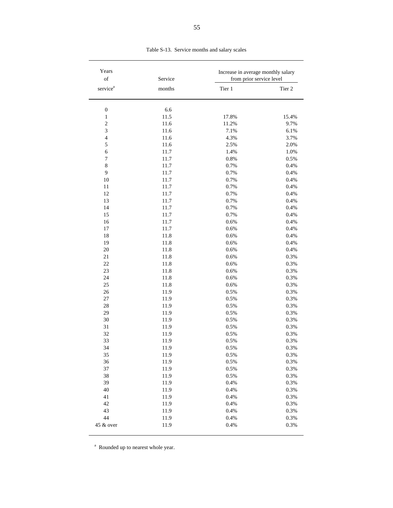| Years<br>$_{\mathrm{of}}$ | Service | Increase in average monthly salary<br>from prior service level |         |  |  |
|---------------------------|---------|----------------------------------------------------------------|---------|--|--|
| service <sup>a</sup>      | months  | Tier 1                                                         | Tier 2  |  |  |
| $\boldsymbol{0}$          | 6.6     |                                                                |         |  |  |
| $\mathbf{1}$              | 11.5    | 17.8%                                                          | 15.4%   |  |  |
| $\overline{c}$            | 11.6    | 11.2%                                                          | 9.7%    |  |  |
| 3                         | 11.6    | 7.1%                                                           | 6.1%    |  |  |
| $\overline{\mathbf{4}}$   | 11.6    | 4.3%                                                           | 3.7%    |  |  |
| 5                         | 11.6    | 2.5%                                                           | 2.0%    |  |  |
| $\epsilon$                | 11.7    | 1.4%                                                           | 1.0%    |  |  |
| 7                         | 11.7    | 0.8%                                                           | 0.5%    |  |  |
| $\,8\,$                   | 11.7    | 0.7%                                                           | 0.4%    |  |  |
| 9                         | 11.7    | 0.7%                                                           | 0.4%    |  |  |
| 10                        | 11.7    | $0.7\%$                                                        | 0.4%    |  |  |
| 11                        | 11.7    | 0.7%                                                           | $0.4\%$ |  |  |
| 12                        | 11.7    | 0.7%                                                           | 0.4%    |  |  |
| 13                        | 11.7    | 0.7%                                                           | $0.4\%$ |  |  |
| 14                        | 11.7    | 0.7%                                                           | 0.4%    |  |  |
| 15                        | 11.7    | 0.7%                                                           | $0.4\%$ |  |  |
| 16                        | 11.7    | 0.6%                                                           | $0.4\%$ |  |  |
|                           |         |                                                                |         |  |  |
| 17                        | 11.7    | 0.6%                                                           | 0.4%    |  |  |
| 18                        | 11.8    | 0.6%                                                           | 0.4%    |  |  |
| 19                        | 11.8    | 0.6%                                                           | 0.4%    |  |  |
| 20                        | 11.8    | 0.6%                                                           | 0.4%    |  |  |
| 21                        | 11.8    | 0.6%                                                           | 0.3%    |  |  |
| 22                        | 11.8    | 0.6%                                                           | 0.3%    |  |  |
| 23                        | 11.8    | 0.6%                                                           | 0.3%    |  |  |
| 24                        | 11.8    | 0.6%                                                           | 0.3%    |  |  |
| 25                        | 11.8    | 0.6%                                                           | 0.3%    |  |  |
| 26                        | 11.9    | 0.5%                                                           | 0.3%    |  |  |
| $27\,$                    | 11.9    | 0.5%                                                           | 0.3%    |  |  |
| 28                        | 11.9    | 0.5%                                                           | 0.3%    |  |  |
| 29                        | 11.9    | 0.5%                                                           | 0.3%    |  |  |
| 30                        | 11.9    | 0.5%                                                           | 0.3%    |  |  |
| 31                        | 11.9    | 0.5%                                                           | 0.3%    |  |  |
| 32                        | 11.9    | 0.5%                                                           | 0.3%    |  |  |
| 33                        | 11.9    | 0.5%                                                           | 0.3%    |  |  |
| 34                        | 11.9    | 0.5%                                                           | 0.3%    |  |  |
| 35                        | 11.9    | 0.5%                                                           | 0.3%    |  |  |
| 36                        | 11.9    | 0.5%                                                           | 0.3%    |  |  |
| 37                        | 11.9    | 0.5%                                                           | 0.3%    |  |  |
| 38                        | 11.9    | 0.5%                                                           | 0.3%    |  |  |
| 39                        | 11.9    | 0.4%                                                           | 0.3%    |  |  |
| 40                        | 11.9    | 0.4%                                                           | 0.3%    |  |  |
| 41                        | 11.9    | 0.4%                                                           | 0.3%    |  |  |
| 42                        | 11.9    | 0.4%                                                           | 0.3%    |  |  |
| 43                        | 11.9    | 0.4%                                                           | 0.3%    |  |  |
| 44                        | 11.9    | 0.4%                                                           | 0.3%    |  |  |
| 45 & over                 | 11.9    | 0.4%                                                           | 0.3%    |  |  |

Table S-13. Service months and salary scales

<sup>a</sup> Rounded up to nearest whole year.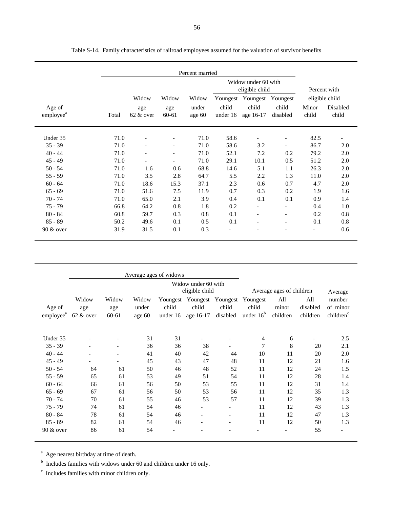|                                 |       |                                |                          | Percent married |                                       |                    |                          |                |                   |
|---------------------------------|-------|--------------------------------|--------------------------|-----------------|---------------------------------------|--------------------|--------------------------|----------------|-------------------|
|                                 |       |                                |                          |                 | Widow under 60 with<br>eligible child |                    |                          |                | Percent with      |
|                                 |       | Widow                          | Widow                    | Widow           | Youngest                              | Youngest           | Youngest                 |                | eligible child    |
| Age of<br>employee <sup>a</sup> | Total | age<br>$62 \& 0 \nvert \nvert$ | age<br>60-61             | under<br>age 60 | child<br>under 16                     | child<br>age 16-17 | child<br>disabled        | Minor<br>child | Disabled<br>child |
| Under 35                        | 71.0  |                                |                          | 71.0            | 58.6                                  |                    | $\overline{\phantom{0}}$ | 82.5           |                   |
| $35 - 39$                       | 71.0  |                                |                          | 71.0            | 58.6                                  | 3.2                | $\overline{\phantom{a}}$ | 86.7           | 2.0               |
| $40 - 44$                       | 71.0  |                                | $\overline{\phantom{0}}$ | 71.0            | 52.1                                  | 7.2                | 0.2                      | 79.2           | 2.0               |
| $45 - 49$                       | 71.0  |                                | $\overline{\phantom{a}}$ | 71.0            | 29.1                                  | 10.1               | 0.5                      | 51.2           | 2.0               |
| $50 - 54$                       | 71.0  | 1.6                            | 0.6                      | 68.8            | 14.6                                  | 5.1                | 1.1                      | 26.3           | 2.0               |
| $55 - 59$                       | 71.0  | 3.5                            | 2.8                      | 64.7            | 5.5                                   | 2.2                | 1.3                      | 11.0           | 2.0               |
| $60 - 64$                       | 71.0  | 18.6                           | 15.3                     | 37.1            | 2.3                                   | 0.6                | 0.7                      | 4.7            | 2.0               |
| $65 - 69$                       | 71.0  | 51.6                           | 7.5                      | 11.9            | 0.7                                   | 0.3                | 0.2                      | 1.9            | 1.6               |
| $70 - 74$                       | 71.0  | 65.0                           | 2.1                      | 3.9             | 0.4                                   | 0.1                | 0.1                      | 0.9            | 1.4               |
| $75 - 79$                       | 66.8  | 64.2                           | 0.8                      | 1.8             | 0.2                                   |                    |                          | 0.4            | 1.0               |
| $80 - 84$                       | 60.8  | 59.7                           | 0.3                      | 0.8             | 0.1                                   |                    |                          | 0.2            | 0.8               |
| $85 - 89$                       | 50.2  | 49.6                           | 0.1                      | 0.5             | 0.1                                   |                    | $\overline{\phantom{0}}$ | 0.1            | 0.8               |
| $90 \& over$                    | 31.9  | 31.5                           | 0.1                      | 0.3             | $\overline{\phantom{a}}$              |                    |                          |                | 0.6               |

|                                 | Average ages of widows                  |                          |                          |                               |                                |                               |                                  |                          |                             |                                             |
|---------------------------------|-----------------------------------------|--------------------------|--------------------------|-------------------------------|--------------------------------|-------------------------------|----------------------------------|--------------------------|-----------------------------|---------------------------------------------|
|                                 | Widow under 60 with<br>eligible child   |                          |                          |                               |                                | Average ages of children      |                                  |                          | Average                     |                                             |
| Age of<br>employee <sup>a</sup> | Widow<br>age<br>$62 \& 0 \nvert \nvert$ | Widow<br>age<br>60-61    | Widow<br>under<br>age 60 | Youngest<br>child<br>under 16 | Youngest<br>child<br>age 16-17 | Youngest<br>child<br>disabled | Youngest<br>child<br>under $16b$ | All<br>minor<br>children | All<br>disabled<br>children | number<br>of minor<br>children <sup>c</sup> |
| Under 35                        |                                         |                          | 31                       | 31                            |                                |                               | 4                                | 6                        |                             | 2.5                                         |
| $35 - 39$                       | $\qquad \qquad \blacksquare$            |                          | 36                       | 36                            | 38                             |                               |                                  | 8                        | 20                          | 2.1                                         |
| $40 - 44$                       |                                         |                          | 41                       | 40                            | 42                             | 44                            | 10                               | 11                       | 20                          | 2.0                                         |
| $45 - 49$                       | $\qquad \qquad \blacksquare$            | $\overline{\phantom{a}}$ | 45                       | 43                            | 47                             | 48                            | 11                               | 12                       | 21                          | 1.6                                         |
| $50 - 54$                       | 64                                      | 61                       | 50                       | 46                            | 48                             | 52                            | 11                               | 12                       | 24                          | 1.5                                         |
| $55 - 59$                       | 65                                      | 61                       | 53                       | 49                            | 51                             | 54                            | 11                               | 12                       | 28                          | 1.4                                         |
| $60 - 64$                       | 66                                      | 61                       | 56                       | 50                            | 53                             | 55                            | 11                               | 12                       | 31                          | 1.4                                         |
| $65 - 69$                       | 67                                      | 61                       | 56                       | 50                            | 53                             | 56                            | 11                               | 12                       | 35                          | 1.3                                         |
| $70 - 74$                       | 70                                      | 61                       | 55                       | 46                            | 53                             | 57                            | 11                               | 12                       | 39                          | 1.3                                         |
| $75 - 79$                       | 74                                      | 61                       | 54                       | 46                            |                                |                               | 11                               | 12                       | 43                          | 1.3                                         |
| $80 - 84$                       | 78                                      | 61                       | 54                       | 46                            | $\overline{\phantom{a}}$       | $\overline{\phantom{a}}$      | 11                               | 12                       | 47                          | 1.3                                         |
| $85 - 89$                       | 82                                      | 61                       | 54                       | 46                            |                                | $\overline{\phantom{a}}$      | 11                               | 12                       | 50                          | 1.3                                         |
| $90 &$ over                     | 86                                      | 61                       | 54                       |                               |                                |                               |                                  |                          | 55                          |                                             |

<sup>a</sup> Age nearest birthday at time of death.

 $b$  Includes families with widows under 60 and children under 16 only.

 $\degree$  Includes families with minor children only.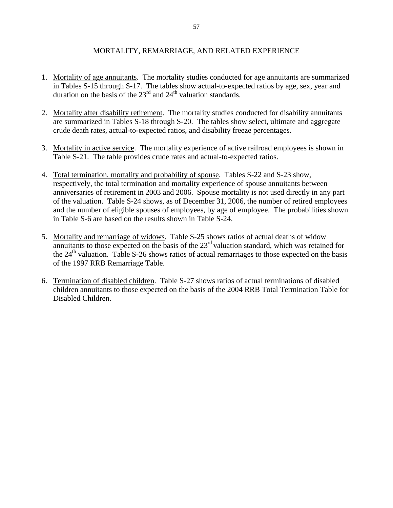# MORTALITY, REMARRIAGE, AND RELATED EXPERIENCE

- 1. Mortality of age annuitants. The mortality studies conducted for age annuitants are summarized in Tables S-15 through S-17. The tables show actual-to-expected ratios by age, sex, year and duration on the basis of the  $23<sup>rd</sup>$  and  $24<sup>th</sup>$  valuation standards.
- 2. Mortality after disability retirement. The mortality studies conducted for disability annuitants are summarized in Tables S-18 through S-20. The tables show select, ultimate and aggregate crude death rates, actual-to-expected ratios, and disability freeze percentages.
- 3. Mortality in active service. The mortality experience of active railroad employees is shown in Table S-21. The table provides crude rates and actual-to-expected ratios.
- 4. Total termination, mortality and probability of spouse. Tables S-22 and S-23 show, respectively, the total termination and mortality experience of spouse annuitants between anniversaries of retirement in 2003 and 2006. Spouse mortality is not used directly in any part of the valuation. Table S-24 shows, as of December 31, 2006, the number of retired employees and the number of eligible spouses of employees, by age of employee. The probabilities shown in Table S-6 are based on the results shown in Table S-24.
- 5. Mortality and remarriage of widows. Table S-25 shows ratios of actual deaths of widow annuitants to those expected on the basis of the 23<sup>rd</sup> valuation standard, which was retained for the  $24<sup>th</sup>$  valuation. Table S-26 shows ratios of actual remarriages to those expected on the basis of the 1997 RRB Remarriage Table.
- 6. Termination of disabled children. Table S-27 shows ratios of actual terminations of disabled children annuitants to those expected on the basis of the 2004 RRB Total Termination Table for Disabled Children.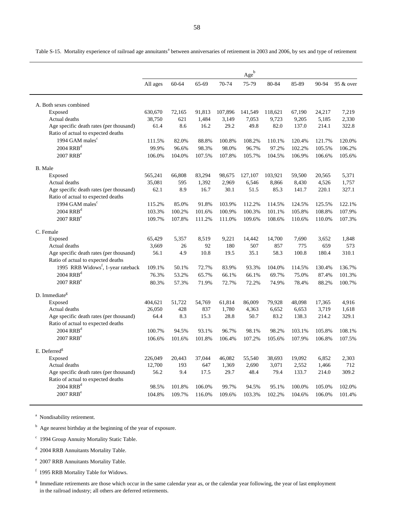Age<sup>b</sup> All ages 60-64 65-69 70-74 75-79 80-84 85-89 90-94 95 & over A. Both sexes combined Exposed 630,670 72,165 91,813 107,896 141,549 118,621 67,190 24,217 7,219 Actual deaths 38,750 621 1,484 3,149 7,053 9,723 9,205 5,185 2,330 Age specific death rates (per thousand) 61.4 8.6 16.2 29.2 49.8 82.0 137.0 214.1 322.8 Ratio of actual to expected deaths 1994 GAM males<sup>c</sup> 111.5% 82.0% 88.8% 100.8% 108.2% 110.1% 120.4% 121.7% 120.0%  $2004 \text{ RRB}^{\text{d}}$   $99.9\%$   $96.6\%$   $98.3\%$   $98.0\%$   $96.7\%$   $97.2\%$   $102.2\%$   $105.5\%$   $106.2\%$ 2007 RRB<sup>e</sup> 106.0% 106.0% 104.0% 107.5% 107.8% 105.7% 104.5% 106.9% 106.6% 105.6% B. Male Exposed 6565,241 66,808 83,294 98,675 127,107 103,921 59,500 20,565 5,371 Actual deaths 25,081 595 1,392 2,969 6,546 8,866 8,430 4,526 1,757 Age specific death rates (per thousand) 62.1 8.9 16.7 30.1 51.5 85.3 141.7 220.1 327.1 Ratio of actual to expected deaths 1994 GAM males<sup>c</sup> 115.2% 85.0% 91.8% 103.9% 112.2% 114.5% 124.5% 125.5% 122.1%  $2004 \text{ RRB}^{\text{d}}$  103.3% 100.2% 101.6% 100.9% 100.3% 101.1% 105.8% 108.8% 107.9% 2007 RRB<sup>e</sup> 109.7% 107.8% 111.2% 111.0% 109.6% 108.6% 110.6% 110.0% 107.3% C. Female Exposed 65,429 5,357 8,519 9,221 14,442 14,700 7,690 3,652 1,848 Actual deaths 3,669 26 92 180 507 857 775 659 573 Age specific death rates (per thousand) 56.1 4.9 10.8 19.5 35.1 58.3 100.8 180.4 310.1 Ratio of actual to expected deaths 1995 RRB Widows<sup>f</sup> , 1-year rateback 109.1% 50.1% 72.7% 83.9% 93.3% 104.0% 114.5% 130.4% 136.7%  $2004 \text{ RRB}^d$  76.3% 53.2% 65.7% 66.1% 69.7% 75.0% 87.4% 101.3% 2007 RRB<sup>e</sup> 80.3% 57.3% 71.9% 72.7% 72.2% 74.9% 78.4% 88.2% 100.7% D. Immediate<sup>g</sup> Exposed 51,722 404,621 54,769 61,814 86,009 79,928 48,098 17,365 4,916 Actual deaths 26,050 428 837 1,780 4,363 6,652 6,653 3,719 1,618 Age specific death rates (per thousand) 64.4 8.3 15.3 28.8 50.7 83.2 138.3 214.2 329.1 Ratio of actual to expected deaths  $2004 \text{ RRB}^d$  100.7% 94.5% 93.1% 96.7% 98.1% 98.2% 103.1% 105.8% 108.1% 2007 RRB<sup>e</sup> 106.6% 101.6% 101.8% 106.4% 107.2% 105.6% 107.9% 106.8% 107.5% E. Deferred<sup>g</sup> Exposed 20,443 226,049 37,044 46,082 55,540 38,693 19,092 6,852 2,303 Actual deaths 12,700 193 647 1,369 2,690 3,071 2,552 1,466 712 Age specific death rates (per thousand) 56.2 9.4 17.5 29.7 48.4 79.4 133.7 214.0 309.2 Ratio of actual to expected deaths  $2004 \text{ RRB}^{\text{d}}$   $98.5\%$   $101.8\%$   $106.0\%$   $99.7\%$   $94.5\%$   $95.1\%$   $100.0\%$   $105.0\%$   $102.0\%$ 2007 RRB<sup>e</sup> 104.8% 104.8% 109.7% 116.0% 109.6% 103.3% 102.2% 104.6% 106.0% 101.4%

Table S-15. Mortality experience of railroad age annuitants<sup>a</sup> between anniversaries of retirement in 2003 and 2006, by sex and type of retirement

<sup>a</sup> Nondisability retirement.

<sup>b</sup> Age nearest birthday at the beginning of the year of exposure.

<sup>c</sup> 1994 Group Annuity Mortality Static Table.

d 2004 RRB Annuitants Mortality Table.

e 2007 RRB Annuitants Mortality Table.

f 1995 RRB Mortality Table for Widows.

Immediate retirements are those which occur in the same calendar year as, or the calendar year following, the year of last employment in the railroad industry; all others are deferred retirements.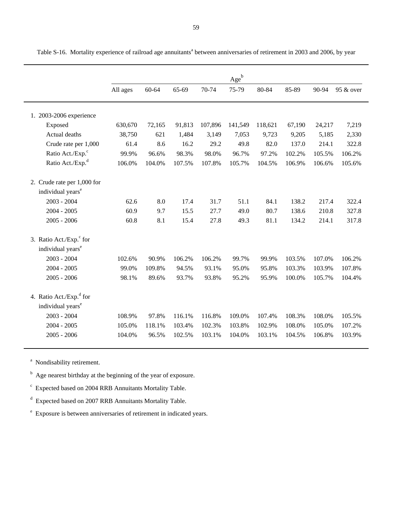|                                     |          |        |        |         | $Age^b$ |         |        |        |           |
|-------------------------------------|----------|--------|--------|---------|---------|---------|--------|--------|-----------|
|                                     | All ages | 60-64  | 65-69  | 70-74   | 75-79   | 80-84   | 85-89  | 90-94  | 95 & over |
|                                     |          |        |        |         |         |         |        |        |           |
|                                     |          |        |        |         |         |         |        |        |           |
| 1. 2003-2006 experience             |          |        |        |         |         |         |        |        |           |
| Exposed                             | 630,670  | 72,165 | 91,813 | 107,896 | 141,549 | 118,621 | 67,190 | 24,217 | 7,219     |
| Actual deaths                       | 38,750   | 621    | 1,484  | 3,149   | 7,053   | 9,723   | 9,205  | 5,185  | 2,330     |
| Crude rate per 1,000                | 61.4     | 8.6    | 16.2   | 29.2    | 49.8    | 82.0    | 137.0  | 214.1  | 322.8     |
| Ratio Act./Exp. <sup>c</sup>        | 99.9%    | 96.6%  | 98.3%  | 98.0%   | 96.7%   | 97.2%   | 102.2% | 105.5% | 106.2%    |
| Ratio Act./Exp. <sup>d</sup>        | 106.0%   | 104.0% | 107.5% | 107.8%  | 105.7%  | 104.5%  | 106.9% | 106.6% | 105.6%    |
| 2. Crude rate per 1,000 for         |          |        |        |         |         |         |        |        |           |
| individual years <sup>e</sup>       |          |        |        |         |         |         |        |        |           |
| $2003 - 2004$                       | 62.6     | 8.0    | 17.4   | 31.7    | 51.1    | 84.1    | 138.2  | 217.4  | 322.4     |
| $2004 - 2005$                       | 60.9     | 9.7    | 15.5   | 27.7    | 49.0    | 80.7    | 138.6  | 210.8  | 327.8     |
| $2005 - 2006$                       | 60.8     | 8.1    | 15.4   | 27.8    | 49.3    | 81.1    | 134.2  | 214.1  | 317.8     |
|                                     |          |        |        |         |         |         |        |        |           |
| 3. Ratio Act./Exp. <sup>c</sup> for |          |        |        |         |         |         |        |        |           |
| individual years <sup>e</sup>       |          |        |        |         |         |         |        |        |           |
| 2003 - 2004                         | 102.6%   | 90.9%  | 106.2% | 106.2%  | 99.7%   | 99.9%   | 103.5% | 107.0% | 106.2%    |
| $2004 - 2005$                       | 99.0%    | 109.8% | 94.5%  | 93.1%   | 95.0%   | 95.8%   | 103.3% | 103.9% | 107.8%    |
| $2005 - 2006$                       | 98.1%    | 89.6%  | 93.7%  | 93.8%   | 95.2%   | 95.9%   | 100.0% | 105.7% | 104.4%    |
|                                     |          |        |        |         |         |         |        |        |           |
| 4. Ratio Act./Exp. <sup>d</sup> for |          |        |        |         |         |         |        |        |           |
| individual years <sup>e</sup>       |          |        |        |         |         |         |        |        |           |
| 2003 - 2004                         | 108.9%   | 97.8%  | 116.1% | 116.8%  | 109.0%  | 107.4%  | 108.3% | 108.0% | 105.5%    |
| $2004 - 2005$                       | 105.0%   | 118.1% | 103.4% | 102.3%  | 103.8%  | 102.9%  | 108.0% | 105.0% | 107.2%    |
| $2005 - 2006$                       | 104.0%   | 96.5%  | 102.5% | 103.1%  | 104.0%  | 103.1%  | 104.5% | 106.8% | 103.9%    |
|                                     |          |        |        |         |         |         |        |        |           |

Table S-16. Mortality experience of railroad age annuitants<sup>a</sup> between anniversaries of retirement in 2003 and 2006, by year

<sup>a</sup> Nondisability retirement.

<sup>b</sup> Age nearest birthday at the beginning of the year of exposure.

 $\epsilon$  Expected based on 2004 RRB Annuitants Mortality Table.

 $^{\rm d}$  Expected based on 2007 RRB Annuitants Mortality Table.

e Exposure is between anniversaries of retirement in indicated years.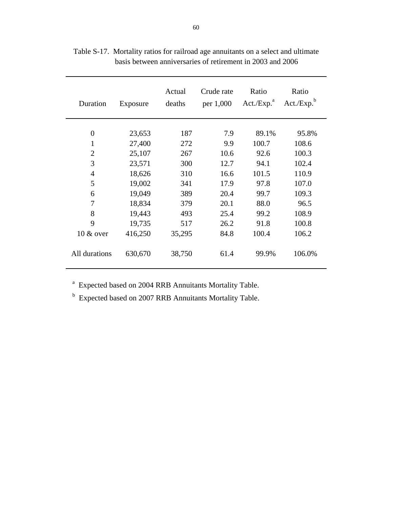| Duration       | Exposure | Actual<br>deaths | Crude rate<br>per 1,000 | Ratio<br>Act./Exp. <sup>a</sup> | Ratio<br>Act./Exp. <sup>b</sup> |
|----------------|----------|------------------|-------------------------|---------------------------------|---------------------------------|
| $\overline{0}$ |          |                  |                         |                                 |                                 |
|                | 23,653   | 187              | 7.9                     | 89.1%                           | 95.8%                           |
| $\mathbf{1}$   | 27,400   | 272              | 9.9                     | 100.7                           | 108.6                           |
| $\overline{2}$ | 25,107   | 267              | 10.6                    | 92.6                            | 100.3                           |
| 3              | 23,571   | 300              | 12.7                    | 94.1                            | 102.4                           |
| $\overline{4}$ | 18,626   | 310              | 16.6                    | 101.5                           | 110.9                           |
| 5              | 19,002   | 341              | 17.9                    | 97.8                            | 107.0                           |
| 6              | 19,049   | 389              | 20.4                    | 99.7                            | 109.3                           |
| 7              | 18,834   | 379              | 20.1                    | 88.0                            | 96.5                            |
| 8              | 19,443   | 493              | 25.4                    | 99.2                            | 108.9                           |
| 9              | 19,735   | 517              | 26.2                    | 91.8                            | 100.8                           |
| $10 \& over$   | 416,250  | 35,295           | 84.8                    | 100.4                           | 106.2                           |
| All durations  | 630,670  | 38,750           | 61.4                    | 99.9%                           | 106.0%                          |

Table S-17. Mortality ratios for railroad age annuitants on a select and ultimate basis between anniversaries of retirement in 2003 and 2006

<sup>a</sup> Expected based on 2004 RRB Annuitants Mortality Table.

<sup>b</sup> Expected based on 2007 RRB Annuitants Mortality Table.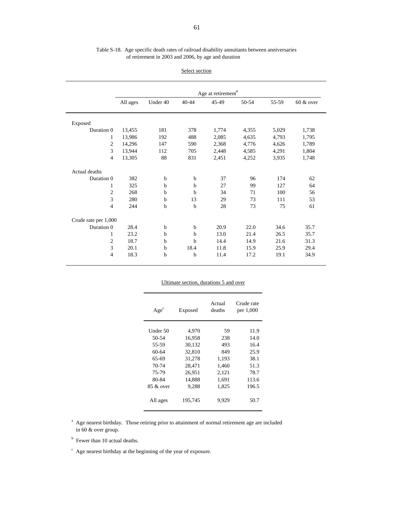| Table S-18. Age specific death rates of railroad disability annuitants between anniversaries |  |
|----------------------------------------------------------------------------------------------|--|
| of retirement in 2003 and 2006, by age and duration                                          |  |

| Select section |
|----------------|
|                |

|                      | Age at retirement <sup>a</sup>                                                |     |             |       |       |       |       |  |
|----------------------|-------------------------------------------------------------------------------|-----|-------------|-------|-------|-------|-------|--|
|                      | $40 - 44$<br>45-49<br>$50-54$<br>$60 &$ over<br>All ages<br>Under 40<br>55-59 |     |             |       |       |       |       |  |
|                      |                                                                               |     |             |       |       |       |       |  |
| Exposed              |                                                                               |     |             |       |       |       |       |  |
| Duration 0           | 13,455                                                                        | 181 | 378         | 1,774 | 4,355 | 5,029 | 1,738 |  |
| 1                    | 13,986                                                                        | 192 | 488         | 2,085 | 4,635 | 4,793 | 1,795 |  |
| $\overline{c}$       | 14,296                                                                        | 147 | 590         | 2,368 | 4,776 | 4,626 | 1,789 |  |
| 3                    | 13,944                                                                        | 112 | 705         | 2,448 | 4,585 | 4,291 | 1,804 |  |
| $\overline{4}$       | 13,305                                                                        | 88  | 831         | 2,451 | 4,252 | 3,935 | 1,748 |  |
| Actual deaths        |                                                                               |     |             |       |       |       |       |  |
| Duration 0           | 382                                                                           | b   | $\mathbf b$ | 37    | 96    | 174   | 62    |  |
| 1                    | 325                                                                           | b   | $\mathbf b$ | 27    | 99    | 127   | 64    |  |
| 2                    | 268                                                                           | b   | b           | 34    | 71    | 100   | 56    |  |
| 3                    | 280                                                                           | b   | 13          | 29    | 73    | 111   | 53    |  |
| $\overline{4}$       | 244                                                                           | b   | $\mathbf b$ | 28    | 73    | 75    | 61    |  |
| Crude rate per 1,000 |                                                                               |     |             |       |       |       |       |  |
| Duration 0           | 28.4                                                                          | b   | $\mathbf b$ | 20.9  | 22.0  | 34.6  | 35.7  |  |
| 1                    | 23.2                                                                          | b   | $\mathbf b$ | 13.0  | 21.4  | 26.5  | 35.7  |  |
| 2                    | 18.7                                                                          | b   | $\mathbf b$ | 14.4  | 14.9  | 21.6  | 31.3  |  |
| 3                    | 20.1                                                                          | b   | 18.4        | 11.8  | 15.9  | 25.9  | 29.4  |  |
| 4                    | 18.3                                                                          | b   | b           | 11.4  | 17.2  | 19.1  | 34.9  |  |

| Ultimate section, durations 5 and over |         |                  |                         |  |  |  |  |  |
|----------------------------------------|---------|------------------|-------------------------|--|--|--|--|--|
| $Age^c$                                | Exposed | Actual<br>deaths | Crude rate<br>per 1,000 |  |  |  |  |  |
| Under 50                               | 4,970   | 59               | 11.9                    |  |  |  |  |  |
| 50-54                                  | 16,958  | 238              | 14.0                    |  |  |  |  |  |
| 55-59                                  | 30,132  | 493              | 16.4                    |  |  |  |  |  |
| 60-64                                  | 32,810  | 849              | 25.9                    |  |  |  |  |  |
| 65-69                                  | 31,278  | 1,193            | 38.1                    |  |  |  |  |  |
| 70-74                                  | 28,471  | 1,460            | 51.3                    |  |  |  |  |  |
| 75-79                                  | 26,951  | 2,121            | 78.7                    |  |  |  |  |  |
| 80-84                                  | 14.888  | 1,691            | 113.6                   |  |  |  |  |  |
| $85 \& 0$ ver                          | 9,288   | 1,825            | 196.5                   |  |  |  |  |  |
| All ages                               | 195,745 | 9.929            | 50.7                    |  |  |  |  |  |

<sup>a</sup> Age nearest birthday. Those retiring prior to attainment of normal retirement age are included in 60 & over group.

b Fewer than 10 actual deaths.

 $\degree$  Age nearest birthday at the beginning of the year of exposure.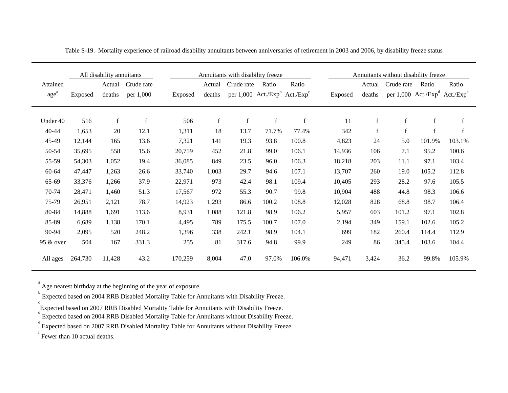|                  | All disability annuitants |             |             |         | Annuitants with disability freeze |             |                                       | Annuitants without disability freeze |         |             |             |             |                                                       |
|------------------|---------------------------|-------------|-------------|---------|-----------------------------------|-------------|---------------------------------------|--------------------------------------|---------|-------------|-------------|-------------|-------------------------------------------------------|
| Attained         |                           | Actual      | Crude rate  |         | Actual                            | Crude rate  | Ratio                                 | Ratio                                |         | Actual      | Crude rate  | Ratio       | Ratio                                                 |
| age <sup>a</sup> | Exposed                   | deaths      | per 1,000   | Exposed | deaths                            |             | per 1,000 Act./ $Exp^b$ Act./ $Exp^c$ |                                      | Exposed | deaths      |             |             | per 1,000 Act./Exp <sup>d</sup> Act./Exp <sup>e</sup> |
|                  |                           |             |             |         |                                   |             |                                       |                                      |         |             |             |             |                                                       |
| Under 40         | 516                       | $\mathbf f$ | $\mathbf f$ | 506     | $\mathbf f$                       | $\mathbf f$ | $\mathbf f$                           | $\mathbf f$                          | 11      | $\mathbf f$ | $\mathbf f$ | $\mathbf f$ | f                                                     |
| 40-44            | 1,653                     | 20          | 12.1        | 1,311   | 18                                | 13.7        | 71.7%                                 | 77.4%                                | 342     | $\mathbf f$ | $\mathbf f$ | $\mathbf f$ | $\mathbf f$                                           |
| 45-49            | 12,144                    | 165         | 13.6        | 7,321   | 141                               | 19.3        | 93.8                                  | 100.8                                | 4,823   | 24          | 5.0         | 101.9%      | 103.1%                                                |
| 50-54            | 35,695                    | 558         | 15.6        | 20,759  | 452                               | 21.8        | 99.0                                  | 106.1                                | 14,936  | 106         | 7.1         | 95.2        | 100.6                                                 |
| 55-59            | 54,303                    | 1,052       | 19.4        | 36,085  | 849                               | 23.5        | 96.0                                  | 106.3                                | 18,218  | 203         | 11.1        | 97.1        | 103.4                                                 |
| 60-64            | 47,447                    | 1,263       | 26.6        | 33,740  | 1,003                             | 29.7        | 94.6                                  | 107.1                                | 13,707  | 260         | 19.0        | 105.2       | 112.8                                                 |
| 65-69            | 33,376                    | 1,266       | 37.9        | 22,971  | 973                               | 42.4        | 98.1                                  | 109.4                                | 10,405  | 293         | 28.2        | 97.6        | 105.5                                                 |
| 70-74            | 28,471                    | 1,460       | 51.3        | 17,567  | 972                               | 55.3        | 90.7                                  | 99.8                                 | 10,904  | 488         | 44.8        | 98.3        | 106.6                                                 |
| 75-79            | 26,951                    | 2,121       | 78.7        | 14,923  | 1,293                             | 86.6        | 100.2                                 | 108.8                                | 12,028  | 828         | 68.8        | 98.7        | 106.4                                                 |
| 80-84            | 14,888                    | 1,691       | 113.6       | 8,931   | 1,088                             | 121.8       | 98.9                                  | 106.2                                | 5,957   | 603         | 101.2       | 97.1        | 102.8                                                 |
| 85-89            | 6,689                     | 1,138       | 170.1       | 4,495   | 789                               | 175.5       | 100.7                                 | 107.0                                | 2,194   | 349         | 159.1       | 102.6       | 105.2                                                 |
| 90-94            | 2,095                     | 520         | 248.2       | 1,396   | 338                               | 242.1       | 98.9                                  | 104.1                                | 699     | 182         | 260.4       | 114.4       | 112.9                                                 |
| 95 & over        | 504                       | 167         | 331.3       | 255     | 81                                | 317.6       | 94.8                                  | 99.9                                 | 249     | 86          | 345.4       | 103.6       | 104.4                                                 |
| All ages         | 264,730                   | 11,428      | 43.2        | 170,259 | 8,004                             | 47.0        | 97.0%                                 | 106.0%                               | 94,471  | 3,424       | 36.2        | 99.8%       | 105.9%                                                |

Table S-19. Mortality experience of railroad disability annuitants between anniversaries of retirement in 2003 and 2006, by disability freeze status

aAge nearest birthday at the beginning of the year of exposure.

 $\int_{c}^{b}$  Expected based on 2004 RRB Disabled Mortality Table for Annuitants with Disability Freeze.

Expected based on 2007 RRB Disabled Mortality Table for Annuitants with Disability Freeze.

Expected based on 2004 RRB Disabled Mortality Table for Annuitants without Disability Freeze.

<sup>e</sup> Expected based on 2007 RRB Disabled Mortality Table for Annuitants without Disability Freeze.

f Fewer than 10 actual deaths.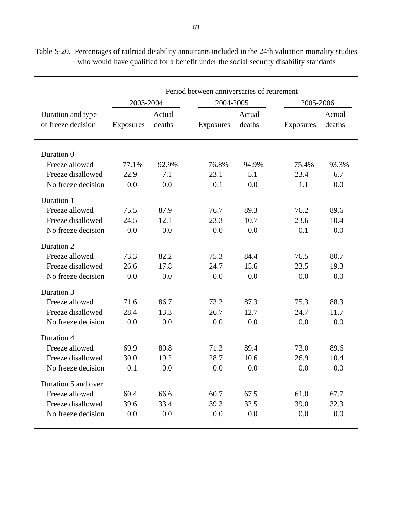|                                         |           |                  | Period between anniversaries of retirement |                  |           |                  |  |
|-----------------------------------------|-----------|------------------|--------------------------------------------|------------------|-----------|------------------|--|
|                                         | 2003-2004 |                  | 2004-2005                                  |                  | 2005-2006 |                  |  |
| Duration and type<br>of freeze decision | Exposures | Actual<br>deaths | Exposures                                  | Actual<br>deaths | Exposures | Actual<br>deaths |  |
| Duration 0                              |           |                  |                                            |                  |           |                  |  |
| Freeze allowed                          | 77.1%     | 92.9%            | 76.8%                                      | 94.9%            | 75.4%     | 93.3%            |  |
| Freeze disallowed                       | 22.9      | 7.1              | 23.1                                       | 5.1              | 23.4      | 6.7              |  |
| No freeze decision                      | 0.0       | 0.0              | 0.1                                        | 0.0              | 1.1       | 0.0              |  |
| Duration 1                              |           |                  |                                            |                  |           |                  |  |
| Freeze allowed                          | 75.5      | 87.9             | 76.7                                       | 89.3             | 76.2      | 89.6             |  |
| Freeze disallowed                       | 24.5      | 12.1             | 23.3                                       | 10.7             | 23.6      | 10.4             |  |
| No freeze decision                      | 0.0       | 0.0              | 0.0                                        | 0.0              | 0.1       | 0.0              |  |
| Duration 2                              |           |                  |                                            |                  |           |                  |  |
| Freeze allowed                          | 73.3      | 82.2             | 75.3                                       | 84.4             | 76.5      | 80.7             |  |
| Freeze disallowed                       | 26.6      | 17.8             | 24.7                                       | 15.6             | 23.5      | 19.3             |  |
| No freeze decision                      | 0.0       | 0.0              | 0.0                                        | 0.0              | 0.0       | 0.0              |  |
| Duration 3                              |           |                  |                                            |                  |           |                  |  |
| Freeze allowed                          | 71.6      | 86.7             | 73.2                                       | 87.3             | 75.3      | 88.3             |  |
| Freeze disallowed                       | 28.4      | 13.3             | 26.7                                       | 12.7             | 24.7      | 11.7             |  |
| No freeze decision                      | 0.0       | 0.0              | 0.0                                        | 0.0              | 0.0       | 0.0              |  |
| Duration 4                              |           |                  |                                            |                  |           |                  |  |
| Freeze allowed                          | 69.9      | 80.8             | 71.3                                       | 89.4             | 73.0      | 89.6             |  |
| Freeze disallowed                       | 30.0      | 19.2             | 28.7                                       | 10.6             | 26.9      | 10.4             |  |
| No freeze decision                      | 0.1       | 0.0              | $0.0\,$                                    | 0.0              | 0.0       | $0.0\,$          |  |
| Duration 5 and over                     |           |                  |                                            |                  |           |                  |  |
| Freeze allowed                          | 60.4      | 66.6             | 60.7                                       | 67.5             | 61.0      | 67.7             |  |
| Freeze disallowed                       | 39.6      | 33.4             | 39.3                                       | 32.5             | 39.0      | 32.3             |  |
| No freeze decision                      | 0.0       | 0.0              | 0.0                                        | 0.0              | 0.0       | 0.0              |  |

Table S-20. Percentages of railroad disability annuitants included in the 24th valuation mortality studies who would have qualified for a benefit under the social security disability standards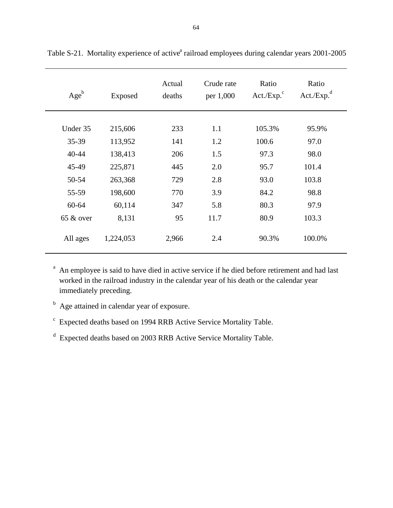| $Age^b$      | Exposed   | Actual<br>deaths | Crude rate<br>per 1,000 | Ratio<br>$Act./Exp.^c$ | Ratio<br>Act./Exp. <sup>d</sup> |
|--------------|-----------|------------------|-------------------------|------------------------|---------------------------------|
| Under 35     | 215,606   | 233              | 1.1                     | 105.3%                 | 95.9%                           |
| 35-39        | 113,952   | 141              | 1.2                     | 100.6                  | 97.0                            |
| 40-44        | 138,413   | 206              | 1.5                     | 97.3                   | 98.0                            |
| 45-49        | 225,871   | 445              | 2.0                     | 95.7                   | 101.4                           |
| 50-54        | 263,368   | 729              | 2.8                     | 93.0                   | 103.8                           |
| 55-59        | 198,600   | 770              | 3.9                     | 84.2                   | 98.8                            |
| $60 - 64$    | 60,114    | 347              | 5.8                     | 80.3                   | 97.9                            |
| $65 \&$ over | 8,131     | 95               | 11.7                    | 80.9                   | 103.3                           |
| All ages     | 1,224,053 | 2,966            | 2.4                     | 90.3%                  | 100.0%                          |

Table S-21. Mortality experience of active<sup>a</sup> railroad employees during calendar years 2001-2005

<sup>a</sup> An employee is said to have died in active service if he died before retirement and had last worked in the railroad industry in the calendar year of his death or the calendar year immediately preceding.

<sup>b</sup> Age attained in calendar year of exposure.

<sup>c</sup> Expected deaths based on 1994 RRB Active Service Mortality Table.

d Expected deaths based on 2003 RRB Active Service Mortality Table.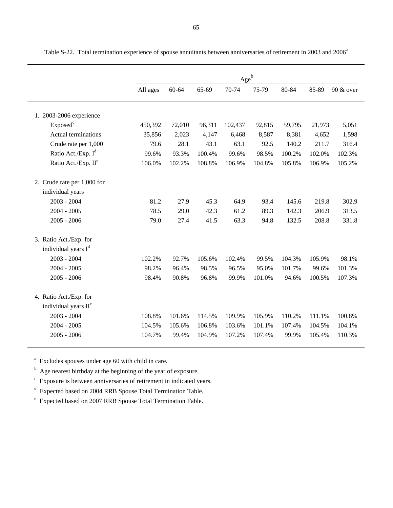|                                  |          |        |        | $\underline{Age}^b$ |        |        |        |           |
|----------------------------------|----------|--------|--------|---------------------|--------|--------|--------|-----------|
|                                  | All ages | 60-64  | 65-69  | 70-74               | 75-79  | 80-84  | 85-89  | 90 & over |
| 1. 2003-2006 experience          |          |        |        |                     |        |        |        |           |
| Exposed <sup>c</sup>             | 450,392  | 72,010 | 96,311 | 102,437             | 92,815 | 59,795 | 21,973 | 5,051     |
| <b>Actual terminations</b>       | 35,856   | 2,023  | 4,147  | 6,468               | 8,587  | 8,381  | 4,652  | 1,598     |
| Crude rate per 1,000             | 79.6     | 28.1   | 43.1   | 63.1                | 92.5   | 140.2  | 211.7  | 316.4     |
| Ratio Act./Exp. I <sup>d</sup>   | 99.6%    | 93.3%  | 100.4% | 99.6%               | 98.5%  | 100.2% | 102.0% | 102.3%    |
| Ratio Act./Exp. II <sup>e</sup>  | 106.0%   | 102.2% | 108.8% | 106.9%              | 104.8% | 105.8% | 106.9% | 105.2%    |
| 2. Crude rate per 1,000 for      |          |        |        |                     |        |        |        |           |
| individual years                 |          |        |        |                     |        |        |        |           |
| $2003 - 2004$                    | 81.2     | 27.9   | 45.3   | 64.9                | 93.4   | 145.6  | 219.8  | 302.9     |
| $2004 - 2005$                    | 78.5     | 29.0   | 42.3   | 61.2                | 89.3   | 142.3  | 206.9  | 313.5     |
| $2005 - 2006$                    | 79.0     | 27.4   | 41.5   | 63.3                | 94.8   | 132.5  | 208.8  | 331.8     |
| 3. Ratio Act./Exp. for           |          |        |        |                     |        |        |        |           |
| individual years I <sup>d</sup>  |          |        |        |                     |        |        |        |           |
| 2003 - 2004                      | 102.2%   | 92.7%  | 105.6% | 102.4%              | 99.5%  | 104.3% | 105.9% | 98.1%     |
| $2004 - 2005$                    | 98.2%    | 96.4%  | 98.5%  | 96.5%               | 95.0%  | 101.7% | 99.6%  | 101.3%    |
| $2005 - 2006$                    | 98.4%    | 90.8%  | 96.8%  | 99.9%               | 101.0% | 94.6%  | 100.5% | 107.3%    |
| 4. Ratio Act./Exp. for           |          |        |        |                     |        |        |        |           |
| individual years II <sup>e</sup> |          |        |        |                     |        |        |        |           |
| 2003 - 2004                      | 108.8%   | 101.6% | 114.5% | 109.9%              | 105.9% | 110.2% | 111.1% | 100.8%    |
| $2004 - 2005$                    | 104.5%   | 105.6% | 106.8% | 103.6%              | 101.1% | 107.4% | 104.5% | 104.1%    |
| $2005 - 2006$                    | 104.7%   | 99.4%  | 104.9% | 107.2%              | 107.4% | 99.9%  | 105.4% | 110.3%    |

Table S-22. Total termination experience of spouse annuitants between anniversaries of retirement in 2003 and 2006<sup>a</sup>

<sup>a</sup> Excludes spouses under age 60 with child in care.

<sup>b</sup> Age nearest birthday at the beginning of the year of exposure.

c Exposure is between anniversaries of retirement in indicated years.

d Expected based on 2004 RRB Spouse Total Termination Table.

e Expected based on 2007 RRB Spouse Total Termination Table.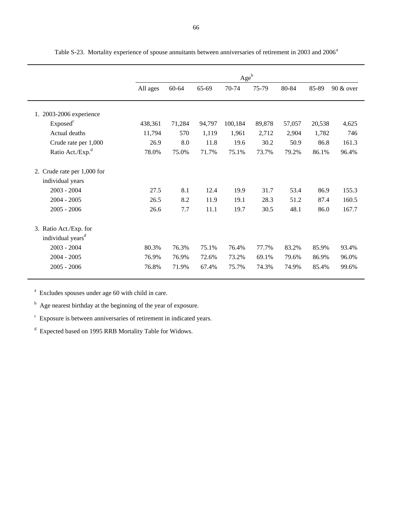|                                                            |          |        |        | $Age^b$ |        |        |        |           |
|------------------------------------------------------------|----------|--------|--------|---------|--------|--------|--------|-----------|
|                                                            | All ages | 60-64  | 65-69  | 70-74   | 75-79  | 80-84  | 85-89  | 90 & over |
| 1. 2003-2006 experience                                    |          |        |        |         |        |        |        |           |
| Exposed <sup>c</sup>                                       | 438,361  | 71,284 | 94,797 | 100,184 | 89,878 | 57,057 | 20,538 | 4,625     |
| Actual deaths                                              | 11,794   | 570    | 1,119  | 1,961   | 2,712  | 2,904  | 1,782  | 746       |
| Crude rate per 1,000                                       | 26.9     | 8.0    | 11.8   | 19.6    | 30.2   | 50.9   | 86.8   | 161.3     |
| Ratio Act./Exp. <sup>d</sup>                               | 78.0%    | 75.0%  | 71.7%  | 75.1%   | 73.7%  | 79.2%  | 86.1%  | 96.4%     |
| Crude rate per 1,000 for<br>2.                             |          |        |        |         |        |        |        |           |
| individual years                                           |          |        |        |         |        |        |        |           |
| $2003 - 2004$                                              | 27.5     | 8.1    | 12.4   | 19.9    | 31.7   | 53.4   | 86.9   | 155.3     |
| $2004 - 2005$                                              | 26.5     | 8.2    | 11.9   | 19.1    | 28.3   | 51.2   | 87.4   | 160.5     |
| $2005 - 2006$                                              | 26.6     | 7.7    | 11.1   | 19.7    | 30.5   | 48.1   | 86.0   | 167.7     |
| Ratio Act./Exp. for<br>3.<br>individual years <sup>d</sup> |          |        |        |         |        |        |        |           |
| $2003 - 2004$                                              | 80.3%    | 76.3%  | 75.1%  | 76.4%   | 77.7%  | 83.2%  | 85.9%  | 93.4%     |
| $2004 - 2005$                                              | 76.9%    | 76.9%  | 72.6%  | 73.2%   | 69.1%  | 79.6%  | 86.9%  | 96.0%     |
| $2005 - 2006$                                              | 76.8%    | 71.9%  | 67.4%  | 75.7%   | 74.3%  | 74.9%  | 85.4%  | 99.6%     |

Table S-23. Mortality experience of spouse annuitants between anniversaries of retirement in 2003 and 2006<sup>a</sup>

<sup>a</sup> Excludes spouses under age 60 with child in care.

<sup>b</sup> Age nearest birthday at the beginning of the year of exposure.

c Exposure is between anniversaries of retirement in indicated years.

d Expected based on 1995 RRB Mortality Table for Widows.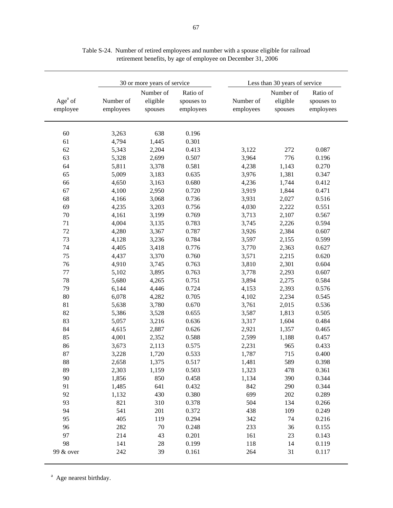|                        |                                  |                                     |                                           | Less than 30 years of service    |                                     |  |  |  |
|------------------------|----------------------------------|-------------------------------------|-------------------------------------------|----------------------------------|-------------------------------------|--|--|--|
| Number of<br>employees | Number of<br>eligible<br>spouses | Ratio of<br>spouses to<br>employees | Number of<br>employees                    | Number of<br>eligible<br>spouses | Ratio of<br>spouses to<br>employees |  |  |  |
| 3,263                  | 638                              | 0.196                               |                                           |                                  |                                     |  |  |  |
| 4,794                  | 1,445                            | 0.301                               |                                           |                                  |                                     |  |  |  |
| 5,343                  | 2,204                            | 0.413                               | 3,122                                     | 272                              | 0.087                               |  |  |  |
| 5,328                  | 2,699                            | 0.507                               | 3,964                                     | 776                              | 0.196                               |  |  |  |
| 5,811                  | 3,378                            | 0.581                               | 4,238                                     | 1,143                            | 0.270                               |  |  |  |
| 5,009                  | 3,183                            | 0.635                               | 3,976                                     | 1,381                            | 0.347                               |  |  |  |
| 4,650                  | 3,163                            | 0.680                               | 4,236                                     | 1,744                            | 0.412                               |  |  |  |
| 4,100                  | 2,950                            | 0.720                               | 3,919                                     | 1,844                            | 0.471                               |  |  |  |
| 4,166                  | 3,068                            | 0.736                               | 3,931                                     | 2,027                            | 0.516                               |  |  |  |
| 4,235                  | 3,203                            | 0.756                               | 4,030                                     | 2,222                            | 0.551                               |  |  |  |
| 4,161                  | 3,199                            | 0.769                               | 3,713                                     | 2,107                            | 0.567                               |  |  |  |
| 4,004                  | 3,135                            | 0.783                               | 3,745                                     | 2,226                            | 0.594                               |  |  |  |
| 4,280                  | 3,367                            | 0.787                               | 3,926                                     | 2,384                            | 0.607                               |  |  |  |
| 4,128                  | 3,236                            | 0.784                               | 3,597                                     | 2,155                            | 0.599                               |  |  |  |
| 4,405                  | 3,418                            | 0.776                               | 3,770                                     | 2,363                            | 0.627                               |  |  |  |
| 4,437                  | 3,370                            | 0.760                               | 3,571                                     | 2,215                            | 0.620                               |  |  |  |
| 4,910                  | 3,745                            | 0.763                               | 3,810                                     | 2,301                            | 0.604                               |  |  |  |
| 5,102                  | 3,895                            | 0.763                               | 3,778                                     | 2,293                            | 0.607                               |  |  |  |
| 5,680                  | 4,265                            | 0.751                               | 3,894                                     | 2,275                            | 0.584                               |  |  |  |
| 6,144                  | 4,446                            | 0.724                               | 4,153                                     | 2,393                            | 0.576                               |  |  |  |
| 6,078                  | 4,282                            | 0.705                               | 4,102                                     | 2,234                            | 0.545                               |  |  |  |
| 5,638                  | 3,780                            | 0.670                               | 3,761                                     | 2,015                            | 0.536                               |  |  |  |
| 5,386                  | 3,528                            | 0.655                               | 3,587                                     | 1,813                            | 0.505                               |  |  |  |
| 5,057                  | 3,216                            | 0.636                               | 3,317                                     | 1,604                            | 0.484                               |  |  |  |
| 4,615                  | 2,887                            | 0.626                               | 2,921                                     | 1,357                            | 0.465                               |  |  |  |
| 4,001                  | 2,352                            | 0.588                               | 2,599                                     | 1,188                            | 0.457                               |  |  |  |
| 3,673                  | 2,113                            | 0.575                               | 2,231                                     | 965                              | 0.433                               |  |  |  |
| 3,228                  | 1,720                            | 0.533                               | 1,787                                     | 715                              | 0.400                               |  |  |  |
| 2,658                  | 1,375                            | 0.517                               | 1,481                                     | 589                              | 0.398                               |  |  |  |
| 2,303                  | 1,159                            | 0.503                               | 1,323                                     | 478                              | 0.361                               |  |  |  |
| 1,856                  | 850                              | 0.458                               | 1,134                                     | 390                              | 0.344                               |  |  |  |
| 1,485                  | 641                              | 0.432                               | 842                                       | 290                              | 0.344                               |  |  |  |
| 1,132                  | 430                              | 0.380                               | 699                                       | 202                              | 0.289                               |  |  |  |
|                        |                                  |                                     | 504                                       |                                  |                                     |  |  |  |
| 821<br>541             | 310                              | 0.378<br>0.372                      | 438                                       | 134                              | 0.266<br>0.249                      |  |  |  |
|                        | 201                              |                                     |                                           | 109                              |                                     |  |  |  |
|                        |                                  |                                     |                                           |                                  | 0.216                               |  |  |  |
|                        |                                  |                                     |                                           |                                  | 0.155                               |  |  |  |
|                        |                                  |                                     |                                           |                                  | 0.143                               |  |  |  |
|                        |                                  |                                     |                                           |                                  | 0.119<br>0.117                      |  |  |  |
|                        | 405<br>282<br>214<br>141<br>242  | 119<br>70<br>43<br>28<br>39         | 0.294<br>0.248<br>0.201<br>0.199<br>0.161 | 342<br>233<br>161<br>118<br>264  | 74<br>36<br>23<br>14<br>31          |  |  |  |

Table S-24. Number of retired employees and number with a spouse eligible for railroad retirement benefits, by age of employee on December 31, 2006

<sup>a</sup> Age nearest birthday.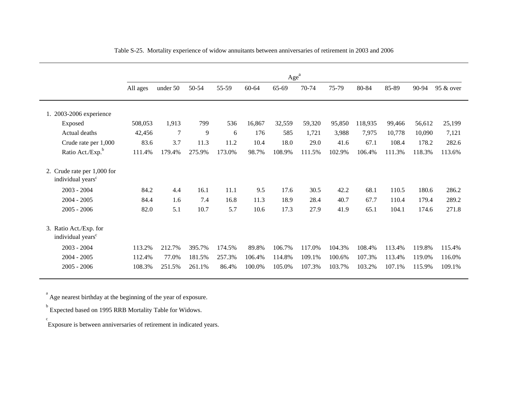|                                                              | All ages | Age <sup>a</sup><br>60-64<br>70-74<br>75-79<br>80-84<br>85-89<br>90-94<br>50-54<br>55-59<br>65-69<br>95 & over<br>under 50 |        |        |        |        |        |        |         |        |        |        |
|--------------------------------------------------------------|----------|----------------------------------------------------------------------------------------------------------------------------|--------|--------|--------|--------|--------|--------|---------|--------|--------|--------|
| 1. 2003-2006 experience                                      |          |                                                                                                                            |        |        |        |        |        |        |         |        |        |        |
| Exposed                                                      | 508,053  | 1,913                                                                                                                      | 799    | 536    | 16,867 | 32,559 | 59,320 | 95,850 | 118,935 | 99,466 | 56,612 | 25,199 |
| Actual deaths                                                | 42,456   | $\overline{7}$                                                                                                             | 9      | 6      | 176    | 585    | 1,721  | 3,988  | 7,975   | 10,778 | 10,090 | 7,121  |
| Crude rate per 1,000                                         | 83.6     | 3.7                                                                                                                        | 11.3   | 11.2   | 10.4   | 18.0   | 29.0   | 41.6   | 67.1    | 108.4  | 178.2  | 282.6  |
| Ratio Act./Exp. <sup>b</sup>                                 | 111.4%   | 179.4%                                                                                                                     | 275.9% | 173.0% | 98.7%  | 108.9% | 111.5% | 102.9% | 106.4%  | 111.3% | 118.3% | 113.6% |
| 2. Crude rate per 1,000 for<br>individual years <sup>c</sup> |          |                                                                                                                            |        |        |        |        |        |        |         |        |        |        |
| $2003 - 2004$                                                | 84.2     | 4.4                                                                                                                        | 16.1   | 11.1   | 9.5    | 17.6   | 30.5   | 42.2   | 68.1    | 110.5  | 180.6  | 286.2  |
| $2004 - 2005$                                                | 84.4     | 1.6                                                                                                                        | 7.4    | 16.8   | 11.3   | 18.9   | 28.4   | 40.7   | 67.7    | 110.4  | 179.4  | 289.2  |
| $2005 - 2006$                                                | 82.0     | 5.1                                                                                                                        | 10.7   | 5.7    | 10.6   | 17.3   | 27.9   | 41.9   | 65.1    | 104.1  | 174.6  | 271.8  |
| 3. Ratio Act./Exp. for<br>individual years <sup>c</sup>      |          |                                                                                                                            |        |        |        |        |        |        |         |        |        |        |
| $2003 - 2004$                                                | 113.2%   | 212.7%                                                                                                                     | 395.7% | 174.5% | 89.8%  | 106.7% | 117.0% | 104.3% | 108.4%  | 113.4% | 119.8% | 115.4% |
| $2004 - 2005$                                                | 112.4%   | 77.0%                                                                                                                      | 181.5% | 257.3% | 106.4% | 114.8% | 109.1% | 100.6% | 107.3%  | 113.4% | 119.0% | 116.0% |
| $2005 - 2006$                                                | 108.3%   | 251.5%                                                                                                                     | 261.1% | 86.4%  | 100.0% | 105.0% | 107.3% | 103.7% | 103.2%  | 107.1% | 115.9% | 109.1% |

Table S-25. Mortality experience of widow annuitants between anniversaries of retirement in 2003 and 2006

<sup>a</sup> Age nearest birthday at the beginning of the year of exposure.

**Expected based on 1995 RRB Mortality Table for Widows.** 

Exposure is between anniversaries of retirement in indicated years. c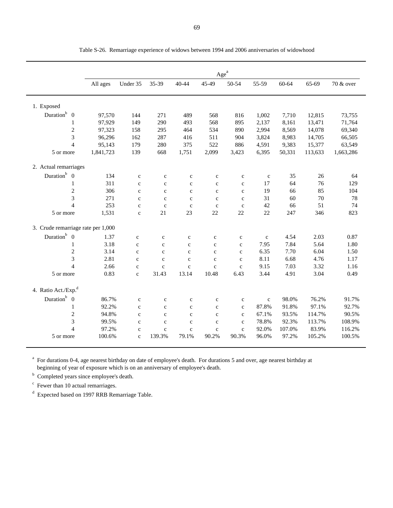|                                    |           |              |              |              |              | Age <sup>a</sup> |              |           |         |           |
|------------------------------------|-----------|--------------|--------------|--------------|--------------|------------------|--------------|-----------|---------|-----------|
|                                    | All ages  | Under 35     | 35-39        | 40-44        | 45-49        | 50-54            | 55-59        | $60 - 64$ | 65-69   | 70 & over |
| 1. Exposed                         |           |              |              |              |              |                  |              |           |         |           |
| Duration $b$ 0                     | 97,570    | 144          | 271          | 489          | 568          | 816              | 1,002        | 7,710     | 12,815  | 73,755    |
| $\mathbf{1}$                       | 97,929    | 149          | 290          | 493          | 568          | 895              | 2,137        | 8,161     | 13,471  | 71,764    |
| $\overline{c}$                     | 97,323    | 158          | 295          | 464          | 534          | 890              | 2,994        | 8,569     | 14,078  | 69,340    |
| 3                                  | 96,296    | 162          | 287          | 416          | 511          | 904              | 3,824        | 8,983     | 14,705  | 66,505    |
| $\overline{4}$                     | 95,143    | 179          | 280          | 375          | 522          | 886              | 4,591        | 9,383     | 15,377  | 63,549    |
| 5 or more                          | 1,841,723 | 139          | 668          | 1,751        | 2,099        | 3,423            | 6,395        | 50,331    | 113,633 | 1,663,286 |
| 2. Actual remarriages              |           |              |              |              |              |                  |              |           |         |           |
| Duration <sup>b</sup> 0            | 134       | $\mathbf c$  | $\mathbf c$  | $\mathbf c$  | $\mathbf{C}$ | $\mathbf c$      | $\mathbf c$  | 35        | 26      | 64        |
| 1                                  | 311       | $\mathbf{C}$ | $\mathbf c$  | $\mathbf c$  | $\mathbf c$  | $\mathbf{C}$     | 17           | 64        | 76      | 129       |
| $\overline{c}$                     | 306       | $\mathbf{c}$ | $\mathbf{C}$ | $\mathbf{c}$ | $\mathbf{C}$ | $\mathbf{C}$     | 19           | 66        | 85      | 104       |
| 3                                  | 271       | $\mathbf c$  | $\mathbf c$  | $\mathbf c$  | $\mathbf{C}$ | $\mathbf{c}$     | 31           | 60        | 70      | 78        |
| $\overline{4}$                     | 253       | $\mathbf c$  | $\mathbf{C}$ | $\mathbf c$  | $\mathbf{C}$ | $\mathbf{c}$     | 42           | 66        | 51      | 74        |
| 5 or more                          | 1,531     | $\mathbf c$  | 21           | 23           | 22           | 22               | 22           | 247       | 346     | 823       |
| 3. Crude remarriage rate per 1,000 |           |              |              |              |              |                  |              |           |         |           |
| Duration $b$ 0                     | 1.37      | $\mathbf c$  | $\mathbf c$  | $\mathbf c$  | $\mathbf c$  | $\mathbf c$      | $\mathbf c$  | 4.54      | 2.03    | 0.87      |
| 1                                  | 3.18      | $\mathbf c$  | $\mathbf{C}$ | $\mathbf c$  | $\mathbf c$  | $\mathbf c$      | 7.95         | 7.84      | 5.64    | 1.80      |
| $\mathbf{2}$                       | 3.14      | $\mathbf c$  | $\mathbf{C}$ | $\mathbf{C}$ | $\mathbf c$  | $\mathbf c$      | 6.35         | 7.70      | 6.04    | 1.50      |
| 3                                  | 2.81      | $\mathbf{C}$ | $\mathbf{C}$ | $\mathbf{C}$ | $\mathbf{C}$ | $\mathbf{C}$     | 8.11         | 6.68      | 4.76    | 1.17      |
| $\overline{4}$                     | 2.66      | $\mathbf{C}$ | $\mathbf{c}$ | $\mathbf{c}$ | $\mathbf{C}$ | $\mathbf{C}$     | 9.15         | 7.03      | 3.32    | 1.16      |
| 5 or more                          | 0.83      | $\mathbf c$  | 31.43        | 13.14        | 10.48        | 6.43             | 3.44         | 4.91      | 3.04    | 0.49      |
| 4. Ratio Act./Exp. <sup>d</sup>    |           |              |              |              |              |                  |              |           |         |           |
| Duration $b$ 0                     | 86.7%     | $\mathbf c$  | $\mathbf c$  | $\mathbf c$  | $\mathbf{C}$ | $\mathbf{C}$     | $\mathbf{c}$ | 98.0%     | 76.2%   | 91.7%     |
| $\mathbf{1}$                       | 92.2%     | $\mathbf c$  | $\mathbf c$  | $\mathbf c$  | $\mathbf{c}$ | $\mathbf c$      | 87.8%        | 91.8%     | 97.1%   | 92.7%     |
| 2                                  | 94.8%     | $\mathbf c$  | $\mathbf c$  | $\mathbf{c}$ | $\mathbf{c}$ | $\mathbf{c}$     | 67.1%        | 93.5%     | 114.7%  | 90.5%     |
| 3                                  | 99.5%     | $\mathbf c$  | $\mathbf c$  | $\mathbf c$  | $\mathbf c$  | $\mathbf c$      | 78.8%        | 92.3%     | 113.7%  | 108.9%    |
| $\overline{4}$                     | 97.2%     | $\mathbf c$  | $\mathbf c$  | $\mathbf c$  | $\mathbf c$  | $\mathbf c$      | 92.0%        | 107.0%    | 83.9%   | 116.2%    |
| 5 or more                          | 100.6%    | $\mathbf{C}$ | 139.3%       | 79.1%        | 90.2%        | 90.3%            | 96.0%        | 97.2%     | 105.2%  | 100.5%    |

Table S-26. Remarriage experience of widows between 1994 and 2006 anniversaries of widowhood

<sup>a</sup> For durations 0-4, age nearest birthday on date of employee's death. For durations 5 and over, age nearest birthday at beginning of year of exposure which is on an anniversary of employee's death.

<sup>b</sup> Completed years since employee's death.

 $\degree$  Fewer than 10 actual remarriages.

d Expected based on 1997 RRB Remarriage Table.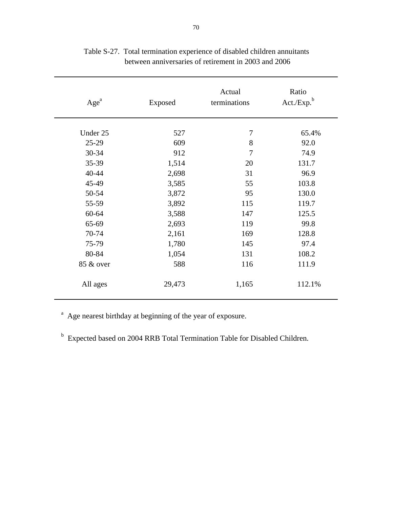| Age <sup>a</sup> | Exposed | Actual<br>terminations | Ratio<br>Act./Exp. <sup>b</sup> |
|------------------|---------|------------------------|---------------------------------|
| Under 25         | 527     | 7                      | 65.4%                           |
| 25-29            | 609     | 8                      | 92.0                            |
| 30-34            | 912     | 7                      | 74.9                            |
| 35-39            | 1,514   | 20                     | 131.7                           |
| 40-44            | 2,698   | 31                     | 96.9                            |
| 45-49            | 3,585   | 55                     | 103.8                           |
| 50-54            | 3,872   | 95                     | 130.0                           |
| 55-59            | 3,892   | 115                    | 119.7                           |
| 60-64            | 3,588   | 147                    | 125.5                           |
| 65-69            | 2,693   | 119                    | 99.8                            |
| 70-74            | 2,161   | 169                    | 128.8                           |
| 75-79            | 1,780   | 145                    | 97.4                            |
| 80-84            | 1,054   | 131                    | 108.2                           |
| 85 & over        | 588     | 116                    | 111.9                           |
| All ages         | 29,473  | 1,165                  | 112.1%                          |

Table S-27. Total termination experience of disabled children annuitants between anniversaries of retirement in 2003 and 2006

<sup>a</sup> Age nearest birthday at beginning of the year of exposure.

<sup>b</sup> Expected based on 2004 RRB Total Termination Table for Disabled Children.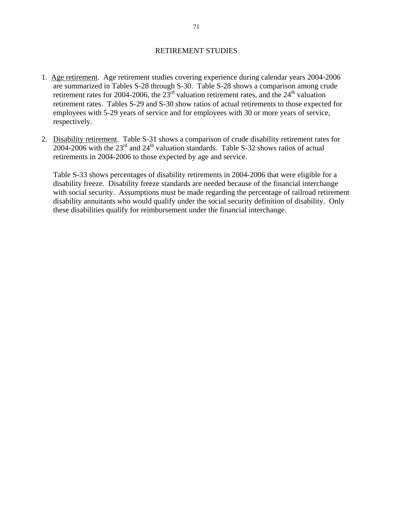#### RETIREMENT STUDIES

- 1. Age retirement. Age retirement studies covering experience during calendar years 2004-2006 are summarized in Tables S-28 through S-30. Table S-28 shows a comparison among crude retirement rates for 2004-2006, the  $23<sup>rd</sup>$  valuation retirement rates, and the  $24<sup>th</sup>$  valuation retirement rates. Tables S-29 and S-30 show ratios of actual retirements to those expected for employees with 5-29 years of service and for employees with 30 or more years of service, respectively.
- 2. Disability retirement. Table S-31 shows a comparison of crude disability retirement rates for  $2004-2006$  with the  $23<sup>rd</sup>$  and  $24<sup>th</sup>$  valuation standards. Table S-32 shows ratios of actual retirements in 2004-2006 to those expected by age and service.

Table S-33 shows percentages of disability retirements in 2004-2006 that were eligible for a disability freeze. Disability freeze standards are needed because of the financial interchange with social security. Assumptions must be made regarding the percentage of railroad retirement disability annuitants who would qualify under the social security definition of disability. Only these disabilities qualify for reimbursement under the financial interchange.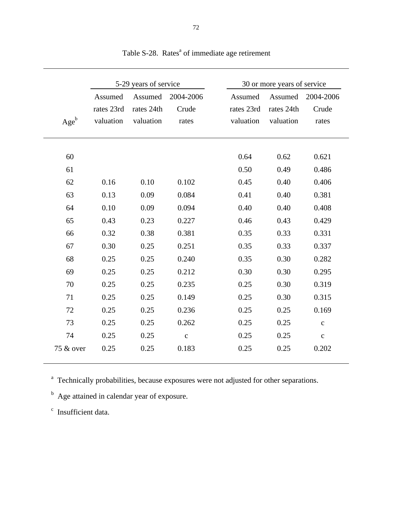|           |                       | 5-29 years of service |                    |                       | 30 or more years of service |                    |
|-----------|-----------------------|-----------------------|--------------------|-----------------------|-----------------------------|--------------------|
|           | Assumed<br>rates 23rd | Assumed<br>rates 24th | 2004-2006<br>Crude | Assumed<br>rates 23rd | Assumed<br>rates 24th       | 2004-2006<br>Crude |
| $Age^b$   | valuation             | valuation             | rates              | valuation             | valuation                   | rates              |
| 60        |                       |                       |                    | 0.64                  | 0.62                        | 0.621              |
| 61        |                       |                       |                    | 0.50                  | 0.49                        | 0.486              |
| 62        | 0.16                  | 0.10                  | 0.102              | 0.45                  | 0.40                        | 0.406              |
| 63        | 0.13                  | 0.09                  | 0.084              | 0.41                  | 0.40                        | 0.381              |
| 64        | 0.10                  | 0.09                  | 0.094              | 0.40                  | 0.40                        | 0.408              |
| 65        | 0.43                  | 0.23                  | 0.227              | 0.46                  | 0.43                        | 0.429              |
| 66        | 0.32                  | 0.38                  | 0.381              | 0.35                  | 0.33                        | 0.331              |
| 67        | 0.30                  | 0.25                  | 0.251              | 0.35                  | 0.33                        | 0.337              |
| 68        | 0.25                  | 0.25                  | 0.240              | 0.35                  | 0.30                        | 0.282              |
| 69        | 0.25                  | 0.25                  | 0.212              | 0.30                  | 0.30                        | 0.295              |
| 70        | 0.25                  | 0.25                  | 0.235              | 0.25                  | 0.30                        | 0.319              |
| 71        | 0.25                  | 0.25                  | 0.149              | 0.25                  | 0.30                        | 0.315              |
| 72        | 0.25                  | 0.25                  | 0.236              | 0.25                  | 0.25                        | 0.169              |
| 73        | 0.25                  | 0.25                  | 0.262              | 0.25                  | 0.25                        | $\mathbf{C}$       |
| 74        | 0.25                  | 0.25                  | $\mathbf{c}$       | 0.25                  | 0.25                        | $\mathbf{C}$       |
| 75 & over | 0.25                  | 0.25                  | 0.183              | 0.25                  | 0.25                        | 0.202              |

Table S-28. Rates<sup>a</sup> of immediate age retirement

<sup>a</sup> Technically probabilities, because exposures were not adjusted for other separations.

<sup>b</sup> Age attained in calendar year of exposure.

 $\degree$  Insufficient data.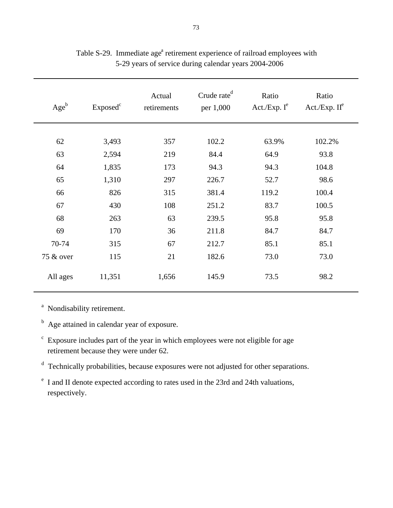| $Age^b$   | Exposed <sup>c</sup> | Actual<br>retirements | Crude rate <sup>d</sup><br>per 1,000 | Ratio<br>Act./Exp. $I^e$ | Ratio<br>Act./Exp. $II^e$ |
|-----------|----------------------|-----------------------|--------------------------------------|--------------------------|---------------------------|
|           |                      |                       |                                      |                          |                           |
| 62        | 3,493                | 357                   | 102.2                                | 63.9%                    | 102.2%                    |
| 63        | 2,594                | 219                   | 84.4                                 | 64.9                     | 93.8                      |
| 64        | 1,835                | 173                   | 94.3                                 | 94.3                     | 104.8                     |
| 65        | 1,310                | 297                   | 226.7                                | 52.7                     | 98.6                      |
| 66        | 826                  | 315                   | 381.4                                | 119.2                    | 100.4                     |
| 67        | 430                  | 108                   | 251.2                                | 83.7                     | 100.5                     |
| 68        | 263                  | 63                    | 239.5                                | 95.8                     | 95.8                      |
| 69        | 170                  | 36                    | 211.8                                | 84.7                     | 84.7                      |
| 70-74     | 315                  | 67                    | 212.7                                | 85.1                     | 85.1                      |
| 75 & over | 115                  | 21                    | 182.6                                | 73.0                     | 73.0                      |
| All ages  | 11,351               | 1,656                 | 145.9                                | 73.5                     | 98.2                      |

## Table S-29. Immediate age<sup>a</sup> retirement experience of railroad employees with 5-29 years of service during calendar years 2004-2006

<sup>a</sup> Nondisability retirement.

- <sup>b</sup> Age attained in calendar year of exposure.
- $\epsilon$  Exposure includes part of the year in which employees were not eligible for age retirement because they were under 62.

d Technically probabilities, because exposures were not adjusted for other separations.

e I and II denote expected according to rates used in the 23rd and 24th valuations, respectively.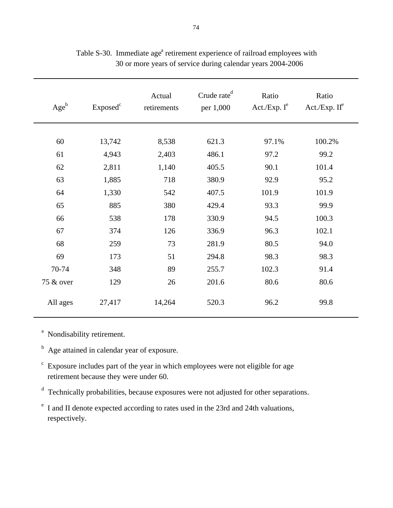| $Age^b$   | Exposed <sup>c</sup> | Actual<br>retirements | Crude rate <sup>d</sup><br>per 1,000 | Ratio<br>Act./Exp. $I^e$ | Ratio<br>Act./Exp. $II^e$ |
|-----------|----------------------|-----------------------|--------------------------------------|--------------------------|---------------------------|
|           |                      |                       |                                      |                          |                           |
| 60        | 13,742               | 8,538                 | 621.3                                | 97.1%                    | 100.2%                    |
| 61        | 4,943                | 2,403                 | 486.1                                | 97.2                     | 99.2                      |
| 62        | 2,811                | 1,140                 | 405.5                                | 90.1                     | 101.4                     |
| 63        | 1,885                | 718                   | 380.9                                | 92.9                     | 95.2                      |
| 64        | 1,330                | 542                   | 407.5                                | 101.9                    | 101.9                     |
| 65        | 885                  | 380                   | 429.4                                | 93.3                     | 99.9                      |
| 66        | 538                  | 178                   | 330.9                                | 94.5                     | 100.3                     |
| 67        | 374                  | 126                   | 336.9                                | 96.3                     | 102.1                     |
| 68        | 259                  | 73                    | 281.9                                | 80.5                     | 94.0                      |
| 69        | 173                  | 51                    | 294.8                                | 98.3                     | 98.3                      |
| 70-74     | 348                  | 89                    | 255.7                                | 102.3                    | 91.4                      |
| 75 & over | 129                  | 26                    | 201.6                                | 80.6                     | 80.6                      |
| All ages  | 27,417               | 14,264                | 520.3                                | 96.2                     | 99.8                      |

Table S-30. Immediate age<sup>a</sup> retirement experience of railroad employees with 30 or more years of service during calendar years 2004-2006

<sup>a</sup> Nondisability retirement.

<sup>b</sup> Age attained in calendar year of exposure.

 $\epsilon$  Exposure includes part of the year in which employees were not eligible for age retirement because they were under 60.

d Technically probabilities, because exposures were not adjusted for other separations.

e I and II denote expected according to rates used in the 23rd and 24th valuations, respectively.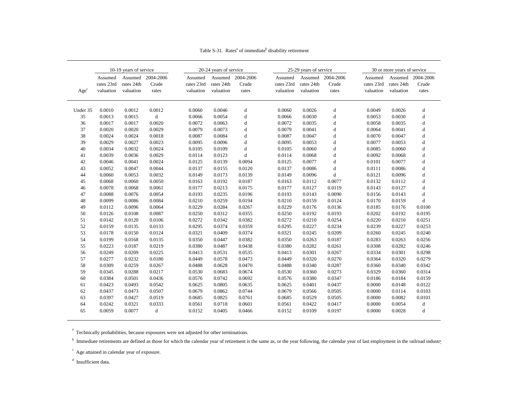|                           |            | 10-19 years of service |             |            | 20-24 years of service |           |            | 25-29 years of service |             |            | 30 or more years of service |             |
|---------------------------|------------|------------------------|-------------|------------|------------------------|-----------|------------|------------------------|-------------|------------|-----------------------------|-------------|
|                           | Assumed    | Assumed                | 2004-2006   | Assumed    | Assumed                | 2004-2006 | Assumed    | Assumed                | 2004-2006   | Assumed    | Assumed                     | 2004-2006   |
|                           | rates 23rd | rates 24th             | Crude       | rates 23rd | rates 24th             | Crude     | rates 23rd | rates 24th             | Crude       | rates 23rd | rates 24th                  | Crude       |
| $\mathbf{Age}^\mathrm{c}$ | valuation  | valuation              | rates       | valuation  | valuation              | rates     | valuation  | valuation              | rates       | valuation  | valuation                   | rates       |
|                           |            |                        |             |            |                        |           |            |                        |             |            |                             |             |
| Under 35                  | 0.0010     | 0.0012                 | 0.0012      | 0.0060     | 0.0046                 | d         | 0.0060     | 0.0026                 | d           | 0.0049     | 0.0026                      | d           |
| 35                        | 0.0013     | 0.0015                 | $\mathbf d$ | 0.0066     | 0.0054                 | d         | 0.0066     | 0.0030                 | $\rm d$     | 0.0053     | 0.0030                      | d           |
| 36                        | 0.0017     | 0.0017                 | 0.0020      | 0.0072     | 0.0063                 | d         | 0.0072     | 0.0035                 | $\mathbf d$ | 0.0058     | 0.0035                      | d           |
| 37                        | 0.0020     | 0.0020                 | 0.0029      | 0.0079     | 0.0073                 | d         | 0.0079     | 0.0041                 | d           | 0.0064     | 0.0041                      | d           |
| 38                        | 0.0024     | 0.0024                 | 0.0018      | 0.0087     | 0.0084                 | d         | 0.0087     | 0.0047                 | $\rm d$     | 0.0070     | 0.0047                      | d           |
| 39                        | 0.0029     | 0.0027                 | 0.0023      | 0.0095     | 0.0096                 | d         | 0.0095     | 0.0053                 | $\mathbf d$ | 0.0077     | 0.0053                      | d           |
| 40                        | 0.0034     | 0.0032                 | 0.0024      | 0.0105     | 0.0109                 | d         | 0.0105     | 0.0060                 | $\mathbf d$ | 0.0085     | 0.0060                      | d           |
| 41                        | 0.0039     | 0.0036                 | 0.0029      | 0.0114     | 0.0123                 | d         | 0.0114     | 0.0068                 | $\rm d$     | 0.0092     | 0.0068                      | d           |
| 42                        | 0.0046     | 0.0041                 | 0.0024      | 0.0125     | 0.0139                 | 0.0094    | 0.0125     | 0.0077                 | $\rm d$     | 0.0101     | 0.0077                      | $\rm d$     |
| 43                        | 0.0052     | 0.0047                 | 0.0044      | 0.0137     | 0.0155                 | 0.0120    | 0.0137     | 0.0086                 | $\mathbf d$ | 0.0111     | 0.0086                      | d           |
| 44                        | 0.0060     | 0.0053                 | 0.0032      | 0.0149     | 0.0173                 | 0.0139    | 0.0149     | 0.0096                 | $\mathbf d$ | 0.0121     | 0.0096                      | d           |
| 45                        | 0.0068     | 0.0060                 | 0.0050      | 0.0163     | 0.0192                 | 0.0187    | 0.0163     | 0.0112                 | 0.0077      | 0.0132     | 0.0112                      | d           |
| 46                        | 0.0078     | 0.0068                 | 0.0061      | 0.0177     | 0.0213                 | 0.0175    | 0.0177     | 0.0127                 | 0.0119      | 0.0143     | 0.0127                      | $\mathbf d$ |
| 47                        | 0.0088     | 0.0076                 | 0.0054      | 0.0193     | 0.0235                 | 0.0196    | 0.0193     | 0.0143                 | 0.0090      | 0.0156     | 0.0143                      | ${\rm d}$   |
| 48                        | 0.0099     | 0.0086                 | 0.0084      | 0.0210     | 0.0259                 | 0.0194    | 0.0210     | 0.0159                 | 0.0124      | 0.0170     | 0.0159                      | $\mathbf d$ |
| 49                        | 0.0112     | 0.0096                 | 0.0064      | 0.0229     | 0.0284                 | 0.0267    | 0.0229     | 0.0176                 | 0.0136      | 0.0185     | 0.0176                      | 0.0100      |
| 50                        | 0.0126     | 0.0108                 | 0.0087      | 0.0250     | 0.0312                 | 0.0355    | 0.0250     | 0.0192                 | 0.0193      | 0.0202     | 0.0192                      | 0.0195      |
| 51                        | 0.0142     | 0.0120                 | 0.0106      | 0.0272     | 0.0342                 | 0.0382    | 0.0272     | 0.0210                 | 0.0254      | 0.0220     | 0.0210                      | 0.0251      |
| 52                        | 0.0159     | 0.0135                 | 0.0133      | 0.0295     | 0.0374                 | 0.0359    | 0.0295     | 0.0227                 | 0.0234      | 0.0239     | 0.0227                      | 0.0253      |
| 53                        | 0.0178     | 0.0150                 | 0.0124      | 0.0321     | 0.0409                 | 0.0374    | 0.0321     | 0.0245                 | 0.0209      | 0.0260     | 0.0245                      | 0.0240      |
| 54                        | 0.0199     | 0.0168                 | 0.0135      | 0.0350     | 0.0447                 | 0.0382    | 0.0350     | 0.0263                 | 0.0187      | 0.0283     | 0.0263                      | 0.0256      |
| 55                        | 0.0223     | 0.0187                 | 0.0219      | 0.0380     | 0.0487                 | 0.0438    | 0.0380     | 0.0282                 | 0.0261      | 0.0308     | 0.0282                      | 0.0246      |
| 56                        | 0.0249     | 0.0209                 | 0.0225      | 0.0413     | 0.0531                 | 0.0535    | 0.0413     | 0.0301                 | 0.0267      | 0.0334     | 0.0301                      | 0.0298      |
| 57                        | 0.0277     | 0.0232                 | 0.0180      | 0.0449     | 0.0578                 | 0.0473    | 0.0449     | 0.0320                 | 0.0270      | 0.0364     | 0.0320                      | 0.0279      |
| 58                        | 0.0309     | 0.0259                 | 0.0267      | 0.0488     | 0.0628                 | 0.0470    | 0.0488     | 0.0340                 | 0.0287      | 0.0360     | 0.0340                      | 0.0342      |
| 59                        | 0.0345     | 0.0288                 | 0.0217      | 0.0530     | 0.0683                 | 0.0674    | 0.0530     | 0.0360                 | 0.0273      | 0.0329     | 0.0360                      | 0.0314      |
| 60                        | 0.0384     | 0.0501                 | 0.0436      | 0.0576     | 0.0742                 | 0.0692    | 0.0576     | 0.0380                 | 0.0347      | 0.0186     | 0.0184                      | 0.0159      |
| 61                        | 0.0423     | 0.0493                 | 0.0542      | 0.0625     | 0.0805                 | 0.0635    | 0.0625     | 0.0401                 | 0.0437      | 0.0000     | 0.0148                      | 0.0122      |
| 62                        | 0.0437     | 0.0473                 | 0.0507      | 0.0679     | 0.0862                 | 0.0744    | 0.0679     | 0.0566                 | 0.0505      | 0.0000     | 0.0114                      | 0.0103      |
| 63                        | 0.0397     | 0.0427                 | 0.0519      | 0.0685     | 0.0825                 | 0.0761    | 0.0685     | 0.0529                 | 0.0505      | 0.0000     | 0.0082                      | 0.0101      |
| 64                        | 0.0242     | 0.0321                 | 0.0333      | 0.0561     | 0.0718                 | 0.0601    | 0.0561     | 0.0422                 | 0.0417      | 0.0000     | 0.0054                      | $\rm d$     |
| 65                        | 0.0059     | 0.0077                 | d           | 0.0152     | 0.0405                 | 0.0466    | 0.0152     | 0.0109                 | 0.0197      | 0.0000     | 0.0028                      | d           |

Table S-31. Rates<sup>a</sup> of immediate<sup>b</sup> disability retirement

<sup>a</sup> Technically probabilities, because exposures were not adjusted for other terminations.

<sup>b</sup> Immediate retirements are defined as those for which the calendar year of retirement is the same as, or the year following, the calendar year of last employment in the railroad industry

 $\epsilon$  Age attained in calendar year of exposure.

<sup>d</sup> Insufficient data.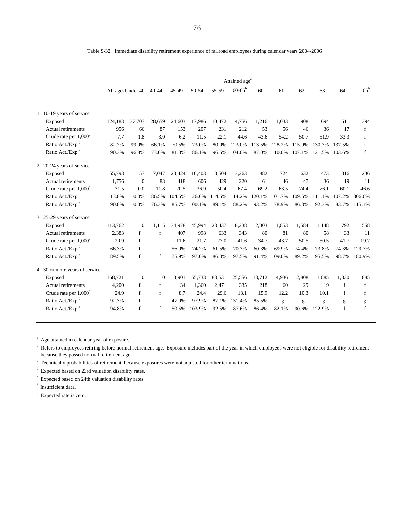|                                |                   |              |              |        |        |        | Attained age <sup>a</sup> |        |        |        |        |        |              |
|--------------------------------|-------------------|--------------|--------------|--------|--------|--------|---------------------------|--------|--------|--------|--------|--------|--------------|
|                                | All ages Under 40 |              | $40 - 44$    | 45-49  | 50-54  | 55-59  | $60 - 65^{\rm b}$         | 60     | 61     | 62     | 63     | 64     | $65^{\rm b}$ |
|                                |                   |              |              |        |        |        |                           |        |        |        |        |        |              |
| 1. 10-19 years of service      |                   |              |              |        |        |        |                           |        |        |        |        |        |              |
| Exposed                        | 124,183           | 37,707       | 28,659       | 24,603 | 17,986 | 10,472 | 4.756                     | 1,216  | 1.033  | 908    | 694    | 511    | 394          |
| Actual retirements             | 956               | 66           | 87           | 153    | 207    | 231    | 212                       | 53     | 56     | 46     | 36     | 17     | f            |
| Crude rate per $1,000^{\circ}$ | 7.7               | 1.8          | 3.0          | 6.2    | 11.5   | 22.1   | 44.6                      | 43.6   | 54.2   | 50.7   | 51.9   | 33.3   | $\mathbf{f}$ |
| Ratio Act./Exp. <sup>d</sup>   | 82.7%             | 99.9%        | 66.1%        | 70.5%  | 73.0%  | 80.9%  | 123.0%                    | 113.5% | 128.2% | 115.9% | 130.7% | 137.5% | $\mathbf{f}$ |
| Ratio Act./Exp. <sup>e</sup>   | 90.3%             | 96.8%        | 73.0%        | 81.3%  | 86.1%  | 96.5%  | 104.0%                    | 87.0%  | 110.0% | 107.1% | 121.5% | 103.6% | f            |
| 2. 20-24 years of service      |                   |              |              |        |        |        |                           |        |        |        |        |        |              |
| Exposed                        | 55,798            | 157          | 7.047        | 20,424 | 16,403 | 8,504  | 3,263                     | 882    | 724    | 632    | 473    | 316    | 236          |
| Actual retirements             | 1,756             | $\mathbf{0}$ | 83           | 418    | 606    | 429    | 220                       | 61     | 46     | 47     | 36     | 19     | 11           |
| Crude rate per $1,000^{\circ}$ | 31.5              | 0.0          | 11.8         | 20.5   | 36.9   | 50.4   | 67.4                      | 69.2   | 63.5   | 74.4   | 76.1   | 60.1   | 46.6         |
| Ratio Act./Exp. <sup>d</sup>   | 113.8%            | 0.0%         | 86.5%        | 104.5% | 126.6% | 114.5% | 114.2%                    | 120.1% | 101.7% | 109.5% | 111.1% | 107.2% | 306.6%       |
| Ratio Act./Exp. <sup>e</sup>   | 90.8%             | 0.0%         | 76.3%        | 85.7%  | 100.1% | 89.1%  | 88.2%                     | 93.2%  | 78.9%  | 86.3%  | 92.3%  | 83.7%  | 115.1%       |
| 3. 25-29 years of service      |                   |              |              |        |        |        |                           |        |        |        |        |        |              |
| Exposed                        | 113,762           | $\Omega$     | 1.115        | 34.978 | 45.994 | 23.437 | 8.238                     | 2.303  | 1.853  | 1.584  | 1.148  | 792    | 558          |
| Actual retirements             | 2,383             | $\mathbf{f}$ | f            | 407    | 998    | 633    | 343                       | 80     | 81     | 80     | 58     | 33     | 11           |
| Crude rate per $1,000^{\circ}$ | 20.9              | $\mathbf{f}$ | f            | 11.6   | 21.7   | 27.0   | 41.6                      | 34.7   | 43.7   | 50.5   | 50.5   | 41.7   | 19.7         |
| Ratio Act./Exp. <sup>d</sup>   | 66.3%             | $\mathbf{f}$ | f            | 56.9%  | 74.2%  | 61.5%  | 70.3%                     | 60.3%  | 69.9%  | 74.4%  | 73.8%  | 74.3%  | 129.7%       |
| Ratio Act./Exp. <sup>e</sup>   | 89.5%             | f            | f            | 75.9%  | 97.0%  | 86.0%  | 97.5%                     | 91.4%  | 109.0% | 89.2%  | 95.5%  | 98.7%  | 180.9%       |
| 4. 30 or more years of service |                   |              |              |        |        |        |                           |        |        |        |        |        |              |
| Exposed                        | 168,721           | $\mathbf{0}$ | $\Omega$     | 3.901  | 55.733 | 83,531 | 25.556                    | 13.712 | 4,936  | 2.808  | 1.885  | 1.330  | 885          |
| Actual retirements             | 4,200             | f            | $\mathbf{f}$ | 34     | 1.360  | 2.471  | 335                       | 218    | 60     | 29     | 19     | f      | f            |
| Crude rate per $1,000^{\circ}$ | 24.9              | f            | $\mathbf f$  | 8.7    | 24.4   | 29.6   | 13.1                      | 15.9   | 12.2   | 10.3   | 10.1   | f      | $\mathbf f$  |
| Ratio Act./Exp. <sup>d</sup>   | 92.3%             | f            | f            | 47.9%  | 97.9%  | 87.1%  | 131.4%                    | 85.5%  | g      | g      | g      | g      | g            |
| Ratio Act./Exp. <sup>e</sup>   | 94.8%             | $\mathbf{f}$ | $\mathbf f$  | 50.5%  | 103.9% | 92.5%  | 87.6%                     | 86.4%  | 82.1%  | 90.6%  | 122.9% | f      | $\mathbf f$  |
|                                |                   |              |              |        |        |        |                           |        |        |        |        |        |              |

Table S-32. Immediate disability retirement experience of railroad employees during calendar years 2004-2006

<sup>a</sup> Age attained in calendar year of exposure.

b Refers to employees retiring before normal retirement age. Exposure includes part of the year in which employees were not eligible for disability retirement because they passed normal retirement age.

<sup>c</sup> Technically probabilities of retirement, because exposures were not adjusted for other terminations.

d Expected based on 23rd valuation disability rates.

e Expected based on 24th valuation disability rates.

f Insufficient data.

<sup>g</sup> Expected rate is zero.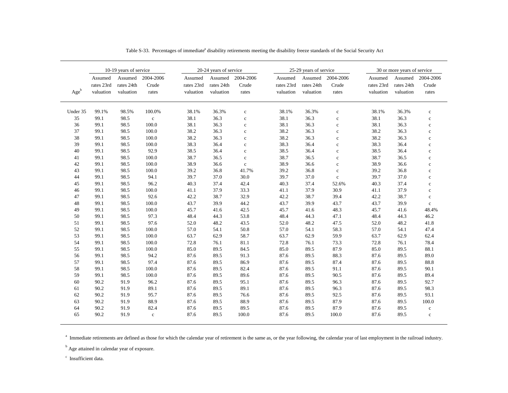|          |                                    | 10-19 years of service             |                             | 20-24 years of service             |                                    |                             |                                    | 25-29 years of service             |                             | 30 or more years of service        |                                    |                             |  |
|----------|------------------------------------|------------------------------------|-----------------------------|------------------------------------|------------------------------------|-----------------------------|------------------------------------|------------------------------------|-----------------------------|------------------------------------|------------------------------------|-----------------------------|--|
| $Age^b$  | Assumed<br>rates 23rd<br>valuation | Assumed<br>rates 24th<br>valuation | 2004-2006<br>Crude<br>rates | Assumed<br>rates 23rd<br>valuation | Assumed<br>rates 24th<br>valuation | 2004-2006<br>Crude<br>rates | Assumed<br>rates 23rd<br>valuation | Assumed<br>rates 24th<br>valuation | 2004-2006<br>Crude<br>rates | Assumed<br>rates 23rd<br>valuation | Assumed<br>rates 24th<br>valuation | 2004-2006<br>Crude<br>rates |  |
|          |                                    |                                    |                             |                                    |                                    |                             |                                    |                                    |                             |                                    |                                    |                             |  |
| Under 35 | 99.1%                              | 98.5%                              | 100.0%                      | 38.1%                              | 36.3%                              | $\mathbf c$                 | 38.1%                              | 36.3%                              | $\mathbf c$                 | 38.1%                              | 36.3%                              | $\mathbf{c}$                |  |
| 35       | 99.1                               | 98.5                               | $\mathbf c$                 | 38.1                               | 36.3                               | $\mathbf c$                 | 38.1                               | 36.3                               | $\mathbf c$                 | 38.1                               | 36.3                               | $\mathbf{c}$                |  |
| 36       | 99.1                               | 98.5                               | 100.0                       | 38.1                               | 36.3                               | $\mathbf c$                 | 38.1                               | 36.3                               | $\mathbf c$                 | 38.1                               | 36.3                               | $\mathbf c$                 |  |
| 37       | 99.1                               | 98.5                               | 100.0                       | 38.2                               | 36.3                               | $\mathbf c$                 | 38.2                               | 36.3                               | $\mathbf c$                 | 38.2                               | 36.3                               | $\mathbf c$                 |  |
| 38       | 99.1                               | 98.5                               | 100.0                       | 38.2                               | 36.3                               | $\mathbf c$                 | 38.2                               | 36.3                               | $\mathbf c$                 | 38.2                               | 36.3                               | $\mathbf c$                 |  |
| 39       | 99.1                               | 98.5                               | 100.0                       | 38.3                               | 36.4                               | $\mathbf c$                 | 38.3                               | 36.4                               | $\mathbf c$                 | 38.3                               | 36.4                               | $\mathbf c$                 |  |
| 40       | 99.1                               | 98.5                               | 92.9                        | 38.5                               | 36.4                               | $\mathbf c$                 | 38.5                               | 36.4                               | $\mathbf c$                 | 38.5                               | 36.4                               | $\mathbf c$                 |  |
| 41       | 99.1                               | 98.5                               | 100.0                       | 38.7                               | 36.5                               | $\mathbf c$                 | 38.7                               | 36.5                               | $\mathbf c$                 | 38.7                               | 36.5                               | $\mathbf{c}$                |  |
| 42       | 99.1                               | 98.5                               | 100.0                       | 38.9                               | 36.6                               | $\mathbf c$                 | 38.9                               | 36.6                               | $\mathbf c$                 | 38.9                               | 36.6                               | $\mathbf c$                 |  |
| 43       | 99.1                               | 98.5                               | 100.0                       | 39.2                               | 36.8                               | 41.7%                       | 39.2                               | 36.8                               | $\mathbf c$                 | 39.2                               | 36.8                               | $\mathbf c$                 |  |
| 44       | 99.1                               | 98.5                               | 94.1                        | 39.7                               | 37.0                               | 30.0                        | 39.7                               | 37.0                               | $\mathbf c$                 | 39.7                               | 37.0                               | $\mathbf c$                 |  |
| 45       | 99.1                               | 98.5                               | 96.2                        | 40.3                               | 37.4                               | 42.4                        | 40.3                               | 37.4                               | 52.6%                       | 40.3                               | 37.4                               | $\mathbf c$                 |  |
| 46       | 99.1                               | 98.5                               | 100.0                       | 41.1                               | 37.9                               | 33.3                        | 41.1                               | 37.9                               | 30.9                        | 41.1                               | 37.9                               | $\mathbf c$                 |  |
| 47       | 99.1                               | 98.5                               | 92.6                        | 42.2                               | 38.7                               | 32.9                        | 42.2                               | 38.7                               | 39.4                        | 42.2                               | 38.7                               | $\mathbf c$                 |  |
| 48       | 99.1                               | 98.5                               | 100.0                       | 43.7                               | 39.9                               | 44.2                        | 43.7                               | 39.9                               | 43.7                        | 43.7                               | 39.9                               | $\mathbf c$                 |  |
| 49       | 99.1                               | 98.5                               | 100.0                       | 45.7                               | 41.6                               | 42.5                        | 45.7                               | 41.6                               | 48.3                        | 45.7                               | 41.6                               | 48.4%                       |  |
| 50       | 99.1                               | 98.5                               | 97.3                        | 48.4                               | 44.3                               | 53.8                        | 48.4                               | 44.3                               | 47.1                        | 48.4                               | 44.3                               | 46.2                        |  |
| 51       | 99.1                               | 98.5                               | 97.6                        | 52.0                               | 48.2                               | 43.5                        | 52.0                               | 48.2                               | 47.5                        | 52.0                               | 48.2                               | 41.8                        |  |
| 52       | 99.1                               | 98.5                               | 100.0                       | 57.0                               | 54.1                               | 50.8                        | 57.0                               | 54.1                               | 58.3                        | 57.0                               | 54.1                               | 47.4                        |  |
| 53       | 99.1                               | 98.5                               | 100.0                       | 63.7                               | 62.9                               | 58.7                        | 63.7                               | 62.9                               | 59.9                        | 63.7                               | 62.9                               | 62.4                        |  |
| 54       | 99.1                               | 98.5                               | 100.0                       | 72.8                               | 76.1                               | 81.1                        | 72.8                               | 76.1                               | 73.3                        | 72.8                               | 76.1                               | 78.4                        |  |
| 55       | 99.1                               | 98.5                               | 100.0                       | 85.0                               | 89.5                               | 84.5                        | 85.0                               | 89.5                               | 87.9                        | 85.0                               | 89.5                               | 88.1                        |  |
| 56       | 99.1                               | 98.5                               | 94.2                        | 87.6                               | 89.5                               | 91.3                        | 87.6                               | 89.5                               | 88.3                        | 87.6                               | 89.5                               | 89.0                        |  |
| 57       | 99.1                               | 98.5                               | 97.4                        | 87.6                               | 89.5                               | 86.9                        | 87.6                               | 89.5                               | 87.4                        | 87.6                               | 89.5                               | 88.8                        |  |
| 58       | 99.1                               | 98.5                               | 100.0                       | 87.6                               | 89.5                               | 82.4                        | 87.6                               | 89.5                               | 91.1                        | 87.6                               | 89.5                               | 90.1                        |  |
| 59       | 99.1                               | 98.5                               | 100.0                       | 87.6                               | 89.5                               | 89.6                        | 87.6                               | 89.5                               | 90.5                        | 87.6                               | 89.5                               | 89.4                        |  |
| 60       | 90.2                               | 91.9                               | 96.2                        | 87.6                               | 89.5                               | 95.1                        | 87.6                               | 89.5                               | 96.3                        | 87.6                               | 89.5                               | 92.7                        |  |
| 61       | 90.2                               | 91.9                               | 89.1                        | 87.6                               | 89.5                               | 89.1                        | 87.6                               | 89.5                               | 96.3                        | 87.6                               | 89.5                               | 98.3                        |  |
| 62       | 90.2                               | 91.9                               | 95.7                        | 87.6                               | 89.5                               | 76.6                        | 87.6                               | 89.5                               | 92.5                        | 87.6                               | 89.5                               | 93.1                        |  |
| 63       | 90.2                               | 91.9                               | 88.9                        | 87.6                               | 89.5                               | 88.9                        | 87.6                               | 89.5                               | 87.9                        | 87.6                               | 89.5                               | 100.0                       |  |
| 64       | 90.2                               | 91.9                               | 82.4                        | 87.6                               | 89.5                               | 89.5                        | 87.6                               | 89.5                               | 87.9                        | 87.6                               | 89.5                               | $\mathbf c$                 |  |
| 65       | 90.2                               | 91.9                               | $\mathbf c$                 | 87.6                               | 89.5                               | 100.0                       | 87.6                               | 89.5                               | 100.0                       | 87.6                               | 89.5                               | $\mathbf c$                 |  |

Table S-33. Percentages of immediate<sup>a</sup> disability retirements meeting the disability freeze standards of the Social Security Act

<sup>a</sup> Immediate retirements are defined as those for which the calendar year of retirement is the same as, or the year following, the calendar year of last employment in the railroad industry.

<sup>b</sup> Age attained in calendar year of exposure.

 $\degree$  Insufficient data.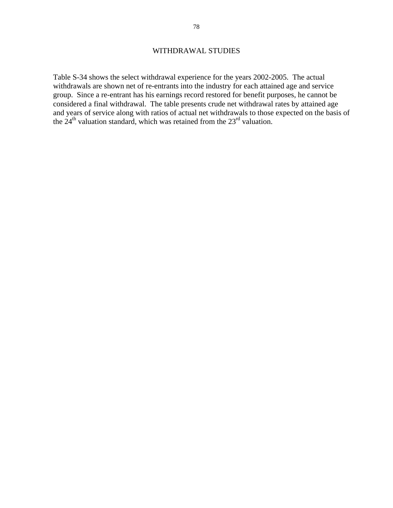### WITHDRAWAL STUDIES

Table S-34 shows the select withdrawal experience for the years 2002-2005. The actual withdrawals are shown net of re-entrants into the industry for each attained age and service group. Since a re-entrant has his earnings record restored for benefit purposes, he cannot be considered a final withdrawal. The table presents crude net withdrawal rates by attained age and years of service along with ratios of actual net withdrawals to those expected on the basis of the  $24<sup>th</sup>$  valuation standard, which was retained from the  $23<sup>rd</sup>$  valuation.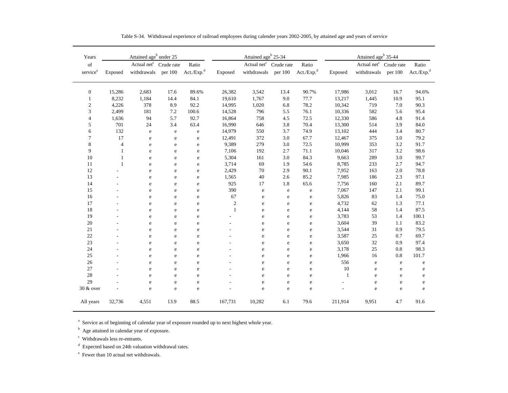| Years                                                                                              |                | Attained age <sup>b</sup> under 25 |            |                        |                  | Attained age <sup>b</sup> 25-34 |             |                        | Attained age <sup>b</sup> 35-44 |                         |             |                        |  |
|----------------------------------------------------------------------------------------------------|----------------|------------------------------------|------------|------------------------|------------------|---------------------------------|-------------|------------------------|---------------------------------|-------------------------|-------------|------------------------|--|
| $% \left( \left( \mathcal{A},\mathcal{A}\right) \right) =\left( \mathcal{A},\mathcal{A}\right)$ of |                | Actual net <sup>c</sup>            | Crude rate | Ratio                  |                  | Actual net $^{c}$               | Crude rate  | Ratio                  |                                 | Actual net <sup>c</sup> | Crude rate  | Ratio                  |  |
| service <sup>a</sup>                                                                               | Exposed        | withdrawals                        | per 100    | Act./Exp. <sup>d</sup> | Exposed          | withdrawals                     | per 100     | Act./Exp. <sup>d</sup> | Exposed                         | withdrawals             | per 100     | Act./Exp. <sup>d</sup> |  |
| $\boldsymbol{0}$                                                                                   | 15,286         | 2,683                              | 17.6       | 89.6%                  | 26,382           | 3,542                           | 13.4        | 90.7%                  | 17,986                          | 3,012                   | 16.7        | 94.6%                  |  |
| 1                                                                                                  | 8,232          | 1,184                              | 14.4       | 84.1                   | 19,610           | 1,767                           | 9.0         | 77.7                   | 13,217                          | 1,445                   | 10.9        | 95.1                   |  |
| $\overline{\mathbf{c}}$                                                                            | 4,226          | 378                                | 8.9        | 92.2                   | 14,995           | 1,020                           | 6.8         | 78.2                   | 10,342                          | 719                     | 7.0         | 90.3                   |  |
| 3                                                                                                  | 2,499          | 181                                | 7.2        | 100.6                  | 14,528           | 796                             | 5.5         | 76.1                   | 10,336                          | 582                     | 5.6         | 95.4                   |  |
| $\overline{4}$                                                                                     | 1,636          | 94                                 | 5.7        | 92.7                   | 16,864           | 758                             | 4.5         | 72.5                   | 12,330                          | 586                     | 4.8         | 91.4                   |  |
| 5                                                                                                  | 701            | 24                                 | 3.4        | 63.4                   | 16,990           | 646                             | 3.8         | 70.4                   | 13,300                          | 514                     | 3.9         | 84.0                   |  |
| 6                                                                                                  | 132            | e                                  | ${\bf e}$  | ${\bf e}$              | 14,979           | 550                             | 3.7         | 74.9                   | 13,102                          | 444                     | 3.4         | 80.7                   |  |
| $\tau$                                                                                             | 17             | e                                  | e          | $\rm e$                | 12,491           | 372                             | 3.0         | 67.7                   | 12,467                          | 375                     | 3.0         | 79.2                   |  |
| 8                                                                                                  | $\overline{4}$ | e                                  | e          | ${\rm e}$              | 9,389            | 279                             | 3.0         | 72.5                   | 10,999                          | 353                     | 3.2         | 91.7                   |  |
| 9                                                                                                  | 1              | e                                  | e          | $\mathbf e$            | 7,106            | 192                             | 2.7         | 71.1                   | 10,046                          | 317                     | 3.2         | 98.6                   |  |
| 10                                                                                                 | 1              | e                                  | e          | $\rm e$                | 5,304            | 161                             | 3.0         | 84.3                   | 9,663                           | 289                     | 3.0         | 99.7                   |  |
| 11                                                                                                 | $\mathbf{1}$   | e                                  | e          | $\rm e$                | 3,714            | 69                              | 1.9         | 54.6                   | 8,785                           | 233                     | 2.7         | 94.7                   |  |
| 12                                                                                                 |                | e                                  | e          | $\rm e$                | 2,429            | 70                              | 2.9         | 90.1                   | 7,952                           | 163                     | 2.0         | 78.8                   |  |
| 13                                                                                                 |                | e                                  | e          | $\mathbf e$            | 1,565            | 40                              | 2.6         | 85.2                   | 7,985                           | 186                     | 2.3         | 97.1                   |  |
| 14                                                                                                 |                | e                                  | e          | $\rm e$                | 925              | 17                              | 1.8         | 65.6                   | 7,756                           | 160                     | 2.1         | 89.7                   |  |
| 15                                                                                                 |                | e                                  | e          | ${\rm e}$              | 390              | e                               | $\mathbf e$ | e                      | 7,067                           | 147                     | 2.1         | 99.1                   |  |
| 16                                                                                                 |                | e                                  | e          | ${\rm e}$              | 67               | e                               | ${\rm e}$   | e                      | 5,826                           | 83                      | 1.4         | 75.0                   |  |
| 17                                                                                                 |                | e                                  | e          | $\mathbf e$            | $\boldsymbol{2}$ | e                               | $\rm e$     | e                      | 4,732                           | 62                      | 1.3         | 77.1                   |  |
| 18                                                                                                 |                | e                                  | e          | $\rm e$                | $\mathbf{1}$     | e                               | ${\rm e}$   | e                      | 4,144                           | 58                      | 1.4         | 87.5                   |  |
| 19                                                                                                 |                | e                                  | e          | ${\rm e}$              |                  | e                               | e           | e                      | 3,783                           | 53                      | 1.4         | 100.1                  |  |
| $20\,$                                                                                             |                | e                                  | e          | e                      |                  | e                               | e           | e                      | 3,604                           | 39                      | 1.1         | 83.2                   |  |
| 21                                                                                                 |                | e                                  | e          | ${\rm e}$              |                  | e                               | $\rm e$     | e                      | 3,544                           | 31                      | 0.9         | 79.5                   |  |
| 22                                                                                                 |                | e                                  | e          | e                      |                  | e                               | e           | $\rm e$                | 3,587                           | $25\,$                  | 0.7         | 69.7                   |  |
| 23                                                                                                 |                | e                                  | e          | e                      |                  | e                               | $\rm e$     | $\rm e$                | 3,650                           | $32\,$                  | 0.9         | 97.4                   |  |
| 24                                                                                                 |                | e                                  | e          | $\rm e$                |                  | e                               | $\rm e$     | e                      | 3,178                           | $25\,$                  | 0.8         | 98.3                   |  |
| 25                                                                                                 |                | e                                  | e          | e                      |                  | e                               | $\rm e$     | $\rm e$                | 1,966                           | 16                      | 0.8         | 101.7                  |  |
| 26                                                                                                 |                | e                                  | e          | $\rm e$                |                  | e                               | $\mathbf e$ | e                      | 556                             | $\rm e$                 | $\mathbf e$ | $\rm e$                |  |
| 27                                                                                                 |                | e                                  | e          | $\rm e$                |                  | e                               | $\mathbf e$ | $\rm e$                | 10                              | e                       | e           | $\rm e$                |  |
| 28                                                                                                 |                | e                                  | e          | e                      |                  | e                               | e           | $\mathbf e$            | $\mathbf{1}$                    | e                       | e           | e                      |  |
| 29                                                                                                 |                | e                                  | e          | $\rm e$                |                  | e                               | $\rm e$     | e                      | ä,                              | $\rm e$                 | e           | $\rm e$                |  |
| 30 & over                                                                                          |                | e                                  | e          | e                      |                  | e                               | e           | e                      |                                 | e                       | e           | e                      |  |
| All years                                                                                          | 32,736         | 4,551                              | 13.9       | 88.5                   | 167,731          | 10,282                          | 6.1         | 79.6                   | 211,914                         | 9,951                   | 4.7         | 91.6                   |  |

Table S-34. Withdrawal experience of railroad employees during calender years 2002-2005, by attained age and years of service

<sup>a</sup> Service as of beginning of calendar year of exposure rounded up to next highest whole year.

<sup>b</sup> Age attained in calendar year of exposure.

c Withdrawals less re-entrants.

d Expected based on 24th valuation withdrawal rates.

e Fewer than 10 actual net withdrawals.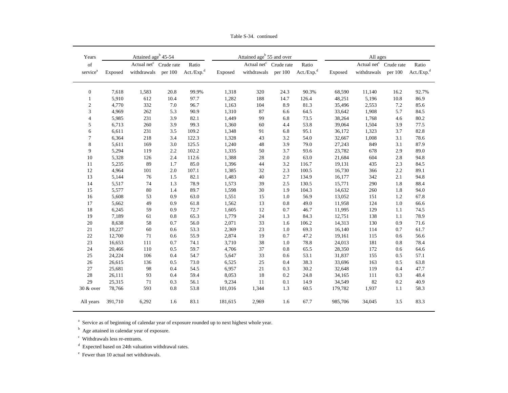|  | Table S-34, continued |
|--|-----------------------|
|  |                       |

| Years                   |         | Attained age <sup>b</sup> 45-54    |         |                        |         | Attained age <sup>b</sup> 55 and over |         |                        | All ages |                                    |         |                        |  |
|-------------------------|---------|------------------------------------|---------|------------------------|---------|---------------------------------------|---------|------------------------|----------|------------------------------------|---------|------------------------|--|
| of                      |         | Actual net <sup>c</sup> Crude rate |         | Ratio                  |         | Actual net <sup>c</sup> Crude rate    |         | Ratio                  |          | Actual net <sup>c</sup> Crude rate |         | Ratio                  |  |
| service <sup>a</sup>    | Exposed | withdrawals                        | per 100 | Act./Exp. <sup>d</sup> | Exposed | withdrawals                           | per 100 | Act./Exp. <sup>d</sup> | Exposed  | withdrawals                        | per 100 | Act./Exp. <sup>d</sup> |  |
| 0                       | 7,618   | 1,583                              | 20.8    | 99.9%                  | 1,318   | 320                                   | 24.3    | 90.3%                  | 68,590   | 11,140                             | 16.2    | 92.7%                  |  |
| 1                       | 5,910   | 612                                | 10.4    | 97.7                   | 1,282   | 188                                   | 14.7    | 126.4                  | 48,251   | 5,196                              | 10.8    | 86.9                   |  |
| $\overline{\mathbf{c}}$ | 4,770   | 332                                | 7.0     | 96.7                   | 1,163   | 104                                   | 8.9     | 81.3                   | 35,496   | 2,553                              | 7.2     | 85.6                   |  |
| 3                       | 4,969   | 262                                | 5.3     | 90.9                   | 1,310   | 87                                    | 6.6     | 64.5                   | 33,642   | 1,908                              | 5.7     | 84.5                   |  |
| 4                       | 5,985   | 231                                | 3.9     | 82.1                   | 1,449   | 99                                    | 6.8     | 73.5                   | 38,264   | 1,768                              | 4.6     | 80.2                   |  |
| 5                       | 6,713   | 260                                | 3.9     | 99.3                   | 1,360   | 60                                    | 4.4     | 53.8                   | 39,064   | 1,504                              | 3.9     | 77.5                   |  |
| 6                       | 6,611   | 231                                | 3.5     | 109.2                  | 1,348   | 91                                    | 6.8     | 95.1                   | 36,172   | 1,323                              | 3.7     | 82.8                   |  |
| $\tau$                  | 6,364   | 218                                | 3.4     | 122.3                  | 1,328   | 43                                    | 3.2     | 54.0                   | 32,667   | 1,008                              | 3.1     | 78.6                   |  |
| 8                       | 5,611   | 169                                | $3.0\,$ | 125.5                  | 1,240   | 48                                    | 3.9     | 79.0                   | 27,243   | 849                                | 3.1     | 87.9                   |  |
| 9                       | 5,294   | 119                                | 2.2     | 102.2                  | 1,335   | 50                                    | 3.7     | 93.6                   | 23,782   | 678                                | 2.9     | 89.0                   |  |
| 10                      | 5,328   | 126                                | 2.4     | 112.6                  | 1,388   | 28                                    | 2.0     | 63.0                   | 21,684   | 604                                | 2.8     | 94.8                   |  |
| 11                      | 5,235   | 89                                 | 1.7     | 85.0                   | 1,396   | 44                                    | 3.2     | 116.7                  | 19,131   | 435                                | 2.3     | 84.5                   |  |
| 12                      | 4,964   | 101                                | 2.0     | 107.1                  | 1,385   | 32                                    | 2.3     | 100.5                  | 16,730   | 366                                | 2.2     | 89.1                   |  |
| 13                      | 5,144   | 76                                 | 1.5     | 82.1                   | 1,483   | 40                                    | 2.7     | 134.9                  | 16,177   | 342                                | 2.1     | 94.8                   |  |
| 14                      | 5,517   | 74                                 | 1.3     | 78.9                   | 1,573   | 39                                    | 2.5     | 130.5                  | 15,771   | 290                                | 1.8     | 88.4                   |  |
| 15                      | 5,577   | $80\,$                             | 1.4     | 89.7                   | 1,598   | 30                                    | 1.9     | 104.3                  | 14,632   | 260                                | 1.8     | 94.0                   |  |
| $16\,$                  | 5,608   | 53                                 | 0.9     | 63.0                   | 1,551   | 15                                    | 1.0     | 56.9                   | 13,052   | 151                                | $1.2\,$ | 67.8                   |  |
| 17                      | 5,662   | 49                                 | 0.9     | 61.8                   | 1,562   | 13                                    | $0.8\,$ | 49.0                   | 11,958   | 124                                | $1.0\,$ | 66.6                   |  |
| 18                      | 6,245   | 59                                 | 0.9     | 72.7                   | 1,605   | 12                                    | 0.7     | 46.7                   | 11,995   | 129                                | 1.1     | 74.5                   |  |
| 19                      | 7,189   | 61                                 | $0.8\,$ | 65.3                   | 1,779   | 24                                    | 1.3     | 84.3                   | 12,751   | 138                                | 1.1     | 78.9                   |  |
| 20                      | 8,638   | 58                                 | 0.7     | 56.0                   | 2,071   | 33                                    | 1.6     | 106.2                  | 14,313   | 130                                | 0.9     | 71.6                   |  |
| 21                      | 10,227  | 60                                 | 0.6     | 53.3                   | 2,369   | 23                                    | 1.0     | 69.3                   | 16,140   | 114                                | 0.7     | 61.7                   |  |
| 22                      | 12,700  | 71                                 | 0.6     | 55.9                   | 2,874   | 19                                    | 0.7     | 47.2                   | 19,161   | 115                                | 0.6     | 56.6                   |  |
| 23                      | 16,653  | 111                                | 0.7     | 74.1                   | 3,710   | 38                                    | 1.0     | 78.8                   | 24,013   | 181                                | 0.8     | 78.4                   |  |
| $24\,$                  | 20,466  | 110                                | 0.5     | 59.7                   | 4,706   | 37                                    | 0.8     | 65.5                   | 28,350   | 172                                | 0.6     | 64.6                   |  |
| 25                      | 24,224  | 106                                | 0.4     | 54.7                   | 5,647   | 33                                    | 0.6     | 53.1                   | 31,837   | 155                                | 0.5     | 57.1                   |  |
| $26\,$                  | 26,615  | 136                                | 0.5     | 73.0                   | 6,525   | 25                                    | 0.4     | 38.3                   | 33,696   | 163                                | 0.5     | 63.8                   |  |
| 27                      | 25,681  | 98                                 | 0.4     | 54.5                   | 6,957   | 21                                    | 0.3     | 30.2                   | 32,648   | 119                                | 0.4     | 47.7                   |  |
| $28\,$                  | 26,111  | 93                                 | 0.4     | 59.4                   | 8,053   | 18                                    | $0.2\,$ | 24.8                   | 34,165   | 111                                | 0.3     | 48.4                   |  |
| 29                      | 25,315  | 71                                 | 0.3     | 56.1                   | 9,234   | 11                                    | 0.1     | 14.9                   | 34,549   | 82                                 | 0.2     | 40.9                   |  |
| 30 & over               | 78,766  | 593                                | 0.8     | 53.8                   | 101,016 | 1,344                                 | 1.3     | 60.5                   | 179,782  | 1,937                              | 1.1     | 58.3                   |  |
| All years               | 391,710 | 6,292                              | 1.6     | 83.1                   | 181,615 | 2,969                                 | 1.6     | 67.7                   | 985,706  | 34,045                             | $3.5$   | 83.3                   |  |

 $^{\rm a}$  Service as of beginning of calendar year of exposure rounded up to next highest whole year.

<sup>b</sup> Age attained in calendar year of exposure.

c Withdrawals less re-entrants.

 $\mathrm{^{d}}$  Expected based on 24th valuation withdrawal rates.

e Fewer than 10 actual net withdrawals.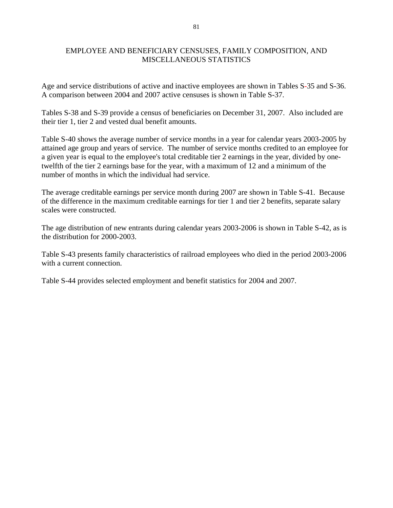### EMPLOYEE AND BENEFICIARY CENSUSES, FAMILY COMPOSITION, AND MISCELLANEOUS STATISTICS

Age and service distributions of active and inactive employees are shown in Tables S-35 and S-36. A comparison between 2004 and 2007 active censuses is shown in Table S-37.

Tables S-38 and S-39 provide a census of beneficiaries on December 31, 2007. Also included are their tier 1, tier 2 and vested dual benefit amounts.

Table S-40 shows the average number of service months in a year for calendar years 2003-2005 by attained age group and years of service. The number of service months credited to an employee for a given year is equal to the employee's total creditable tier 2 earnings in the year, divided by onetwelfth of the tier 2 earnings base for the year, with a maximum of 12 and a minimum of the number of months in which the individual had service.

The average creditable earnings per service month during 2007 are shown in Table S-41. Because of the difference in the maximum creditable earnings for tier 1 and tier 2 benefits, separate salary scales were constructed.

The age distribution of new entrants during calendar years 2003-2006 is shown in Table S-42, as is the distribution for 2000-2003.

Table S-43 presents family characteristics of railroad employees who died in the period 2003-2006 with a current connection.

Table S-44 provides selected employment and benefit statistics for 2004 and 2007.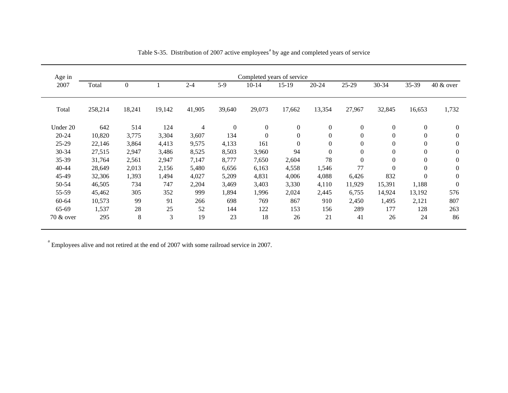| Age in    | Completed years of service |                  |        |                |                  |                |              |                  |                  |                  |                  |                  |  |  |
|-----------|----------------------------|------------------|--------|----------------|------------------|----------------|--------------|------------------|------------------|------------------|------------------|------------------|--|--|
| 2007      | Total                      | $\boldsymbol{0}$ |        | $2 - 4$        | $5-9$            | $10 - 14$      | $15-19$      | $20 - 24$        | 25-29            | 30-34            | 35-39            | $40 \& over$     |  |  |
| Total     | 258,214                    | 18,241           | 19,142 | 41,905         | 39,640           | 29,073         | 17,662       | 13,354           | 27,967           | 32,845           | 16,653           | 1,732            |  |  |
| Under 20  | 642                        | 514              | 124    | $\overline{4}$ | $\boldsymbol{0}$ | $\overline{0}$ | $\mathbf{0}$ | $\mathbf{0}$     | $\boldsymbol{0}$ | $\overline{0}$   | $\mathbf{0}$     | $\mathbf{0}$     |  |  |
| $20 - 24$ | 10,820                     | 3,775            | 3,304  | 3,607          | 134              | $\overline{0}$ | $\mathbf{0}$ | $\boldsymbol{0}$ | $\boldsymbol{0}$ | $\boldsymbol{0}$ | $\boldsymbol{0}$ | $\mathbf{0}$     |  |  |
| $25-29$   | 22,146                     | 3,864            | 4,413  | 9,575          | 4,133            | 161            | $\mathbf{0}$ | $\overline{0}$   | $\boldsymbol{0}$ | $\overline{0}$   | $\theta$         | $\theta$         |  |  |
| 30-34     | 27,515                     | 2,947            | 3,486  | 8,525          | 8,503            | 3,960          | 94           | $\Omega$         | $\boldsymbol{0}$ | $\boldsymbol{0}$ | $\boldsymbol{0}$ | $\mathbf{0}$     |  |  |
| 35-39     | 31,764                     | 2,561            | 2,947  | 7,147          | 8,777            | 7,650          | 2,604        | 78               | $\boldsymbol{0}$ | $\boldsymbol{0}$ | $\boldsymbol{0}$ | $\boldsymbol{0}$ |  |  |
| $40 - 44$ | 28,649                     | 2,013            | 2,156  | 5,480          | 6,656            | 6,163          | 4,558        | 1,546            | 77               | $\mathbf{0}$     | $\boldsymbol{0}$ | $\boldsymbol{0}$ |  |  |
| 45-49     | 32,306                     | 1,393            | 1,494  | 4,027          | 5,209            | 4,831          | 4,006        | 4,088            | 6,426            | 832              | $\mathbf{0}$     | $\Omega$         |  |  |
| 50-54     | 46,505                     | 734              | 747    | 2,204          | 3,469            | 3,403          | 3,330        | 4,110            | 11,929           | 15,391           | 1,188            | $\mathbf{0}$     |  |  |
| 55-59     | 45,462                     | 305              | 352    | 999            | 1,894            | 1,996          | 2,024        | 2,445            | 6,755            | 14,924           | 13,192           | 576              |  |  |
| $60 - 64$ | 10,573                     | 99               | 91     | 266            | 698              | 769            | 867          | 910              | 2,450            | 1,495            | 2,121            | 807              |  |  |
| 65-69     | 1,537                      | 28               | 25     | 52             | 144              | 122            | 153          | 156              | 289              | 177              | 128              | 263              |  |  |
| 70 & over | 295                        | 8                | 3      | 19             | 23               | 18             | 26           | 21               | 41               | 26               | 24               | 86               |  |  |

Table S-35. Distribution of 2007 active employees<sup>a</sup> by age and completed years of service

 $\alpha$ <sup>a</sup> Employees alive and not retired at the end of 2007 with some railroad service in 2007.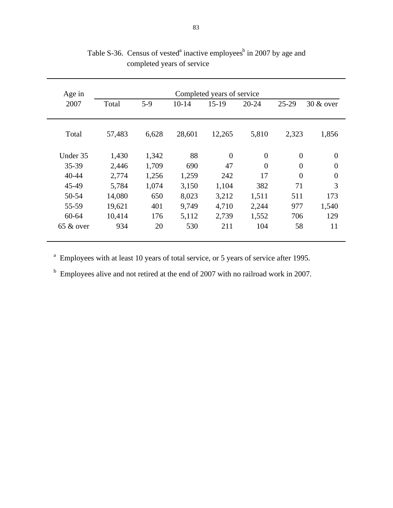| Age in       |        |       |         | Completed years of service |           |                |                |
|--------------|--------|-------|---------|----------------------------|-----------|----------------|----------------|
| 2007         | Total  | $5-9$ | $10-14$ | $15-19$                    | $20 - 24$ | $25-29$        | 30 & over      |
|              |        |       |         |                            |           |                |                |
| Total        | 57,483 | 6,628 | 28,601  | 12,265                     | 5,810     | 2,323          | 1,856          |
| Under 35     | 1,430  | 1,342 | 88      | $\overline{0}$             | $\theta$  | $\overline{0}$ | $\theta$       |
| 35-39        | 2,446  | 1,709 | 690     | 47                         | $\theta$  | $\overline{0}$ | $\overline{0}$ |
| 40-44        | 2,774  | 1,256 | 1,259   | 242                        | 17        | $\theta$       | $\overline{0}$ |
| 45-49        | 5,784  | 1,074 | 3,150   | 1,104                      | 382       | 71             | 3              |
| 50-54        | 14,080 | 650   | 8,023   | 3,212                      | 1,511     | 511            | 173            |
| 55-59        | 19,621 | 401   | 9,749   | 4,710                      | 2,244     | 977            | 1,540          |
| $60 - 64$    | 10,414 | 176   | 5,112   | 2,739                      | 1,552     | 706            | 129            |
| $65 \&$ over | 934    | 20    | 530     | 211                        | 104       | 58             | 11             |
|              |        |       |         |                            |           |                |                |

Table S-36. Census of vested<sup>a</sup> inactive employees<sup>b</sup> in 2007 by age and completed years of service

<sup>a</sup> Employees with at least 10 years of total service, or 5 years of service after 1995.

<sup>b</sup> Employees alive and not retired at the end of 2007 with no railroad work in 2007.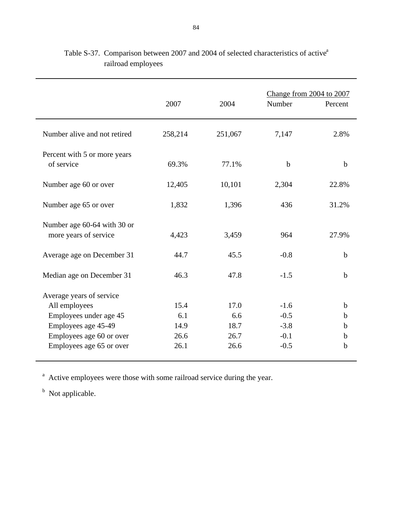|                                                      | 2007    | 2004    | Change from 2004 to 2007<br>Number | Percent     |
|------------------------------------------------------|---------|---------|------------------------------------|-------------|
| Number alive and not retired                         | 258,214 | 251,067 | 7,147                              | 2.8%        |
| Percent with 5 or more years<br>of service           | 69.3%   | 77.1%   | $\mathbf b$                        | $\mathbf b$ |
| Number age 60 or over                                | 12,405  | 10,101  | 2,304                              | 22.8%       |
| Number age 65 or over                                | 1,832   | 1,396   | 436                                | 31.2%       |
| Number age 60-64 with 30 or<br>more years of service | 4,423   | 3,459   | 964                                | 27.9%       |
| Average age on December 31                           | 44.7    | 45.5    | $-0.8$                             | $\mathbf b$ |
| Median age on December 31                            | 46.3    | 47.8    | $-1.5$                             | $\mathbf b$ |
| Average years of service                             |         |         |                                    |             |
| All employees                                        | 15.4    | 17.0    | $-1.6$                             | $\mathbf b$ |
| Employees under age 45                               | 6.1     | 6.6     | $-0.5$                             | b           |
| Employees age 45-49                                  | 14.9    | 18.7    | $-3.8$                             | b           |
| Employees age 60 or over                             | 26.6    | 26.7    | $-0.1$                             | b           |
| Employees age 65 or over                             | 26.1    | 26.6    | $-0.5$                             | $\mathbf b$ |

# Table S-37. Comparison between 2007 and 2004 of selected characteristics of active<sup>a</sup> railroad employees

<sup>a</sup> Active employees were those with some railroad service during the year.

<sup>b</sup> Not applicable.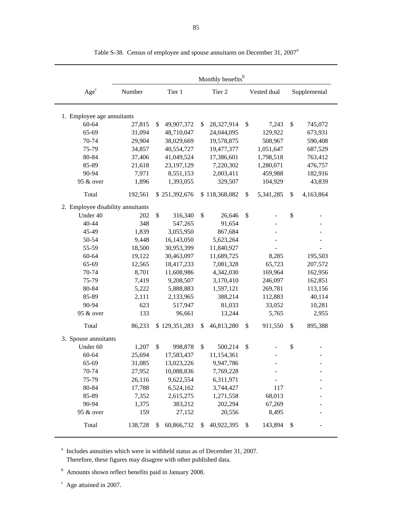|                                   |         |                  | Monthly benefits <sup>b</sup> |                 |                           |              |
|-----------------------------------|---------|------------------|-------------------------------|-----------------|---------------------------|--------------|
| Age <sup>c</sup>                  | Number  | Tier 1           | Tier 2                        | Vested dual     |                           | Supplemental |
| 1. Employee age annuitants        |         |                  |                               |                 |                           |              |
| 60-64                             | 27,815  | \$<br>49,907,372 | \$<br>28,327,914              | \$<br>7,243     | \$                        | 745,072      |
| 65-69                             | 31,094  | 48,710,047       | 24,044,095                    | 129,922         |                           | 673,931      |
| 70-74                             | 29,904  | 38,029,669       | 19,578,875                    | 508,967         |                           | 590,408      |
| 75-79                             | 34,857  | 40,554,727       | 19,477,377                    | 1,051,647       |                           | 687,529      |
| 80-84                             | 37,406  | 41,049,524       | 17,386,601                    | 1,798,518       |                           | 763,412      |
| 85-89                             | 21,618  | 23,197,129       | 7,220,302                     | 1,280,071       |                           | 476,757      |
| 90-94                             | 7,971   | 8,551,153        | 2,003,411                     | 459,988         |                           | 182,916      |
| 95 & over                         | 1,896   | 1,393,055        | 329,507                       | 104,929         |                           | 43,839       |
| Total                             | 192,561 | \$251,392,676    | \$118,368,082                 | \$<br>5,341,285 | \$                        | 4,163,864    |
| 2. Employee disability annuitants |         |                  |                               |                 |                           |              |
| Under 40                          | 202     | \$<br>316,340    | \$<br>26,646                  | \$              | \$                        |              |
| 40-44                             | 348     | 547,265          | 91,654                        |                 |                           |              |
| 45-49                             | 1,839   | 3,055,950        | 867,684                       |                 |                           |              |
| 50-54                             | 9,448   | 16,143,050       | 5,623,264                     |                 |                           |              |
| 55-59                             | 18,500  | 30,953,399       | 11,840,927                    |                 |                           |              |
| $60 - 64$                         | 19,122  | 30,463,097       | 11,689,725                    | 8,285           |                           | 195,503      |
| 65-69                             | 12,565  | 18,417,233       | 7,081,328                     | 65,723          |                           | 207,572      |
| 70-74                             | 8,701   | 11,608,986       | 4,342,030                     | 169,964         |                           | 162,956      |
| 75-79                             | 7,419   | 9,208,507        | 3,170,410                     | 246,097         |                           | 162,851      |
| 80-84                             | 5,222   | 5,888,883        | 1,597,121                     | 269,781         |                           | 113,156      |
| 85-89                             | 2,111   | 2,133,965        | 388,214                       | 112,883         |                           | 40,114       |
| 90-94                             | 623     | 517,947          | 81,033                        | 33,052          |                           | 10,281       |
| 95 & over                         | 133     | 96,661           | 13,244                        | 5,765           |                           | 2,955        |
| Total                             | 86,233  | \$129,351,283    | \$<br>46,813,280              | \$<br>911,550   | \$                        | 895,388      |
| 3. Spouse annuitants              |         |                  |                               |                 |                           |              |
| Under 60                          | 1,207   | \$<br>998,878    | \$<br>500,214                 | \$              | \$                        |              |
| 60-64                             | 25,694  | 17,583,437       | 11,154,361                    |                 |                           |              |
| 65-69                             | 31,085  | 13,023,226       | 9,947,786                     |                 |                           |              |
| 70-74                             | 27,952  | 10,088,836       | 7,769,228                     |                 |                           |              |
| 75-79                             | 26,116  | 9,622,554        | 6,311,971                     |                 |                           |              |
| 80-84                             | 17,788  | 6,524,162        | 3,744,427                     | 117             |                           |              |
| 85-89                             | 7,352   | 2,615,275        | 1,271,558                     | 68,013          |                           |              |
| 90-94                             | 1,375   | 383,212          | 202,294                       | 67,269          |                           |              |
| 95 & over                         | 159     | 27,152           | 20,556                        | 8,495           |                           |              |
| Total                             | 138,728 | \$<br>60,866,732 | \$<br>40,922,395              | \$<br>143,894   | $\boldsymbol{\mathsf{S}}$ |              |

Table S-38. Census of employee and spouse annuitants on December 31, 2007<sup>a</sup>

 $a<sup>a</sup>$  Includes annuities which were in withheld status as of December 31, 2007. Therefore, these figures may disagree with other published data.

<sup>b</sup> Amounts shown reflect benefits paid in January 2008.

 $\degree$  Age attained in 2007.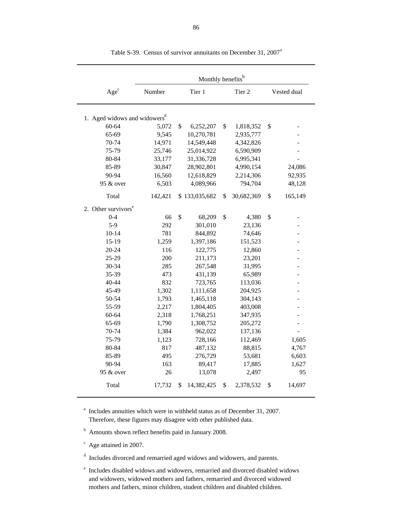|                                          |         | Monthly benefits <sup>b</sup> |                  |                      |
|------------------------------------------|---------|-------------------------------|------------------|----------------------|
| Age <sup>c</sup>                         | Number  | Tier 1                        | Tier 2           | Vested dual          |
| 1. Aged widows and widowers <sup>d</sup> |         |                               |                  |                      |
| $60 - 64$                                | 5,072   | \$<br>6,252,207               | \$<br>1,818,352  | \$                   |
| 65-69                                    | 9,545   | 10,270,781                    | 2,935,777        |                      |
| 70-74                                    | 14,971  | 14,549,448                    | 4,342,826        |                      |
| 75-79                                    | 25,746  | 25,014,922                    | 6,590,909        |                      |
| 80-84                                    | 33,177  | 31,336,728                    | 6,995,341        |                      |
| 85-89                                    | 30,847  | 28,902,801                    | 4,990,154        | 24,086               |
| 90-94                                    | 16,560  | 12,618,829                    | 2,214,306        | 92,935               |
| 95 & over                                | 6,503   | 4,089,966                     | 794,704          | 48,128               |
| Total                                    | 142,421 | \$133,035,682                 | \$<br>30,682,369 | \$<br>165,149        |
| 2. Other survivors <sup>e</sup>          |         |                               |                  |                      |
| $0 - 4$                                  | 66      | \$<br>68,209                  | \$<br>4,380      | \$<br>$\overline{a}$ |
| $5-9$                                    | 292     | 301,010                       | 23,136           |                      |
| $10 - 14$                                | 781     | 844,892                       | 74,646           |                      |
| $15-19$                                  | 1,259   | 1,397,186                     | 151,523          |                      |
| $20 - 24$                                | 116     | 122,775                       | 12,860           |                      |
| 25-29                                    | 200     | 211,173                       | 23,201           |                      |
| 30-34                                    | 285     | 267,548                       | 31,995           |                      |
| 35-39                                    | 473     | 431,139                       | 65,989           |                      |
| 40-44                                    | 832     | 723,765                       | 113,036          |                      |
| 45-49                                    | 1,302   | 1,111,658                     | 204,925          |                      |
| 50-54                                    | 1,793   | 1,465,118                     | 304,143          |                      |
| 55-59                                    | 2,217   | 1,804,405                     | 403,008          |                      |
| $60 - 64$                                | 2,318   | 1,768,251                     | 347,935          |                      |
| 65-69                                    | 1,790   | 1,308,752                     | 205,272          |                      |
| 70-74                                    | 1,384   | 962,022                       | 137,136          |                      |
| 75-79                                    | 1,123   | 728,166                       | 112,469          | 1,605                |
| 80-84                                    | 817     | 487,132                       | 88,815           | 4,767                |
| 85-89                                    | 495     | 276,729                       | 53,681           | 6,603                |
| 90-94                                    | 163     | 89,417                        | 17,885           | 1,627                |
| 95 & over                                | 26      | 13,078                        | 2,497            | 95                   |
| Total                                    | 17,732  | \$<br>14,382,425              | \$<br>2,378,532  | \$<br>14,697         |

Table S-39. Census of survivor annuitants on December 31, 2007<sup>a</sup>

<sup>a</sup> Includes annuities which were in withheld status as of December 31, 2007. Therefore, these figures may disagree with other published data.

<sup>b</sup> Amounts shown reflect benefits paid in January 2008.

 $c$  Age attained in 2007.

<sup>d</sup> Includes divorced and remarried aged widows and widowers, and parents.

e Includes disabled widows and widowers, remarried and divorced disabled widows and widowers, widowed mothers and fathers, remarried and divorced widowed mothers and fathers, minor children, student children and disabled children.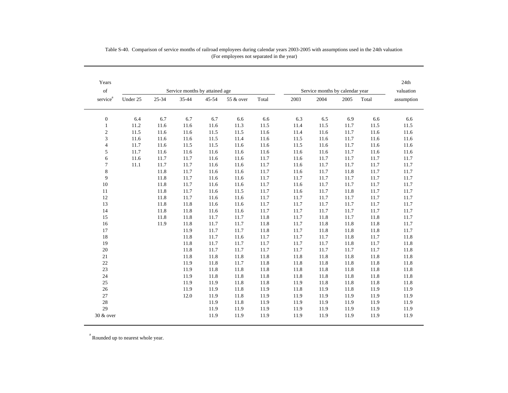| Years                |          |       |                                |       |           |       |      |                                 |      |       | 24th       |
|----------------------|----------|-------|--------------------------------|-------|-----------|-------|------|---------------------------------|------|-------|------------|
| $_{\mathrm{of}}$     |          |       | Service months by attained age |       |           |       |      | Service months by calendar year |      |       | valuation  |
| service <sup>a</sup> | Under 25 | 25-34 | 35-44                          | 45-54 | 55 & over | Total | 2003 | 2004                            | 2005 | Total | assumption |
| $\boldsymbol{0}$     | 6.4      | 6.7   | 6.7                            | 6.7   | 6.6       | 6.6   | 6.3  | 6.5                             | 6.9  | 6.6   | 6.6        |
| $\mathbf{1}$         | 11.2     | 11.6  | 11.6                           | 11.6  | 11.3      | 11.5  | 11.4 | 11.5                            | 11.7 | 11.5  | 11.5       |
| $\sqrt{2}$           | 11.5     | 11.6  | 11.6                           | 11.5  | 11.5      | 11.6  | 11.4 | 11.6                            | 11.7 | 11.6  | 11.6       |
| 3                    | 11.6     | 11.6  | 11.6                           | 11.5  | 11.4      | 11.6  | 11.5 | 11.6                            | 11.7 | 11.6  | 11.6       |
| $\overline{4}$       | 11.7     | 11.6  | 11.5                           | 11.5  | 11.6      | 11.6  | 11.5 | 11.6                            | 11.7 | 11.6  | 11.6       |
| 5                    | 11.7     | 11.6  | 11.6                           | 11.6  | 11.6      | 11.6  | 11.6 | 11.6                            | 11.7 | 11.6  | 11.6       |
| 6                    | 11.6     | 11.7  | 11.7                           | 11.6  | 11.6      | 11.7  | 11.6 | 11.7                            | 11.7 | 11.7  | 11.7       |
| $\tau$               | 11.1     | 11.7  | 11.7                           | 11.6  | 11.6      | 11.7  | 11.6 | 11.7                            | 11.7 | 11.7  | 11.7       |
| 8                    |          | 11.8  | 11.7                           | 11.6  | 11.6      | 11.7  | 11.6 | 11.7                            | 11.8 | 11.7  | 11.7       |
| 9                    |          | 11.8  | 11.7                           | 11.6  | 11.6      | 11.7  | 11.7 | 11.7                            | 11.7 | 11.7  | 11.7       |
| 10                   |          | 11.8  | 11.7                           | 11.6  | 11.6      | 11.7  | 11.6 | 11.7                            | 11.7 | 11.7  | 11.7       |
| 11                   |          | 11.8  | 11.7                           | 11.6  | 11.5      | 11.7  | 11.6 | 11.7                            | 11.8 | 11.7  | 11.7       |
| 12                   |          | 11.8  | 11.7                           | 11.6  | 11.6      | 11.7  | 11.7 | 11.7                            | 11.7 | 11.7  | 11.7       |
| 13                   |          | 11.8  | 11.8                           | 11.6  | 11.6      | 11.7  | 11.7 | 11.7                            | 11.7 | 11.7  | 11.7       |
| 14                   |          | 11.8  | 11.8                           | 11.6  | 11.6      | 11.7  | 11.7 | 11.7                            | 11.7 | 11.7  | 11.7       |
| 15                   |          | 11.8  | 11.8                           | 11.7  | 11.7      | 11.8  | 11.7 | 11.8                            | 11.7 | 11.8  | 11.7       |
| 16                   |          | 11.9  | 11.8                           | 11.7  | 11.7      | 11.8  | 11.7 | 11.8                            | 11.8 | 11.8  | 11.7       |
| 17                   |          |       | 11.9                           | 11.7  | 11.7      | 11.8  | 11.7 | 11.8                            | 11.8 | 11.8  | 11.7       |
| 18                   |          |       | 11.8                           | 11.7  | 11.6      | 11.7  | 11.7 | 11.7                            | 11.8 | 11.7  | 11.8       |
| 19                   |          |       | 11.8                           | 11.7  | 11.7      | 11.7  | 11.7 | 11.7                            | 11.8 | 11.7  | 11.8       |
| 20                   |          |       | 11.8                           | 11.7  | 11.7      | 11.7  | 11.7 | 11.7                            | 11.7 | 11.7  | 11.8       |
| 21                   |          |       | 11.8                           | 11.8  | 11.8      | 11.8  | 11.8 | 11.8                            | 11.8 | 11.8  | 11.8       |
| 22                   |          |       | 11.9                           | 11.8  | 11.7      | 11.8  | 11.8 | 11.8                            | 11.8 | 11.8  | 11.8       |
| 23                   |          |       | 11.9                           | 11.8  | 11.8      | 11.8  | 11.8 | 11.8                            | 11.8 | 11.8  | 11.8       |
| 24                   |          |       | 11.9                           | 11.8  | 11.8      | 11.8  | 11.8 | 11.8                            | 11.8 | 11.8  | 11.8       |
| 25                   |          |       | 11.9                           | 11.9  | 11.8      | 11.8  | 11.9 | 11.8                            | 11.8 | 11.8  | 11.8       |
| 26                   |          |       | 11.9                           | 11.9  | 11.8      | 11.9  | 11.8 | 11.9                            | 11.8 | 11.9  | 11.9       |
| 27                   |          |       | 12.0                           | 11.9  | 11.8      | 11.9  | 11.9 | 11.9                            | 11.9 | 11.9  | 11.9       |
| $28\,$               |          |       |                                | 11.9  | 11.8      | 11.9  | 11.9 | 11.9                            | 11.9 | 11.9  | 11.9       |
| 29                   |          |       |                                | 11.9  | 11.9      | 11.9  | 11.9 | 11.9                            | 11.9 | 11.9  | 11.9       |
| 30 & over            |          |       |                                | 11.9  | 11.9      | 11.9  | 11.9 | 11.9                            | 11.9 | 11.9  | 11.9       |

Table S-40. Comparison of service months of railroad employees during calendar years 2003-2005 with assumptions used in the 24th valuation (For employees not separated in the year)

<sup>a</sup> Rounded up to nearest whole year.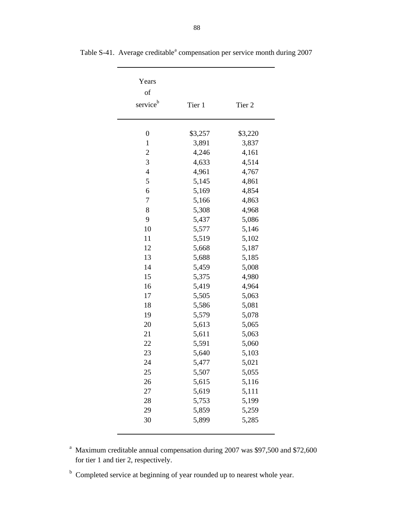| Years                |         |         |
|----------------------|---------|---------|
| of                   |         |         |
| service <sup>b</sup> | Tier 1  | Tier 2  |
|                      |         |         |
|                      |         |         |
| $\boldsymbol{0}$     | \$3,257 | \$3,220 |
| $\mathbf{1}$         | 3,891   | 3,837   |
| $\overline{c}$       | 4,246   | 4,161   |
| 3                    | 4,633   | 4,514   |
| $\overline{4}$       | 4,961   | 4,767   |
| 5                    | 5,145   | 4,861   |
| 6                    | 5,169   | 4,854   |
| $\overline{7}$       | 5,166   | 4,863   |
| 8                    | 5,308   | 4,968   |
| 9                    | 5,437   | 5,086   |
| 10                   | 5,577   | 5,146   |
| 11                   | 5,519   | 5,102   |
| 12                   | 5,668   | 5,187   |
| 13                   | 5,688   | 5,185   |
| 14                   | 5,459   | 5,008   |
| 15                   | 5,375   | 4,980   |
| 16                   | 5,419   | 4,964   |
| 17                   | 5,505   | 5,063   |
| 18                   | 5,586   | 5,081   |
| 19                   | 5,579   | 5,078   |
| 20                   | 5,613   | 5,065   |
| 21                   | 5,611   | 5,063   |
| 22                   | 5,591   | 5,060   |
| 23                   | 5,640   | 5,103   |
| 24                   | 5,477   | 5,021   |
| 25                   | 5,507   | 5,055   |
| 26                   | 5,615   | 5,116   |
| 27                   | 5,619   | 5,111   |
| 28                   | 5,753   | 5,199   |
| 29                   | 5,859   | 5,259   |
| 30                   | 5,899   | 5,285   |
|                      |         |         |

Table S-41. Average creditable<sup>a</sup> compensation per service month during 2007

 $\overline{\phantom{0}}$ 

<sup>a</sup> Maximum creditable annual compensation during 2007 was \$97,500 and \$72,600 for tier 1 and tier 2, respectively.

<sup>b</sup> Completed service at beginning of year rounded up to nearest whole year.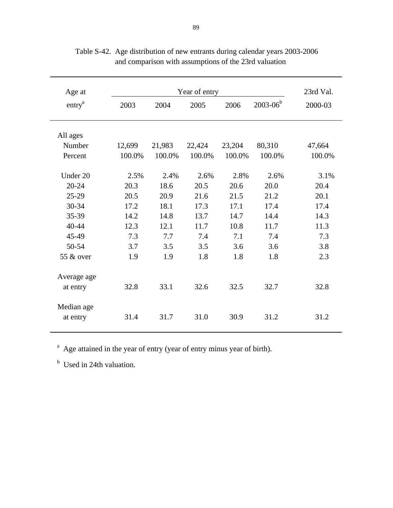| Age at<br>entry <sup>a</sup> | 2003   | 23rd Val.<br>2000-03 |        |        |        |        |
|------------------------------|--------|----------------------|--------|--------|--------|--------|
|                              |        |                      |        |        |        |        |
|                              |        |                      |        |        |        |        |
| All ages                     |        |                      |        |        |        |        |
| Number                       | 12,699 | 21,983               | 22,424 | 23,204 | 80,310 | 47,664 |
| Percent                      | 100.0% | 100.0%               | 100.0% | 100.0% | 100.0% | 100.0% |
|                              |        |                      |        |        |        |        |
| Under 20                     | 2.5%   | 2.4%                 | 2.6%   | 2.8%   | 2.6%   | 3.1%   |
| $20 - 24$                    | 20.3   | 18.6                 | 20.5   | 20.6   | 20.0   | 20.4   |
| $25-29$                      | 20.5   | 20.9                 | 21.6   | 21.5   | 21.2   | 20.1   |
| 30-34                        | 17.2   | 18.1                 | 17.3   | 17.1   | 17.4   | 17.4   |
| 35-39                        | 14.2   | 14.8                 | 13.7   | 14.7   | 14.4   | 14.3   |
| 40-44                        | 12.3   | 12.1                 | 11.7   | 10.8   | 11.7   | 11.3   |
| 45-49                        | 7.3    | 7.7                  | 7.4    | 7.1    | 7.4    | 7.3    |
| 50-54                        | 3.7    | 3.5                  | 3.5    | 3.6    | 3.6    | 3.8    |
| 55 & over                    | 1.9    | 1.9                  | 1.8    | 1.8    | 1.8    | 2.3    |
|                              |        |                      |        |        |        |        |
| Average age                  |        |                      |        |        |        |        |
| at entry                     | 32.8   | 33.1                 | 32.6   | 32.5   | 32.7   | 32.8   |
|                              |        |                      |        |        |        |        |
| Median age                   |        |                      |        |        |        |        |
| at entry                     | 31.4   | 31.7                 | 31.0   | 30.9   | 31.2   | 31.2   |
|                              |        |                      |        |        |        |        |

Table S-42. Age distribution of new entrants during calendar years 2003-2006 and comparison with assumptions of the 23rd valuation

<sup>a</sup> Age attained in the year of entry (year of entry minus year of birth).

<sup>b</sup> Used in 24th valuation.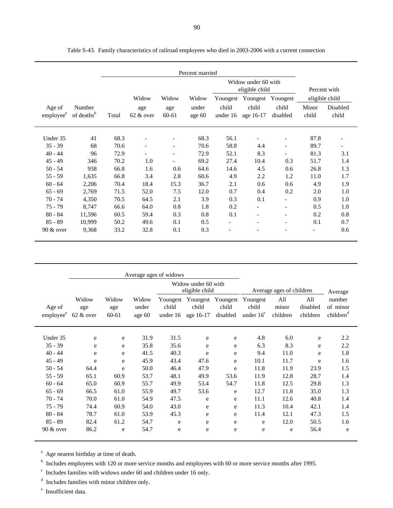| Percent married                 |                                  |       |                                |                          |                 |                                       |                          |                          |                |                   |
|---------------------------------|----------------------------------|-------|--------------------------------|--------------------------|-----------------|---------------------------------------|--------------------------|--------------------------|----------------|-------------------|
|                                 |                                  |       |                                |                          |                 | Widow under 60 with<br>eligible child |                          |                          |                | Percent with      |
|                                 |                                  |       | Widow                          | Widow                    | Widow           | Youngest                              | Youngest                 | Youngest                 |                | eligible child    |
| Age of<br>employee <sup>a</sup> | Number<br>of deaths <sup>b</sup> | Total | age<br>$62 \& 0 \nvert \nvert$ | age<br>$60 - 61$         | under<br>age 60 | child<br>under 16                     | child<br>age 16-17       | child<br>disabled        | Minor<br>child | Disabled<br>child |
| Under 35                        | 41                               | 68.3  |                                |                          | 68.3            | 56.1                                  |                          |                          | 87.8           |                   |
| $35 - 39$                       | 68                               | 70.6  |                                | $\overline{\phantom{a}}$ | 70.6            | 58.8                                  | 4.4                      | $\overline{\phantom{a}}$ | 89.7           |                   |
| $40 - 44$                       | 96                               | 72.9  |                                | $\overline{\phantom{a}}$ | 72.9            | 52.1                                  | 8.3                      |                          | 81.3           | 3.1               |
| $45 - 49$                       | 346                              | 70.2  | 1.0                            |                          | 69.2            | 27.4                                  | 10.4                     | 0.3                      | 51.7           | 1.4               |
| $50 - 54$                       | 938                              | 66.8  | 1.6                            | 0.6                      | 64.6            | 14.6                                  | 4.5                      | 0.6                      | 26.8           | 1.3               |
| $55 - 59$                       | 1,635                            | 66.8  | 3.4                            | 2.8                      | 60.6            | 4.9                                   | 2.2                      | 1.2                      | 11.0           | 1.7               |
| $60 - 64$                       | 2,206                            | 70.4  | 18.4                           | 15.3                     | 36.7            | 2.1                                   | 0.6                      | 0.6                      | 4.9            | 1.9               |
| $65 - 69$                       | 2,769                            | 71.5  | 52.0                           | 7.5                      | 12.0            | 0.7                                   | 0.4                      | 0.2                      | 2.0            | 1.0               |
| $70 - 74$                       | 4,350                            | 70.5  | 64.5                           | 2.1                      | 3.9             | 0.3                                   | 0.1                      | $\overline{\phantom{a}}$ | 0.9            | 1.0               |
| $75 - 79$                       | 8,747                            | 66.6  | 64.0                           | 0.8                      | 1.8             | 0.2                                   |                          |                          | 0.5            | 1.0               |
| $80 - 84$                       | 11,596                           | 60.5  | 59.4                           | 0.3                      | 0.8             | 0.1                                   | $\overline{\phantom{a}}$ | $\overline{\phantom{a}}$ | 0.2            | 0.8               |
| $85 - 89$                       | 10,999                           | 50.2  | 49.6                           | 0.1                      | 0.5             | $\overline{\phantom{a}}$              | $\overline{\phantom{a}}$ | $\overline{\phantom{a}}$ | 0.1            | 0.7               |
| $90 \& over$                    | 9,368                            | 33.2  | 32.8                           | 0.1                      | 0.3             |                                       |                          |                          |                | 0.6               |

Table S-43. Family characteristics of railroad employees who died in 2003-2006 with a current connection

|                                 | Average ages of widows    |                       |                          |                                       |                                |                               |                                         |                          |                             |                                             |
|---------------------------------|---------------------------|-----------------------|--------------------------|---------------------------------------|--------------------------------|-------------------------------|-----------------------------------------|--------------------------|-----------------------------|---------------------------------------------|
|                                 |                           |                       |                          | Widow under 60 with<br>eligible child |                                |                               | Average ages of children                |                          |                             | Average                                     |
| Age of<br>employee <sup>a</sup> | Widow<br>age<br>62 & over | Widow<br>age<br>60-61 | Widow<br>under<br>age 60 | Youngest<br>child<br>under 16         | Youngest<br>child<br>age 16-17 | Youngest<br>child<br>disabled | Youngest<br>child<br>under $16^{\circ}$ | All<br>minor<br>children | All<br>disabled<br>children | number<br>of minor<br>children <sup>a</sup> |
| Under 35                        | e                         | e                     | 31.9                     | 31.5                                  | e                              | e                             | 4.8                                     | 6.0                      | e                           | 2.2                                         |
| $35 - 39$                       | e                         | e                     | 35.8                     | 35.6                                  | e                              | e                             | 6.3                                     | 8.3                      | e                           | 2.2                                         |
| $40 - 44$                       | e                         | e                     | 41.5                     | 40.3                                  | e                              | e                             | 9.4                                     | 11.0                     | e                           | 1.8                                         |
| $45 - 49$                       | e                         | e                     | 45.9                     | 43.4                                  | 47.6                           | e                             | 10.1                                    | 11.7                     | e                           | 1.6                                         |
| $50 - 54$                       | 64.4                      | e                     | 50.0                     | 46.4                                  | 47.9                           | e                             | 11.8                                    | 11.9                     | 23.9                        | 1.5                                         |
| $55 - 59$                       | 65.1                      | 60.9                  | 53.7                     | 48.1                                  | 49.9                           | 53.6                          | 11.9                                    | 12.8                     | 28.7                        | 1.4                                         |
| $60 - 64$                       | 65.0                      | 60.9                  | 55.7                     | 49.9                                  | 53.4                           | 54.7                          | 11.8                                    | 12.5                     | 29.8                        | 1.3                                         |
| $65 - 69$                       | 66.5                      | 61.0                  | 55.9                     | 49.7                                  | 53.6                           | e                             | 12.7                                    | 11.8                     | 35.0                        | 1.3                                         |
| $70 - 74$                       | 70.0                      | 61.0                  | 54.9                     | 47.5                                  | e                              | e                             | 11.1                                    | 12.6                     | 40.8                        | 1.4                                         |
| $75 - 79$                       | 74.4                      | 60.9                  | 54.0                     | 43.0                                  | e                              | e                             | 11.3                                    | 10.4                     | 42.1                        | 1.4                                         |
| $80 - 84$                       | 78.7                      | 61.0                  | 53.9                     | 45.3                                  | e                              | e                             | 11.4                                    | 12.1                     | 47.3                        | 1.5                                         |
| $85 - 89$                       | 82.4                      | 61.2                  | 54.7                     | e                                     | e                              | e                             | e                                       | 12.0                     | 50.5                        | 1.6                                         |
| $90 \& over$                    | 86.2                      | e                     | 54.7                     | e                                     | e                              | e                             | e                                       | e                        | 56.4                        | e                                           |

<sup>a</sup> Age nearest birthday at time of death.

<sup>b</sup> Includes employees with 120 or more service months and employees with 60 or more service months after 1995.

 $\epsilon$  Includes families with widows under 60 and children under 16 only.

 $^{\text{d}}$  Includes families with minor children only.

e Insufficient data.